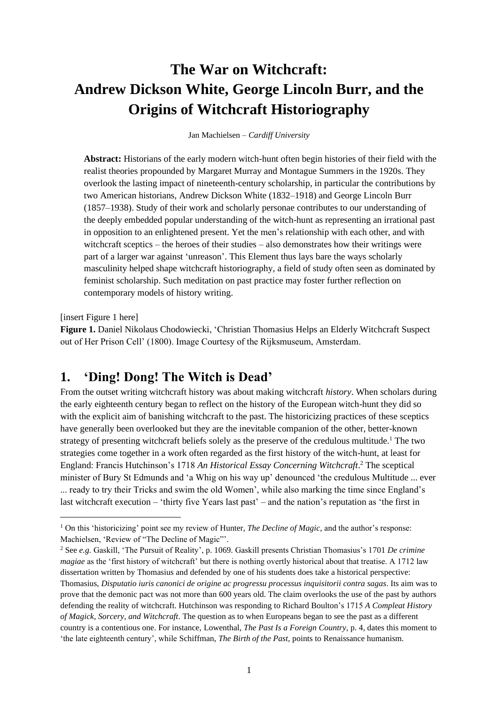# **The War on Witchcraft: Andrew Dickson White, George Lincoln Burr, and the Origins of Witchcraft Historiography**

Jan Machielsen – *Cardiff University*

**Abstract:** Historians of the early modern witch-hunt often begin histories of their field with the realist theories propounded by Margaret Murray and Montague Summers in the 1920s. They overlook the lasting impact of nineteenth-century scholarship, in particular the contributions by two American historians, Andrew Dickson White (1832–1918) and George Lincoln Burr (1857–1938). Study of their work and scholarly personae contributes to our understanding of the deeply embedded popular understanding of the witch-hunt as representing an irrational past in opposition to an enlightened present. Yet the men's relationship with each other, and with witchcraft sceptics – the heroes of their studies – also demonstrates how their writings were part of a larger war against 'unreason'. This Element thus lays bare the ways scholarly masculinity helped shape witchcraft historiography, a field of study often seen as dominated by feminist scholarship. Such meditation on past practice may foster further reflection on contemporary models of history writing.

[insert Figure 1 here]

**Figure 1.** Daniel Nikolaus Chodowiecki, 'Christian Thomasius Helps an Elderly Witchcraft Suspect out of Her Prison Cell' (1800). Image Courtesy of the Rijksmuseum, Amsterdam.

### **1. 'Ding! Dong! The Witch is Dead'**

From the outset writing witchcraft history was about making witchcraft *history*. When scholars during the early eighteenth century began to reflect on the history of the European witch-hunt they did so with the explicit aim of banishing witchcraft to the past. The historicizing practices of these sceptics have generally been overlooked but they are the inevitable companion of the other, better-known strategy of presenting witchcraft beliefs solely as the preserve of the credulous multitude.<sup>1</sup> The two strategies come together in a work often regarded as the first history of the witch-hunt, at least for England: Francis Hutchinson's 1718 *An Historical Essay Concerning Witchcraft*. <sup>2</sup> The sceptical minister of Bury St Edmunds and 'a Whig on his way up' denounced 'the credulous Multitude ... ever ... ready to try their Tricks and swim the old Women', while also marking the time since England's last witchcraft execution – 'thirty five Years last past' – and the nation's reputation as 'the first in

<sup>1</sup> On this 'historicizing' point see my review of Hunter, *The Decline of Magic*, and the author's response: Machielsen, 'Review of "The Decline of Magic"'.

<sup>2</sup> See *e.g.* Gaskill, 'The Pursuit of Reality', p. 1069. Gaskill presents Christian Thomasius's 1701 *De crimine magiae* as the 'first history of witchcraft' but there is nothing overtly historical about that treatise. A 1712 law dissertation written by Thomasius and defended by one of his students does take a historical perspective: Thomasius, *Disputatio iuris canonici de origine ac progressu processus inquisitorii contra sagas*. Its aim was to prove that the demonic pact was not more than 600 years old. The claim overlooks the use of the past by authors defending the reality of witchcraft. Hutchinson was responding to Richard Boulton's 1715 *A Compleat History of Magick, Sorcery, and Witchcraft*. The question as to when Europeans began to see the past as a different country is a contentious one. For instance, Lowenthal, *The Past Is a Foreign Country*, p. 4, dates this moment to 'the late eighteenth century', while Schiffman, *The Birth of the Past*, points to Renaissance humanism.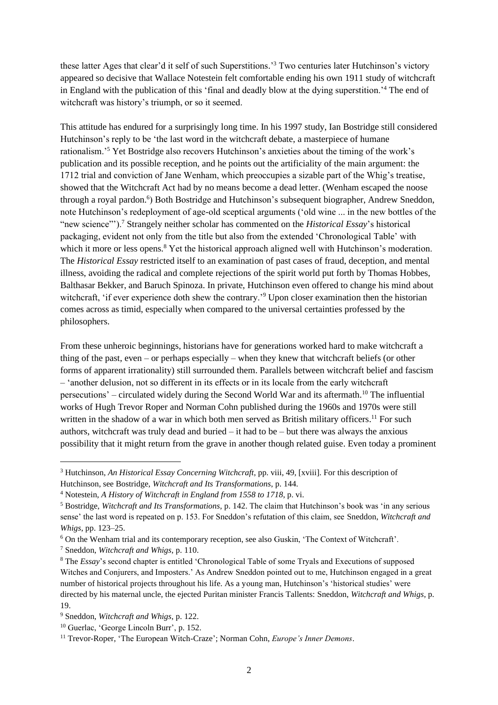these latter Ages that clear'd it self of such Superstitions.' <sup>3</sup> Two centuries later Hutchinson's victory appeared so decisive that Wallace Notestein felt comfortable ending his own 1911 study of witchcraft in England with the publication of this 'final and deadly blow at the dying superstition.'<sup>4</sup> The end of witchcraft was history's triumph, or so it seemed.

This attitude has endured for a surprisingly long time. In his 1997 study, Ian Bostridge still considered Hutchinson's reply to be 'the last word in the witchcraft debate, a masterpiece of humane rationalism.'<sup>5</sup> Yet Bostridge also recovers Hutchinson's anxieties about the timing of the work's publication and its possible reception, and he points out the artificiality of the main argument: the 1712 trial and conviction of Jane Wenham, which preoccupies a sizable part of the Whig's treatise, showed that the Witchcraft Act had by no means become a dead letter. (Wenham escaped the noose through a royal pardon.<sup>6</sup>) Both Bostridge and Hutchinson's subsequent biographer, Andrew Sneddon, note Hutchinson's redeployment of age-old sceptical arguments ('old wine ... in the new bottles of the "new science"').<sup>7</sup> Strangely neither scholar has commented on the *Historical Essay*'s historical packaging, evident not only from the title but also from the extended 'Chronological Table' with which it more or less opens.<sup>8</sup> Yet the historical approach aligned well with Hutchinson's moderation. The *Historical Essay* restricted itself to an examination of past cases of fraud, deception, and mental illness, avoiding the radical and complete rejections of the spirit world put forth by Thomas Hobbes, Balthasar Bekker, and Baruch Spinoza. In private, Hutchinson even offered to change his mind about witchcraft, 'if ever experience doth shew the contrary.'<sup>9</sup> Upon closer examination then the historian comes across as timid, especially when compared to the universal certainties professed by the philosophers.

From these unheroic beginnings, historians have for generations worked hard to make witchcraft a thing of the past, even – or perhaps especially – when they knew that witchcraft beliefs (or other forms of apparent irrationality) still surrounded them. Parallels between witchcraft belief and fascism – 'another delusion, not so different in its effects or in its locale from the early witchcraft persecutions' – circulated widely during the Second World War and its aftermath.<sup>10</sup> The influential works of Hugh Trevor Roper and Norman Cohn published during the 1960s and 1970s were still written in the shadow of a war in which both men served as British military officers.<sup>11</sup> For such authors, witchcraft was truly dead and buried  $-$  it had to be  $-$  but there was always the anxious possibility that it might return from the grave in another though related guise. Even today a prominent

<sup>7</sup> Sneddon, *Witchcraft and Whigs*, p. 110.

<sup>&</sup>lt;sup>3</sup> Hutchinson, *An Historical Essay Concerning Witchcraft*, pp. viii, 49, [xviii]. For this description of Hutchinson, see Bostridge, *Witchcraft and Its Transformations*, p. 144.

<sup>4</sup> Notestein, *A History of Witchcraft in England from 1558 to 1718*, p. vi.

<sup>5</sup> Bostridge, *Witchcraft and Its Transformations*, p. 142. The claim that Hutchinson's book was 'in any serious sense' the last word is repeated on p. 153. For Sneddon's refutation of this claim, see Sneddon, *Witchcraft and Whigs*, pp. 123–25.

<sup>6</sup> On the Wenham trial and its contemporary reception, see also Guskin, 'The Context of Witchcraft'.

<sup>&</sup>lt;sup>8</sup> The *Essay*'s second chapter is entitled 'Chronological Table of some Tryals and Executions of supposed Witches and Conjurers, and Imposters.' As Andrew Sneddon pointed out to me, Hutchinson engaged in a great number of historical projects throughout his life. As a young man, Hutchinson's 'historical studies' were directed by his maternal uncle, the ejected Puritan minister Francis Tallents: Sneddon, *Witchcraft and Whigs*, p. 19.

<sup>9</sup> Sneddon, *Witchcraft and Whigs*, p. 122.

<sup>&</sup>lt;sup>10</sup> Guerlac, 'George Lincoln Burr', p. 152.

<sup>11</sup> Trevor-Roper, 'The European Witch-Craze'; Norman Cohn, *Europe's Inner Demons*.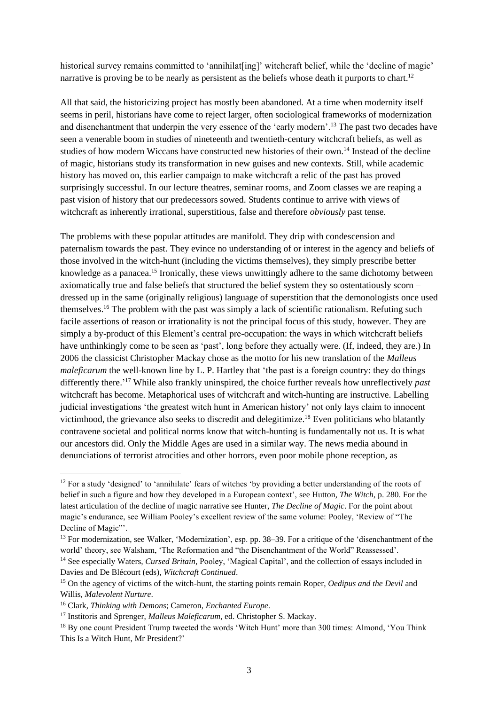historical survey remains committed to 'annihilat[ing]' witchcraft belief, while the 'decline of magic' narrative is proving be to be nearly as persistent as the beliefs whose death it purports to chart.<sup>12</sup>

All that said, the historicizing project has mostly been abandoned. At a time when modernity itself seems in peril, historians have come to reject larger, often sociological frameworks of modernization and disenchantment that underpin the very essence of the 'early modern'.<sup>13</sup> The past two decades have seen a venerable boom in studies of nineteenth and twentieth-century witchcraft beliefs, as well as studies of how modern Wiccans have constructed new histories of their own.<sup>14</sup> Instead of the decline of magic, historians study its transformation in new guises and new contexts. Still, while academic history has moved on, this earlier campaign to make witchcraft a relic of the past has proved surprisingly successful. In our lecture theatres, seminar rooms, and Zoom classes we are reaping a past vision of history that our predecessors sowed. Students continue to arrive with views of witchcraft as inherently irrational, superstitious, false and therefore *obviously* past tense.

The problems with these popular attitudes are manifold. They drip with condescension and paternalism towards the past. They evince no understanding of or interest in the agency and beliefs of those involved in the witch-hunt (including the victims themselves), they simply prescribe better knowledge as a panacea.<sup>15</sup> Ironically, these views unwittingly adhere to the same dichotomy between axiomatically true and false beliefs that structured the belief system they so ostentatiously scorn – dressed up in the same (originally religious) language of superstition that the demonologists once used themselves.<sup>16</sup> The problem with the past was simply a lack of scientific rationalism. Refuting such facile assertions of reason or irrationality is not the principal focus of this study, however. They are simply a by-product of this Element's central pre-occupation: the ways in which witchcraft beliefs have unthinkingly come to be seen as 'past', long before they actually were. (If, indeed, they are.) In 2006 the classicist Christopher Mackay chose as the motto for his new translation of the *Malleus maleficarum* the well-known line by L. P. Hartley that 'the past is a foreign country: they do things differently there.' <sup>17</sup> While also frankly uninspired, the choice further reveals how unreflectively *past* witchcraft has become. Metaphorical uses of witchcraft and witch-hunting are instructive. Labelling judicial investigations 'the greatest witch hunt in American history' not only lays claim to innocent victimhood, the grievance also seeks to discredit and delegitimize.<sup>18</sup> Even politicians who blatantly contravene societal and political norms know that witch-hunting is fundamentally not us. It is what our ancestors did. Only the Middle Ages are used in a similar way. The news media abound in denunciations of terrorist atrocities and other horrors, even poor mobile phone reception, as

<sup>&</sup>lt;sup>12</sup> For a study 'designed' to 'annihilate' fears of witches 'by providing a better understanding of the roots of belief in such a figure and how they developed in a European context', see Hutton, *The Witch*, p. 280. For the latest articulation of the decline of magic narrative see Hunter, *The Decline of Magic*. For the point about magic's endurance, see William Pooley's excellent review of the same volume: Pooley, 'Review of "The Decline of Magic"'.

<sup>&</sup>lt;sup>13</sup> For modernization, see Walker, 'Modernization', esp. pp. 38–39. For a critique of the 'disenchantment of the world' theory, see Walsham, 'The Reformation and "the Disenchantment of the World" Reassessed'. <sup>14</sup> See especially Waters, *Cursed Britain*, Pooley, 'Magical Capital', and the collection of essays included in Davies and De Blécourt (eds), *Witchcraft Continued*.

<sup>15</sup> On the agency of victims of the witch-hunt, the starting points remain Roper, *Oedipus and the Devil* and Willis, *Malevolent Nurture*.

<sup>16</sup> Clark, *Thinking with Demons*; Cameron, *Enchanted Europe*.

<sup>&</sup>lt;sup>17</sup> Institoris and Sprenger, *Malleus Maleficarum*, ed. Christopher S. Mackay.

<sup>&</sup>lt;sup>18</sup> By one count President Trump tweeted the words 'Witch Hunt' more than 300 times: Almond, 'You Think This Is a Witch Hunt, Mr President?'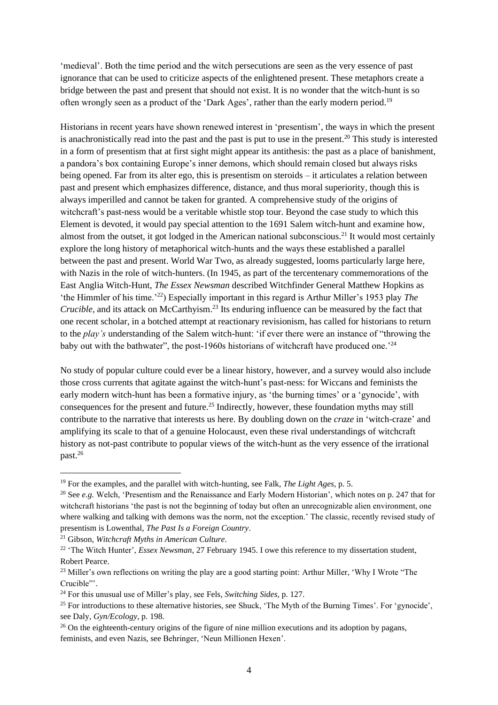'medieval'. Both the time period and the witch persecutions are seen as the very essence of past ignorance that can be used to criticize aspects of the enlightened present. These metaphors create a bridge between the past and present that should not exist. It is no wonder that the witch-hunt is so often wrongly seen as a product of the 'Dark Ages', rather than the early modern period.<sup>19</sup>

Historians in recent years have shown renewed interest in 'presentism', the ways in which the present is anachronistically read into the past and the past is put to use in the present.<sup>20</sup> This study is interested in a form of presentism that at first sight might appear its antithesis: the past as a place of banishment, a pandora's box containing Europe's inner demons, which should remain closed but always risks being opened. Far from its alter ego, this is presentism on steroids – it articulates a relation between past and present which emphasizes difference, distance, and thus moral superiority, though this is always imperilled and cannot be taken for granted. A comprehensive study of the origins of witchcraft's past-ness would be a veritable whistle stop tour. Beyond the case study to which this Element is devoted, it would pay special attention to the 1691 Salem witch-hunt and examine how, almost from the outset, it got lodged in the American national subconscious.<sup>21</sup> It would most certainly explore the long history of metaphorical witch-hunts and the ways these established a parallel between the past and present. World War Two, as already suggested, looms particularly large here, with Nazis in the role of witch-hunters. (In 1945, as part of the tercentenary commemorations of the East Anglia Witch-Hunt, *The Essex Newsman* described Witchfinder General Matthew Hopkins as 'the Himmler of his time.'<sup>22</sup>) Especially important in this regard is Arthur Miller's 1953 play *The Crucible*, and its attack on McCarthyism.<sup>23</sup> Its enduring influence can be measured by the fact that one recent scholar, in a botched attempt at reactionary revisionism, has called for historians to return to the *play's* understanding of the Salem witch-hunt: 'if ever there were an instance of "throwing the baby out with the bathwater", the post-1960s historians of witchcraft have produced one.<sup>24</sup>

No study of popular culture could ever be a linear history, however, and a survey would also include those cross currents that agitate against the witch-hunt's past-ness: for Wiccans and feminists the early modern witch-hunt has been a formative injury, as 'the burning times' or a 'gynocide', with consequences for the present and future. <sup>25</sup> Indirectly, however, these foundation myths may still contribute to the narrative that interests us here. By doubling down on the *craze* in 'witch-craze' and amplifying its scale to that of a genuine Holocaust, even these rival understandings of witchcraft history as not-past contribute to popular views of the witch-hunt as the very essence of the irrational past.<sup>26</sup>

<sup>21</sup> Gibson, *Witchcraft Myths in American Culture*.

<sup>19</sup> For the examples, and the parallel with witch-hunting, see Falk, *The Light Ages*, p. 5.

<sup>&</sup>lt;sup>20</sup> See *e.g.* Welch, 'Presentism and the Renaissance and Early Modern Historian', which notes on p. 247 that for witchcraft historians 'the past is not the beginning of today but often an unrecognizable alien environment, one where walking and talking with demons was the norm, not the exception.' The classic, recently revised study of presentism is Lowenthal, *The Past Is a Foreign Country*.

<sup>&</sup>lt;sup>22</sup> 'The Witch Hunter', *Essex Newsman*, 27 February 1945. I owe this reference to my dissertation student, Robert Pearce.

<sup>&</sup>lt;sup>23</sup> Miller's own reflections on writing the play are a good starting point: Arthur Miller, 'Why I Wrote "The Crucible"'.

<sup>24</sup> For this unusual use of Miller's play, see Fels, *Switching Sides*, p. 127.

<sup>&</sup>lt;sup>25</sup> For introductions to these alternative histories, see Shuck, 'The Myth of the Burning Times'. For 'gynocide', see Daly, *Gyn/Ecology*, p. 198.

<sup>&</sup>lt;sup>26</sup> On the eighteenth-century origins of the figure of nine million executions and its adoption by pagans, feminists, and even Nazis, see Behringer, 'Neun Millionen Hexen'.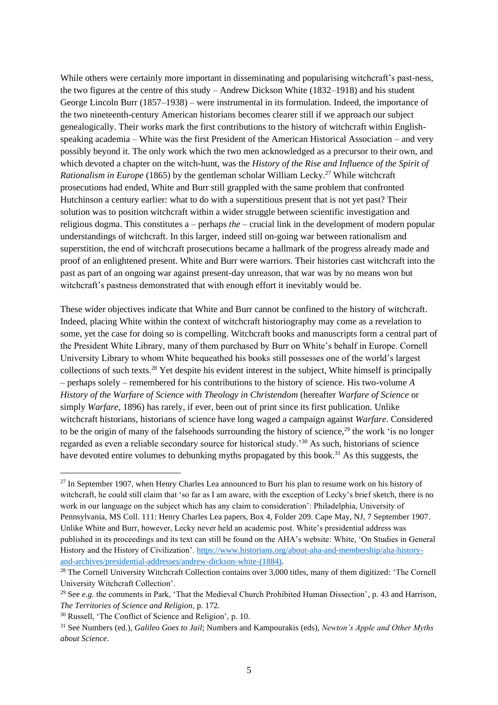While others were certainly more important in disseminating and popularising witchcraft's past-ness, the two figures at the centre of this study – Andrew Dickson White (1832–1918) and his student George Lincoln Burr (1857–1938) – were instrumental in its formulation. Indeed, the importance of the two nineteenth-century American historians becomes clearer still if we approach our subject genealogically. Their works mark the first contributions to the history of witchcraft within Englishspeaking academia – White was the first President of the American Historical Association – and very possibly beyond it. The only work which the two men acknowledged as a precursor to their own, and which devoted a chapter on the witch-hunt, was the *History of the Rise and Influence of the Spirit of Rationalism in Europe* (1865) by the gentleman scholar William Lecky. <sup>27</sup> While witchcraft prosecutions had ended, White and Burr still grappled with the same problem that confronted Hutchinson a century earlier: what to do with a superstitious present that is not yet past? Their solution was to position witchcraft within a wider struggle between scientific investigation and religious dogma. This constitutes a – perhaps *the* – crucial link in the development of modern popular understandings of witchcraft. In this larger, indeed still on-going war between rationalism and superstition, the end of witchcraft prosecutions became a hallmark of the progress already made and proof of an enlightened present. White and Burr were warriors. Their histories cast witchcraft into the past as part of an ongoing war against present-day unreason, that war was by no means won but witchcraft's pastness demonstrated that with enough effort it inevitably would be.

These wider objectives indicate that White and Burr cannot be confined to the history of witchcraft. Indeed, placing White within the context of witchcraft historiography may come as a revelation to some, yet the case for doing so is compelling. Witchcraft books and manuscripts form a central part of the President White Library, many of them purchased by Burr on White's behalf in Europe. Cornell University Library to whom White bequeathed his books still possesses one of the world's largest collections of such texts.<sup>28</sup> Yet despite his evident interest in the subject, White himself is principally – perhaps solely – remembered for his contributions to the history of science. His two-volume *A History of the Warfare of Science with Theology in Christendom* (hereafter *Warfare of Science* or simply *Warfare*, 1896) has rarely, if ever, been out of print since its first publication. Unlike witchcraft historians, historians of science have long waged a campaign against *Warfare*. Considered to be the origin of many of the falsehoods surrounding the history of science,<sup>29</sup> the work 'is no longer regarded as even a reliable secondary source for historical study.'<sup>30</sup> As such, historians of science have devoted entire volumes to debunking myths propagated by this book.<sup>31</sup> As this suggests, the

<sup>&</sup>lt;sup>27</sup> In September 1907, when Henry Charles Lea announced to Burr his plan to resume work on his history of witchcraft, he could still claim that 'so far as I am aware, with the exception of Lecky's brief sketch, there is no work in our language on the subject which has any claim to consideration': Philadelphia, University of Pennsylvania, MS Coll. 111: Henry Charles Lea papers, Box 4, Folder 209. Cape May, NJ, 7 September 1907. Unlike White and Burr, however, Lecky never held an academic post. White's presidential address was published in its proceedings and its text can still be found on the AHA's website: White, 'On Studies in General History and the History of Civilization'. [https://www.historians.org/about-aha-and-membership/aha-history](https://www.historians.org/about-aha-and-membership/aha-history-and-archives/presidential-addresses/andrew-dickson-white-(1884))[and-archives/presidential-addresses/andrew-dickson-white-\(1884\).](https://www.historians.org/about-aha-and-membership/aha-history-and-archives/presidential-addresses/andrew-dickson-white-(1884))

<sup>&</sup>lt;sup>28</sup> The Cornell University Witchcraft Collection contains over 3,000 titles, many of them digitized: 'The Cornell University Witchcraft Collection'.

<sup>&</sup>lt;sup>29</sup> See *e.g.* the comments in Park, 'That the Medieval Church Prohibited Human Dissection', p. 43 and Harrison, *The Territories of Science and Religion*, p. 172.

<sup>30</sup> Russell, 'The Conflict of Science and Religion', p. 10.

<sup>31</sup> See Numbers (ed.), *Galileo Goes to Jail*; Numbers and Kampourakis (eds), *Newton's Apple and Other Myths about Science*.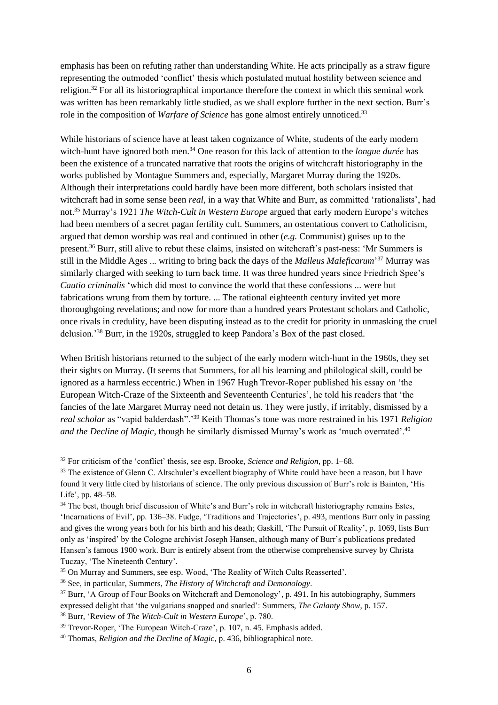emphasis has been on refuting rather than understanding White. He acts principally as a straw figure representing the outmoded 'conflict' thesis which postulated mutual hostility between science and religion.<sup>32</sup> For all its historiographical importance therefore the context in which this seminal work was written has been remarkably little studied, as we shall explore further in the next section. Burr's role in the composition of *Warfare of Science* has gone almost entirely unnoticed.<sup>33</sup>

While historians of science have at least taken cognizance of White, students of the early modern witch-hunt have ignored both men.<sup>34</sup> One reason for this lack of attention to the *longue durée* has been the existence of a truncated narrative that roots the origins of witchcraft historiography in the works published by Montague Summers and, especially, Margaret Murray during the 1920s. Although their interpretations could hardly have been more different, both scholars insisted that witchcraft had in some sense been *real*, in a way that White and Burr, as committed 'rationalists', had not.<sup>35</sup> Murray's 1921 *The Witch-Cult in Western Europe* argued that early modern Europe's witches had been members of a secret pagan fertility cult. Summers, an ostentatious convert to Catholicism, argued that demon worship was real and continued in other (*e.g.* Communist) guises up to the present.<sup>36</sup> Burr, still alive to rebut these claims, insisted on witchcraft's past-ness: 'Mr Summers is still in the Middle Ages ... writing to bring back the days of the *Malleus Maleficarum*' <sup>37</sup> Murray was similarly charged with seeking to turn back time. It was three hundred years since Friedrich Spee's *Cautio criminalis* 'which did most to convince the world that these confessions ... were but fabrications wrung from them by torture. ... The rational eighteenth century invited yet more thoroughgoing revelations; and now for more than a hundred years Protestant scholars and Catholic, once rivals in credulity, have been disputing instead as to the credit for priority in unmasking the cruel delusion.'<sup>38</sup> Burr, in the 1920s, struggled to keep Pandora's Box of the past closed.

When British historians returned to the subject of the early modern witch-hunt in the 1960s, they set their sights on Murray. (It seems that Summers, for all his learning and philological skill, could be ignored as a harmless eccentric.) When in 1967 Hugh Trevor-Roper published his essay on 'the European Witch-Craze of the Sixteenth and Seventeenth Centuries', he told his readers that 'the fancies of the late Margaret Murray need not detain us. They were justly, if irritably, dismissed by a *real scholar* as "vapid balderdash".'<sup>39</sup> Keith Thomas's tone was more restrained in his 1971 *Religion and the Decline of Magic*, though he similarly dismissed Murray's work as 'much overrated'.<sup>40</sup>

<sup>32</sup> For criticism of the 'conflict' thesis, see esp. Brooke, *Science and Religion*, pp. 1–68.

<sup>&</sup>lt;sup>33</sup> The existence of Glenn C. Altschuler's excellent biography of White could have been a reason, but I have found it very little cited by historians of science. The only previous discussion of Burr's role is Bainton, 'His Life', pp. 48–58.

<sup>&</sup>lt;sup>34</sup> The best, though brief discussion of White's and Burr's role in witchcraft historiography remains Estes, 'Incarnations of Evil', pp. 136–38. Fudge, 'Traditions and Trajectories', p. 493, mentions Burr only in passing and gives the wrong years both for his birth and his death; Gaskill, 'The Pursuit of Reality', p. 1069, lists Burr only as 'inspired' by the Cologne archivist Joseph Hansen, although many of Burr's publications predated Hansen's famous 1900 work. Burr is entirely absent from the otherwise comprehensive survey by Christa Tuczay, 'The Nineteenth Century'.

<sup>35</sup> On Murray and Summers, see esp. Wood, 'The Reality of Witch Cults Reasserted'.

<sup>36</sup> See, in particular, Summers, *The History of Witchcraft and Demonology*.

<sup>&</sup>lt;sup>37</sup> Burr, 'A Group of Four Books on Witchcraft and Demonology', p. 491. In his autobiography, Summers expressed delight that 'the vulgarians snapped and snarled': Summers, *The Galanty Show*, p. 157.

<sup>38</sup> Burr, 'Review of *The Witch-Cult in Western Europe*', p. 780.

<sup>&</sup>lt;sup>39</sup> Trevor-Roper, 'The European Witch-Craze', p. 107, n. 45. Emphasis added.

<sup>40</sup> Thomas, *Religion and the Decline of Magic*, p. 436, bibliographical note.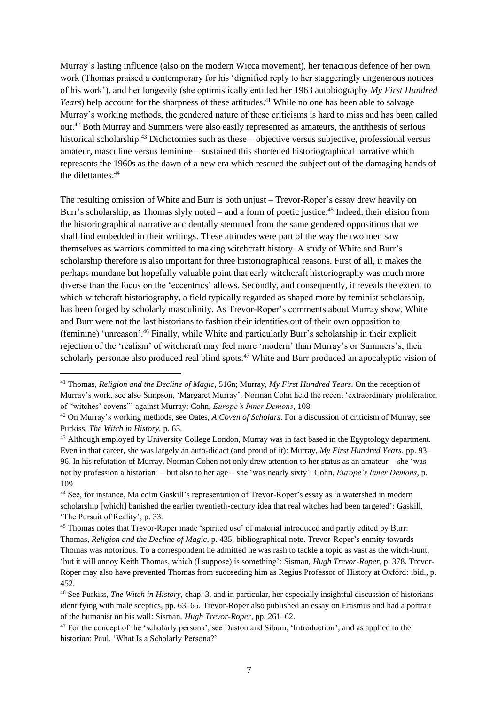Murray's lasting influence (also on the modern Wicca movement), her tenacious defence of her own work (Thomas praised a contemporary for his 'dignified reply to her staggeringly ungenerous notices of his work'), and her longevity (she optimistically entitled her 1963 autobiography *My First Hundred Years*) help account for the sharpness of these attitudes.<sup>41</sup> While no one has been able to salvage Murray's working methods, the gendered nature of these criticisms is hard to miss and has been called out.<sup>42</sup> Both Murray and Summers were also easily represented as amateurs, the antithesis of serious historical scholarship.<sup>43</sup> Dichotomies such as these – objective versus subjective, professional versus amateur, masculine versus feminine – sustained this shortened historiographical narrative which represents the 1960s as the dawn of a new era which rescued the subject out of the damaging hands of the dilettantes.<sup>44</sup>

The resulting omission of White and Burr is both unjust – Trevor-Roper's essay drew heavily on Burr's scholarship, as Thomas slyly noted – and a form of poetic justice.<sup>45</sup> Indeed, their elision from the historiographical narrative accidentally stemmed from the same gendered oppositions that we shall find embedded in their writings. These attitudes were part of the way the two men saw themselves as warriors committed to making witchcraft history. A study of White and Burr's scholarship therefore is also important for three historiographical reasons. First of all, it makes the perhaps mundane but hopefully valuable point that early witchcraft historiography was much more diverse than the focus on the 'eccentrics' allows. Secondly, and consequently, it reveals the extent to which witchcraft historiography, a field typically regarded as shaped more by feminist scholarship, has been forged by scholarly masculinity. As Trevor-Roper's comments about Murray show, White and Burr were not the last historians to fashion their identities out of their own opposition to (feminine) 'unreason'. <sup>46</sup> Finally, while White and particularly Burr's scholarship in their explicit rejection of the 'realism' of witchcraft may feel more 'modern' than Murray's or Summers's, their scholarly personae also produced real blind spots.<sup>47</sup> White and Burr produced an apocalyptic vision of

<sup>41</sup> Thomas, *Religion and the Decline of Magic*, 516n; Murray, *My First Hundred Years*. On the reception of Murray's work, see also Simpson, 'Margaret Murray'. Norman Cohn held the recent 'extraordinary proliferation of "witches' covens"' against Murray: Cohn, *Europe's Inner Demons*, 108.

<sup>42</sup> On Murray's working methods, see Oates, *A Coven of Scholars*. For a discussion of criticism of Murray, see Purkiss, *The Witch in History*, p. 63.

<sup>43</sup> Although employed by University College London, Murray was in fact based in the Egyptology department. Even in that career, she was largely an auto-didact (and proud of it): Murray, *My First Hundred Years*, pp. 93– 96. In his refutation of Murray, Norman Cohen not only drew attention to her status as an amateur – she 'was not by profession a historian' – but also to her age – she 'was nearly sixty': Cohn, *Europe's Inner Demons*, p. 109.

<sup>44</sup> See, for instance, Malcolm Gaskill's representation of Trevor-Roper's essay as 'a watershed in modern scholarship [which] banished the earlier twentieth-century idea that real witches had been targeted': Gaskill, 'The Pursuit of Reality', p. 33.

<sup>45</sup> Thomas notes that Trevor-Roper made 'spirited use' of material introduced and partly edited by Burr: Thomas, *Religion and the Decline of Magic*, p. 435, bibliographical note. Trevor-Roper's enmity towards Thomas was notorious. To a correspondent he admitted he was rash to tackle a topic as vast as the witch-hunt, 'but it will annoy Keith Thomas, which (I suppose) is something': Sisman, *Hugh Trevor-Roper*, p. 378. Trevor-Roper may also have prevented Thomas from succeeding him as Regius Professor of History at Oxford: ibid., p. 452.

<sup>46</sup> See Purkiss, *The Witch in History*, chap. 3, and in particular, her especially insightful discussion of historians identifying with male sceptics, pp. 63–65. Trevor-Roper also published an essay on Erasmus and had a portrait of the humanist on his wall: Sisman, *Hugh Trevor-Roper*, pp. 261–62.

<sup>&</sup>lt;sup>47</sup> For the concept of the 'scholarly persona', see Daston and Sibum, 'Introduction'; and as applied to the historian: Paul, 'What Is a Scholarly Persona?'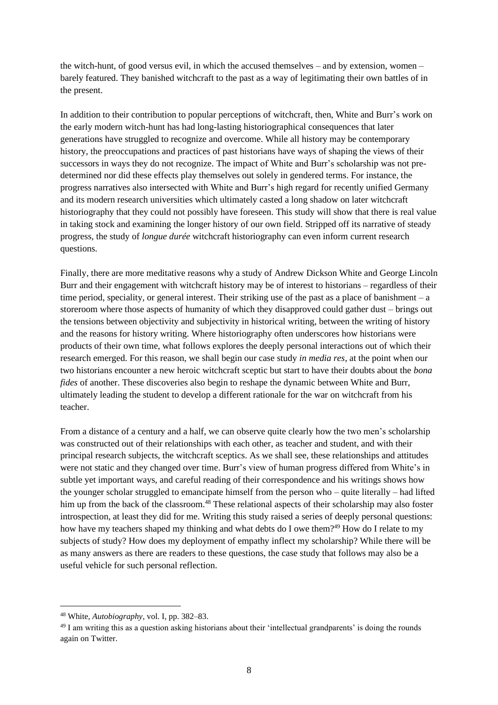the witch-hunt, of good versus evil, in which the accused themselves – and by extension, women – barely featured. They banished witchcraft to the past as a way of legitimating their own battles of in the present.

In addition to their contribution to popular perceptions of witchcraft, then, White and Burr's work on the early modern witch-hunt has had long-lasting historiographical consequences that later generations have struggled to recognize and overcome. While all history may be contemporary history, the preoccupations and practices of past historians have ways of shaping the views of their successors in ways they do not recognize. The impact of White and Burr's scholarship was not predetermined nor did these effects play themselves out solely in gendered terms. For instance, the progress narratives also intersected with White and Burr's high regard for recently unified Germany and its modern research universities which ultimately casted a long shadow on later witchcraft historiography that they could not possibly have foreseen. This study will show that there is real value in taking stock and examining the longer history of our own field. Stripped off its narrative of steady progress, the study of *longue durée* witchcraft historiography can even inform current research questions.

Finally, there are more meditative reasons why a study of Andrew Dickson White and George Lincoln Burr and their engagement with witchcraft history may be of interest to historians – regardless of their time period, speciality, or general interest. Their striking use of the past as a place of banishment – a storeroom where those aspects of humanity of which they disapproved could gather dust – brings out the tensions between objectivity and subjectivity in historical writing, between the writing of history and the reasons for history writing. Where historiography often underscores how historians were products of their own time, what follows explores the deeply personal interactions out of which their research emerged. For this reason, we shall begin our case study *in media res*, at the point when our two historians encounter a new heroic witchcraft sceptic but start to have their doubts about the *bona fides* of another. These discoveries also begin to reshape the dynamic between White and Burr, ultimately leading the student to develop a different rationale for the war on witchcraft from his teacher.

From a distance of a century and a half, we can observe quite clearly how the two men's scholarship was constructed out of their relationships with each other, as teacher and student, and with their principal research subjects, the witchcraft sceptics. As we shall see, these relationships and attitudes were not static and they changed over time. Burr's view of human progress differed from White's in subtle yet important ways, and careful reading of their correspondence and his writings shows how the younger scholar struggled to emancipate himself from the person who – quite literally – had lifted him up from the back of the classroom.<sup>48</sup> These relational aspects of their scholarship may also foster introspection, at least they did for me. Writing this study raised a series of deeply personal questions: how have my teachers shaped my thinking and what debts do I owe them?<sup>49</sup> How do I relate to my subjects of study? How does my deployment of empathy inflect my scholarship? While there will be as many answers as there are readers to these questions, the case study that follows may also be a useful vehicle for such personal reflection.

<sup>48</sup> White, *Autobiography*, vol. I, pp. 382–83.

<sup>&</sup>lt;sup>49</sup> I am writing this as a question asking historians about their 'intellectual grandparents' is doing the rounds again on Twitter.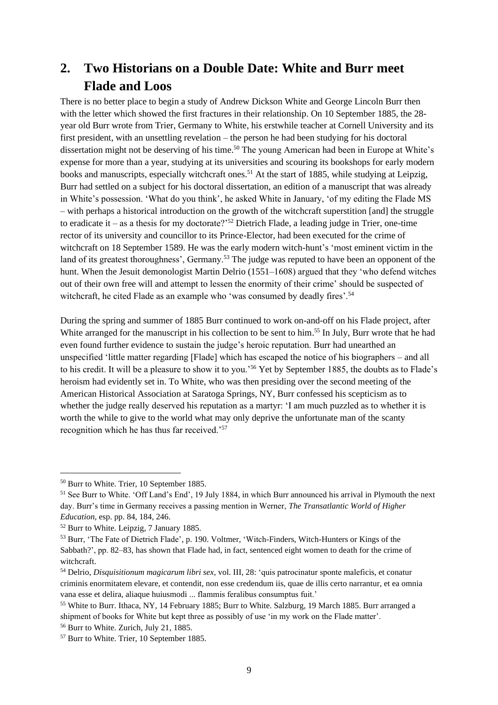# **2. Two Historians on a Double Date: White and Burr meet Flade and Loos**

There is no better place to begin a study of Andrew Dickson White and George Lincoln Burr then with the letter which showed the first fractures in their relationship. On 10 September 1885, the 28 year old Burr wrote from Trier, Germany to White, his erstwhile teacher at Cornell University and its first president, with an unsettling revelation – the person he had been studying for his doctoral dissertation might not be deserving of his time. <sup>50</sup> The young American had been in Europe at White's expense for more than a year, studying at its universities and scouring its bookshops for early modern books and manuscripts, especially witchcraft ones.<sup>51</sup> At the start of 1885, while studying at Leipzig, Burr had settled on a subject for his doctoral dissertation, an edition of a manuscript that was already in White's possession. 'What do you think', he asked White in January, 'of my editing the Flade MS – with perhaps a historical introduction on the growth of the witchcraft superstition [and] the struggle to eradicate it – as a thesis for my doctorate?<sup> $252$ </sup> Dietrich Flade, a leading judge in Trier, one-time rector of its university and councillor to its Prince-Elector, had been executed for the crime of witchcraft on 18 September 1589. He was the early modern witch-hunt's 'most eminent victim in the land of its greatest thoroughness', Germany.<sup>53</sup> The judge was reputed to have been an opponent of the hunt. When the Jesuit demonologist Martin Delrio (1551–1608) argued that they 'who defend witches out of their own free will and attempt to lessen the enormity of their crime' should be suspected of witchcraft, he cited Flade as an example who 'was consumed by deadly fires'.<sup>54</sup>

During the spring and summer of 1885 Burr continued to work on-and-off on his Flade project, after White arranged for the manuscript in his collection to be sent to him.<sup>55</sup> In July, Burr wrote that he had even found further evidence to sustain the judge's heroic reputation. Burr had unearthed an unspecified 'little matter regarding [Flade] which has escaped the notice of his biographers – and all to his credit. It will be a pleasure to show it to you.'<sup>56</sup> Yet by September 1885, the doubts as to Flade's heroism had evidently set in. To White, who was then presiding over the second meeting of the American Historical Association at Saratoga Springs, NY, Burr confessed his scepticism as to whether the judge really deserved his reputation as a martyr: 'I am much puzzled as to whether it is worth the while to give to the world what may only deprive the unfortunate man of the scanty recognition which he has thus far received.'<sup>57</sup>

<sup>56</sup> Burr to White. Zurich, July 21, 1885.

<sup>50</sup> Burr to White. Trier, 10 September 1885.

<sup>51</sup> See Burr to White. 'Off Land's End', 19 July 1884, in which Burr announced his arrival in Plymouth the next day. Burr's time in Germany receives a passing mention in Werner, *The Transatlantic World of Higher Education*, esp. pp. 84, 184, 246.

<sup>52</sup> Burr to White. Leipzig, 7 January 1885.

<sup>53</sup> Burr, 'The Fate of Dietrich Flade', p. 190. Voltmer, 'Witch-Finders, Witch-Hunters or Kings of the Sabbath?', pp. 82–83, has shown that Flade had, in fact, sentenced eight women to death for the crime of witchcraft.

<sup>54</sup> Delrio, *Disquisitionum magicarum libri sex*, vol. III, 28: 'quis patrocinatur sponte maleficis, et conatur criminis enormitatem elevare, et contendit, non esse credendum iis, quae de illis certo narrantur, et ea omnia vana esse et delira, aliaque huiusmodi ... flammis feralibus consumptus fuit.'

<sup>55</sup> White to Burr. Ithaca, NY, 14 February 1885; Burr to White. Salzburg, 19 March 1885. Burr arranged a shipment of books for White but kept three as possibly of use 'in my work on the Flade matter'.

<sup>57</sup> Burr to White. Trier, 10 September 1885.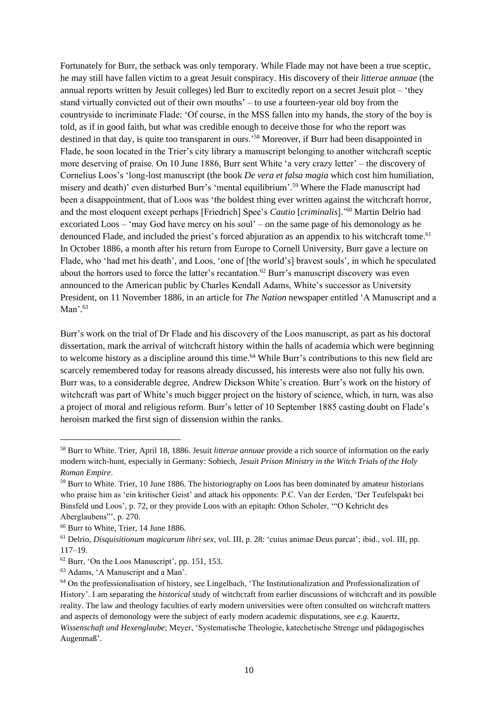Fortunately for Burr, the setback was only temporary. While Flade may not have been a true sceptic, he may still have fallen victim to a great Jesuit conspiracy. His discovery of their *litterae annuae* (the annual reports written by Jesuit colleges) led Burr to excitedly report on a secret Jesuit plot – 'they stand virtually convicted out of their own mouths' – to use a fourteen-year old boy from the countryside to incriminate Flade: 'Of course, in the MSS fallen into my hands, the story of the boy is told, as if in good faith, but what was credible enough to deceive those for who the report was destined in that day, is quite too transparent in ours.'<sup>58</sup> Moreover, if Burr had been disappointed in Flade, he soon located in the Trier's city library a manuscript belonging to another witchcraft sceptic more deserving of praise. On 10 June 1886, Burr sent White 'a very crazy letter' – the discovery of Cornelius Loos's 'long-lost manuscript (the book *De vera et falsa magia* which cost him humiliation, misery and death)' even disturbed Burr's 'mental equilibrium'.<sup>59</sup> Where the Flade manuscript had been a disappointment, that of Loos was 'the boldest thing ever written against the witchcraft horror, and the most eloquent except perhaps [Friedrich] Spee's *Cautio* [*criminalis*].'<sup>60</sup> Martin Delrio had excoriated Loos – 'may God have mercy on his soul' – on the same page of his demonology as he denounced Flade, and included the priest's forced abjuration as an appendix to his witchcraft tome.<sup>61</sup> In October 1886, a month after his return from Europe to Cornell University, Burr gave a lecture on Flade, who 'had met his death', and Loos, 'one of [the world's] bravest souls', in which he speculated about the horrors used to force the latter's recantation.<sup>62</sup> Burr's manuscript discovery was even announced to the American public by Charles Kendall Adams, White's successor as University President, on 11 November 1886, in an article for *The Nation* newspaper entitled 'A Manuscript and a Man'*.* 63

Burr's work on the trial of Dr Flade and his discovery of the Loos manuscript, as part as his doctoral dissertation, mark the arrival of witchcraft history within the halls of academia which were beginning to welcome history as a discipline around this time.<sup>64</sup> While Burr's contributions to this new field are scarcely remembered today for reasons already discussed, his interests were also not fully his own. Burr was, to a considerable degree, Andrew Dickson White's creation. Burr's work on the history of witchcraft was part of White's much bigger project on the history of science, which, in turn, was also a project of moral and religious reform. Burr's letter of 10 September 1885 casting doubt on Flade's heroism marked the first sign of dissension within the ranks.

<sup>58</sup> Burr to White. Trier, April 18, 1886. Jesuit *litterae annuae* provide a rich source of information on the early modern witch-hunt, especially in Germany: Sobiech, *Jesuit Prison Ministry in the Witch Trials of the Holy Roman Empire*.

<sup>&</sup>lt;sup>59</sup> Burr to White. Trier, 10 June 1886. The historiography on Loos has been dominated by amateur historians who praise him as 'ein kritischer Geist' and attack his opponents: P.C. Van der Eerden, 'Der Teufelspakt bei Binsfeld und Loos', p. 72, or they provide Loos with an epitaph: Othon Scholer, '"O Kehricht des Aberglaubens"', p. 270.

<sup>60</sup> Burr to White, Trier, 14 June 1886.

<sup>61</sup> Delrio, *Disquisitionum magicarum libri sex*, vol. III, p. 28: 'cuius animae Deus parcat'; ibid., vol. III, pp. 117–19.

<sup>62</sup> Burr, 'On the Loos Manuscript', pp. 151, 153.

<sup>63</sup> Adams, 'A Manuscript and a Man'.

<sup>64</sup> On the professionalisation of history, see Lingelbach, 'The Institutionalization and Professionalization of History'. I am separating the *historical* study of witchcraft from earlier discussions of witchcraft and its possible reality. The law and theology faculties of early modern universities were often consulted on witchcraft matters and aspects of demonology were the subject of early modern academic disputations, see *e.g.* Kauertz, *Wissenschaft und Hexenglaube*; Meyer, 'Systematische Theologie, katechetische Strenge und pädagogisches Augenmaß'.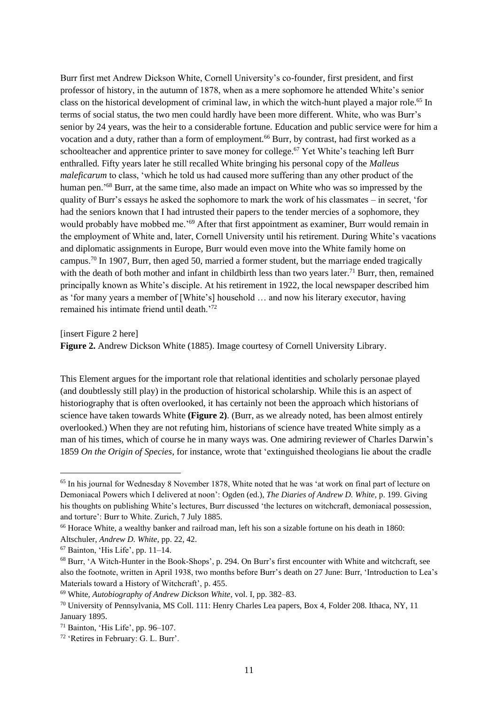Burr first met Andrew Dickson White, Cornell University's co-founder, first president, and first professor of history, in the autumn of 1878, when as a mere sophomore he attended White's senior class on the historical development of criminal law, in which the witch-hunt played a major role.<sup>65</sup> In terms of social status, the two men could hardly have been more different. White, who was Burr's senior by 24 years, was the heir to a considerable fortune. Education and public service were for him a vocation and a duty, rather than a form of employment.<sup>66</sup> Burr, by contrast, had first worked as a schoolteacher and apprentice printer to save money for college.<sup>67</sup> Yet White's teaching left Burr enthralled. Fifty years later he still recalled White bringing his personal copy of the *Malleus maleficarum* to class, 'which he told us had caused more suffering than any other product of the human pen.<sup>'68</sup> Burr, at the same time, also made an impact on White who was so impressed by the quality of Burr's essays he asked the sophomore to mark the work of his classmates – in secret, 'for had the seniors known that I had intrusted their papers to the tender mercies of a sophomore, they would probably have mobbed me.'<sup>69</sup> After that first appointment as examiner, Burr would remain in the employment of White and, later, Cornell University until his retirement. During White's vacations and diplomatic assignments in Europe, Burr would even move into the White family home on campus.<sup>70</sup> In 1907, Burr, then aged 50, married a former student, but the marriage ended tragically with the death of both mother and infant in childbirth less than two years later.<sup>71</sup> Burr, then, remained principally known as White's disciple. At his retirement in 1922, the local newspaper described him as 'for many years a member of [White's] household … and now his literary executor, having remained his intimate friend until death.'<sup>72</sup>

[insert Figure 2 here]

**Figure 2.** Andrew Dickson White (1885). Image courtesy of Cornell University Library.

This Element argues for the important role that relational identities and scholarly personae played (and doubtlessly still play) in the production of historical scholarship. While this is an aspect of historiography that is often overlooked, it has certainly not been the approach which historians of science have taken towards White **(Figure 2)**. (Burr, as we already noted, has been almost entirely overlooked.) When they are not refuting him, historians of science have treated White simply as a man of his times, which of course he in many ways was. One admiring reviewer of Charles Darwin's 1859 *On the Origin of Species*, for instance, wrote that 'extinguished theologians lie about the cradle

<sup>&</sup>lt;sup>65</sup> In his journal for Wednesday 8 November 1878, White noted that he was 'at work on final part of lecture on Demoniacal Powers which I delivered at noon': Ogden (ed.), *The Diaries of Andrew D. White*, p. 199. Giving his thoughts on publishing White's lectures, Burr discussed 'the lectures on witchcraft, demoniacal possession, and torture': Burr to White. Zurich, 7 July 1885.

<sup>66</sup> Horace White, a wealthy banker and railroad man, left his son a sizable fortune on his death in 1860: Altschuler, *Andrew D. White*, pp. 22, 42.

 $67$  Bainton, 'His Life', pp. 11–14.

<sup>68</sup> Burr, 'A Witch-Hunter in the Book-Shops', p. 294. On Burr's first encounter with White and witchcraft, see also the footnote, written in April 1938, two months before Burr's death on 27 June: Burr, 'Introduction to Lea's Materials toward a History of Witchcraft', p. 455.

<sup>69</sup> White, *Autobiography of Andrew Dickson White*, vol. I, pp. 382–83.

<sup>70</sup> University of Pennsylvania, MS Coll. 111: Henry Charles Lea papers, Box 4, Folder 208. Ithaca, NY, 11 January 1895.

 $71$  Bainton, 'His Life', pp. 96–107.

<sup>72</sup> 'Retires in February: G. L. Burr'.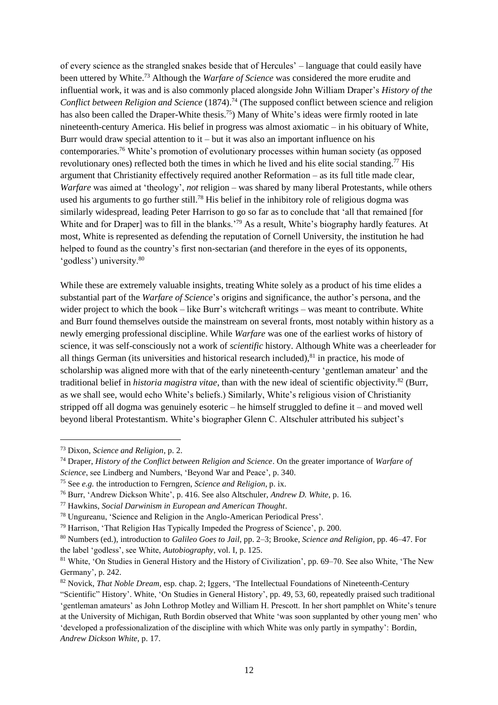of every science as the strangled snakes beside that of Hercules' – language that could easily have been uttered by White.<sup>73</sup> Although the *Warfare of Science* was considered the more erudite and influential work, it was and is also commonly placed alongside John William Draper's *History of the Conflict between Religion and Science* (1874).<sup>74</sup> (The supposed conflict between science and religion has also been called the Draper-White thesis.<sup>75</sup>) Many of White's ideas were firmly rooted in late nineteenth-century America. His belief in progress was almost axiomatic – in his obituary of White, Burr would draw special attention to it  $-$  but it was also an important influence on his contemporaries.<sup>76</sup> White's promotion of evolutionary processes within human society (as opposed revolutionary ones) reflected both the times in which he lived and his elite social standing.<sup>77</sup> His argument that Christianity effectively required another Reformation – as its full title made clear, *Warfare* was aimed at 'theology', *not* religion – was shared by many liberal Protestants, while others used his arguments to go further still.<sup>78</sup> His belief in the inhibitory role of religious dogma was similarly widespread, leading Peter Harrison to go so far as to conclude that 'all that remained [for White and for Draper] was to fill in the blanks.'<sup>79</sup> As a result, White's biography hardly features. At most, White is represented as defending the reputation of Cornell University, the institution he had helped to found as the country's first non-sectarian (and therefore in the eyes of its opponents, 'godless') university.<sup>80</sup>

While these are extremely valuable insights, treating White solely as a product of his time elides a substantial part of the *Warfare of Science*'s origins and significance, the author's persona, and the wider project to which the book – like Burr's witchcraft writings – was meant to contribute. White and Burr found themselves outside the mainstream on several fronts, most notably within history as a newly emerging professional discipline. While *Warfare* was one of the earliest works of history of science, it was self-consciously not a work of *scientific* history. Although White was a cheerleader for all things German (its universities and historical research included),<sup>81</sup> in practice, his mode of scholarship was aligned more with that of the early nineteenth-century 'gentleman amateur' and the traditional belief in *historia magistra vitae*, than with the new ideal of scientific objectivity.<sup>82</sup> (Burr, as we shall see, would echo White's beliefs.) Similarly, White's religious vision of Christianity stripped off all dogma was genuinely esoteric – he himself struggled to define it – and moved well beyond liberal Protestantism. White's biographer Glenn C. Altschuler attributed his subject's

<sup>73</sup> Dixon, *Science and Religion*, p. 2.

<sup>74</sup> Draper, *History of the Conflict between Religion and Science*. On the greater importance of *Warfare of Science*, see Lindberg and Numbers, 'Beyond War and Peace', p. 340.

<sup>75</sup> See *e.g.* the introduction to Ferngren, *Science and Religion*, p. ix.

<sup>76</sup> Burr, 'Andrew Dickson White', p. 416. See also Altschuler, *Andrew D. White,* p. 16.

<sup>77</sup> Hawkins, *Social Darwinism in European and American Thought*.

<sup>78</sup> Ungureanu, 'Science and Religion in the Anglo-American Periodical Press'.

<sup>79</sup> Harrison, 'That Religion Has Typically Impeded the Progress of Science', p. 200.

<sup>80</sup> Numbers (ed.), introduction to *Galileo Goes to Jail*, pp. 2–3; Brooke, *Science and Religion*, pp. 46–47. For the label 'godless', see White, *Autobiography*, vol. I, p. 125.

<sup>81</sup> White, 'On Studies in General History and the History of Civilization', pp. 69–70. See also White, 'The New Germany', p. 242.

<sup>82</sup> Novick, *That Noble Dream*, esp. chap. 2; Iggers, 'The Intellectual Foundations of Nineteenth-Century "Scientific" History'. White, 'On Studies in General History', pp. 49, 53, 60, repeatedly praised such traditional 'gentleman amateurs' as John Lothrop Motley and William H. Prescott. In her short pamphlet on White's tenure at the University of Michigan, Ruth Bordin observed that White 'was soon supplanted by other young men' who 'developed a professionalization of the discipline with which White was only partly in sympathy': Bordin, *Andrew Dickson White*, p. 17.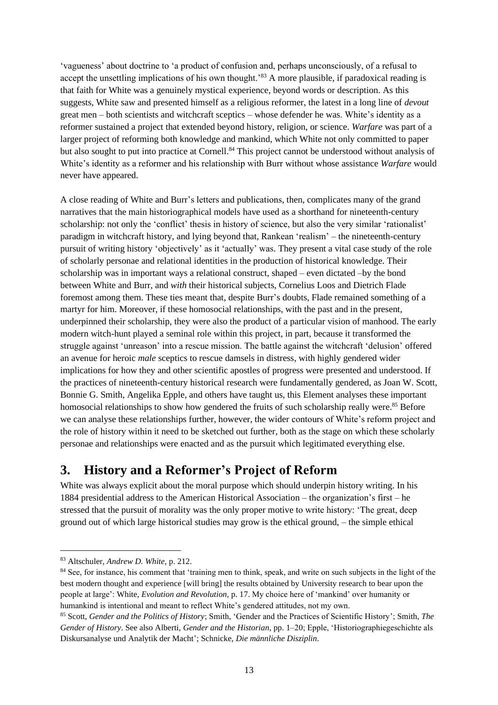'vagueness' about doctrine to 'a product of confusion and, perhaps unconsciously, of a refusal to accept the unsettling implications of his own thought.<sup>83</sup> A more plausible, if paradoxical reading is that faith for White was a genuinely mystical experience, beyond words or description. As this suggests, White saw and presented himself as a religious reformer, the latest in a long line of *devout* great men – both scientists and witchcraft sceptics – whose defender he was. White's identity as a reformer sustained a project that extended beyond history, religion, or science. *Warfare* was part of a larger project of reforming both knowledge and mankind, which White not only committed to paper but also sought to put into practice at Cornell.<sup>84</sup> This project cannot be understood without analysis of White's identity as a reformer and his relationship with Burr without whose assistance *Warfare* would never have appeared.

A close reading of White and Burr's letters and publications, then, complicates many of the grand narratives that the main historiographical models have used as a shorthand for nineteenth-century scholarship: not only the 'conflict' thesis in history of science, but also the very similar 'rationalist' paradigm in witchcraft history, and lying beyond that, Rankean 'realism' – the nineteenth-century pursuit of writing history 'objectively' as it 'actually' was. They present a vital case study of the role of scholarly personae and relational identities in the production of historical knowledge. Their scholarship was in important ways a relational construct, shaped – even dictated –by the bond between White and Burr, and *with* their historical subjects, Cornelius Loos and Dietrich Flade foremost among them. These ties meant that, despite Burr's doubts, Flade remained something of a martyr for him. Moreover, if these homosocial relationships, with the past and in the present, underpinned their scholarship, they were also the product of a particular vision of manhood. The early modern witch-hunt played a seminal role within this project, in part, because it transformed the struggle against 'unreason' into a rescue mission. The battle against the witchcraft 'delusion' offered an avenue for heroic *male* sceptics to rescue damsels in distress, with highly gendered wider implications for how they and other scientific apostles of progress were presented and understood. If the practices of nineteenth-century historical research were fundamentally gendered, as Joan W. Scott, Bonnie G. Smith, Angelika Epple, and others have taught us, this Element analyses these important homosocial relationships to show how gendered the fruits of such scholarship really were.<sup>85</sup> Before we can analyse these relationships further, however, the wider contours of White's reform project and the role of history within it need to be sketched out further, both as the stage on which these scholarly personae and relationships were enacted and as the pursuit which legitimated everything else.

### **3. History and a Reformer's Project of Reform**

White was always explicit about the moral purpose which should underpin history writing. In his 1884 presidential address to the American Historical Association – the organization's first – he stressed that the pursuit of morality was the only proper motive to write history: 'The great, deep ground out of which large historical studies may grow is the ethical ground, – the simple ethical

<sup>83</sup> Altschuler, *Andrew D. White*, p. 212.

<sup>&</sup>lt;sup>84</sup> See, for instance, his comment that 'training men to think, speak, and write on such subjects in the light of the best modern thought and experience [will bring] the results obtained by University research to bear upon the people at large': White, *Evolution and Revolution*, p. 17. My choice here of 'mankind' over humanity or humankind is intentional and meant to reflect White's gendered attitudes, not my own.

<sup>85</sup> Scott, *Gender and the Politics of History*; Smith, 'Gender and the Practices of Scientific History'; Smith, *The Gender of History*. See also Alberti, *Gender and the Historian*, pp. 1–20; Epple, 'Historiographiegeschichte als Diskursanalyse und Analytik der Macht'; Schnicke, *Die männliche Disziplin*.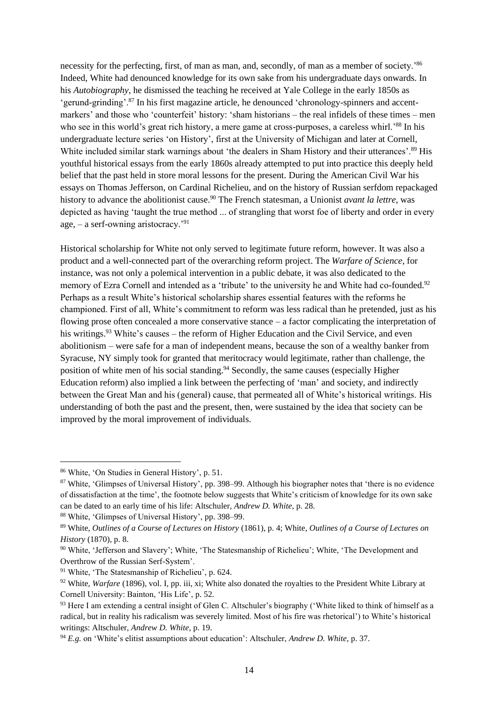necessity for the perfecting, first, of man as man, and, secondly, of man as a member of society.<sup>86</sup> Indeed, White had denounced knowledge for its own sake from his undergraduate days onwards. In his *Autobiography*, he dismissed the teaching he received at Yale College in the early 1850s as 'gerund-grinding'.<sup>87</sup> In his first magazine article, he denounced 'chronology-spinners and accentmarkers' and those who 'counterfeit' history: 'sham historians – the real infidels of these times – men who see in this world's great rich history, a mere game at cross-purposes, a careless whirl.<sup>88</sup> In his undergraduate lecture series 'on History', first at the University of Michigan and later at Cornell, White included similar stark warnings about 'the dealers in Sham History and their utterances'.<sup>89</sup> His youthful historical essays from the early 1860s already attempted to put into practice this deeply held belief that the past held in store moral lessons for the present. During the American Civil War his essays on Thomas Jefferson, on Cardinal Richelieu, and on the history of Russian serfdom repackaged history to advance the abolitionist cause.<sup>90</sup> The French statesman, a Unionist *avant la lettre*, was depicted as having 'taught the true method ... of strangling that worst foe of liberty and order in every age,  $-$  a serf-owning aristocracy.<sup>'91</sup>

Historical scholarship for White not only served to legitimate future reform, however. It was also a product and a well-connected part of the overarching reform project. The *Warfare of Science*, for instance, was not only a polemical intervention in a public debate, it was also dedicated to the memory of Ezra Cornell and intended as a 'tribute' to the university he and White had co-founded.<sup>92</sup> Perhaps as a result White's historical scholarship shares essential features with the reforms he championed. First of all, White's commitment to reform was less radical than he pretended, just as his flowing prose often concealed a more conservative stance – a factor complicating the interpretation of his writings.<sup>93</sup> White's causes – the reform of Higher Education and the Civil Service, and even abolitionism – were safe for a man of independent means, because the son of a wealthy banker from Syracuse, NY simply took for granted that meritocracy would legitimate, rather than challenge, the position of white men of his social standing.<sup>94</sup> Secondly, the same causes (especially Higher Education reform) also implied a link between the perfecting of 'man' and society, and indirectly between the Great Man and his (general) cause, that permeated all of White's historical writings. His understanding of both the past and the present, then, were sustained by the idea that society can be improved by the moral improvement of individuals.

<sup>86</sup> White, 'On Studies in General History', p. 51.

<sup>87</sup> White, 'Glimpses of Universal History', pp. 398–99. Although his biographer notes that 'there is no evidence of dissatisfaction at the time', the footnote below suggests that White's criticism of knowledge for its own sake can be dated to an early time of his life: Altschuler, *Andrew D. White*, p. 28.

<sup>88</sup> White, 'Glimpses of Universal History', pp. 398–99.

<sup>89</sup> White, *Outlines of a Course of Lectures on History* (1861), p. 4; White, *Outlines of a Course of Lectures on History* (1870), p. 8.

<sup>90</sup> White, 'Jefferson and Slavery'; White, 'The Statesmanship of Richelieu'; White, 'The Development and Overthrow of the Russian Serf-System'.

<sup>91</sup> White, 'The Statesmanship of Richelieu', p. 624.

<sup>92</sup> White, *Warfare* (1896), vol. I, pp. iii, xi; White also donated the royalties to the President White Library at Cornell University: Bainton, 'His Life', p. 52.

<sup>93</sup> Here I am extending a central insight of Glen C. Altschuler's biography ('White liked to think of himself as a radical, but in reality his radicalism was severely limited. Most of his fire was rhetorical') to White's historical writings: Altschuler, *Andrew D. White*, p. 19.

<sup>94</sup> *E.g.* on 'White's elitist assumptions about education': Altschuler, *Andrew D. White*, p. 37.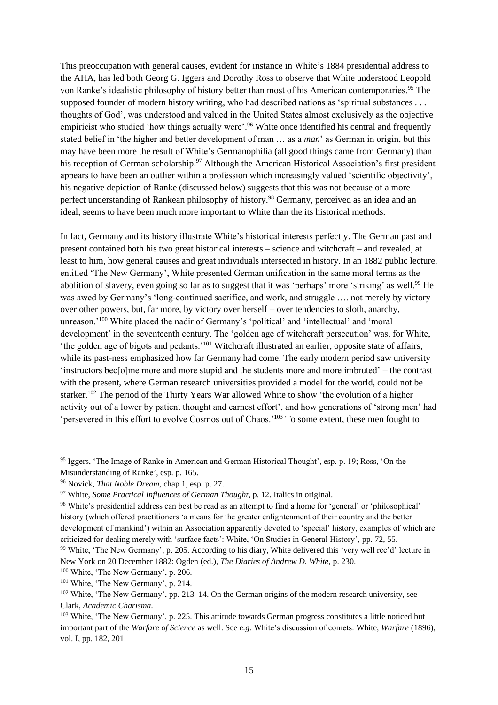This preoccupation with general causes, evident for instance in White's 1884 presidential address to the AHA, has led both Georg G. Iggers and Dorothy Ross to observe that White understood Leopold von Ranke's idealistic philosophy of history better than most of his American contemporaries.<sup>95</sup> The supposed founder of modern history writing, who had described nations as 'spiritual substances . . . thoughts of God', was understood and valued in the United States almost exclusively as the objective empiricist who studied 'how things actually were'.<sup>96</sup> White once identified his central and frequently stated belief in 'the higher and better development of man … as a *man*' as German in origin, but this may have been more the result of White's Germanophilia (all good things came from Germany) than his reception of German scholarship.<sup>97</sup> Although the American Historical Association's first president appears to have been an outlier within a profession which increasingly valued 'scientific objectivity', his negative depiction of Ranke (discussed below) suggests that this was not because of a more perfect understanding of Rankean philosophy of history.<sup>98</sup> Germany, perceived as an idea and an ideal, seems to have been much more important to White than the its historical methods.

In fact, Germany and its history illustrate White's historical interests perfectly. The German past and present contained both his two great historical interests – science and witchcraft – and revealed, at least to him, how general causes and great individuals intersected in history. In an 1882 public lecture, entitled 'The New Germany', White presented German unification in the same moral terms as the abolition of slavery, even going so far as to suggest that it was 'perhaps' more 'striking' as well.<sup>99</sup> He was awed by Germany's 'long-continued sacrifice, and work, and struggle …. not merely by victory over other powers, but, far more, by victory over herself – over tendencies to sloth, anarchy, unreason.'<sup>100</sup> White placed the nadir of Germany's 'political' and 'intellectual' and 'moral development' in the seventeenth century. The 'golden age of witchcraft persecution' was, for White, 'the golden age of bigots and pedants.'<sup>101</sup> Witchcraft illustrated an earlier, opposite state of affairs, while its past-ness emphasized how far Germany had come. The early modern period saw university 'instructors bec[o]me more and more stupid and the students more and more imbruted' – the contrast with the present, where German research universities provided a model for the world, could not be starker.<sup>102</sup> The period of the Thirty Years War allowed White to show 'the evolution of a higher activity out of a lower by patient thought and earnest effort', and how generations of 'strong men' had 'persevered in this effort to evolve Cosmos out of Chaos.'<sup>103</sup> To some extent, these men fought to

<sup>&</sup>lt;sup>95</sup> Iggers, 'The Image of Ranke in American and German Historical Thought', esp. p. 19; Ross, 'On the Misunderstanding of Ranke', esp. p. 165.

<sup>96</sup> Novick, *That Noble Dream*, chap 1, esp. p. 27.

<sup>97</sup> White, *Some Practical Influences of German Thought*, p. 12. Italics in original.

<sup>98</sup> White's presidential address can best be read as an attempt to find a home for 'general' or 'philosophical' history (which offered practitioners 'a means for the greater enlightenment of their country and the better development of mankind') within an Association apparently devoted to 'special' history, examples of which are criticized for dealing merely with 'surface facts': White, 'On Studies in General History', pp. 72, 55. <sup>99</sup> White, 'The New Germany', p. 205. According to his diary, White delivered this 'very well rec'd' lecture in New York on 20 December 1882: Ogden (ed.), *The Diaries of Andrew D. White*, p. 230.

<sup>100</sup> White, 'The New Germany', p. 206.

<sup>&</sup>lt;sup>101</sup> White, 'The New Germany', p. 214.

<sup>&</sup>lt;sup>102</sup> White, 'The New Germany', pp. 213–14. On the German origins of the modern research university, see Clark, *Academic Charisma.*

<sup>103</sup> White, 'The New Germany', p. 225. This attitude towards German progress constitutes a little noticed but important part of the *Warfare of Science* as well. See *e.g.* White's discussion of comets: White, *Warfare* (1896), vol. I, pp. 182, 201.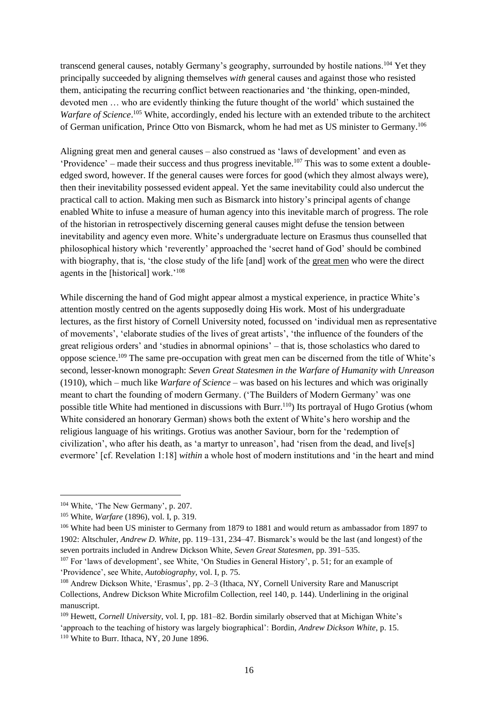transcend general causes, notably Germany's geography, surrounded by hostile nations.<sup>104</sup> Yet they principally succeeded by aligning themselves *with* general causes and against those who resisted them, anticipating the recurring conflict between reactionaries and 'the thinking, open-minded, devoted men … who are evidently thinking the future thought of the world' which sustained the Warfare of Science.<sup>105</sup> White, accordingly, ended his lecture with an extended tribute to the architect of German unification, Prince Otto von Bismarck, whom he had met as US minister to Germany.<sup>106</sup>

Aligning great men and general causes – also construed as 'laws of development' and even as 'Providence' – made their success and thus progress inevitable.<sup>107</sup> This was to some extent a doubleedged sword, however. If the general causes were forces for good (which they almost always were), then their inevitability possessed evident appeal. Yet the same inevitability could also undercut the practical call to action. Making men such as Bismarck into history's principal agents of change enabled White to infuse a measure of human agency into this inevitable march of progress. The role of the historian in retrospectively discerning general causes might defuse the tension between inevitability and agency even more. White's undergraduate lecture on Erasmus thus counselled that philosophical history which 'reverently' approached the 'secret hand of God' should be combined with biography, that is, 'the close study of the life [and] work of the great men who were the direct agents in the [historical] work.'<sup>108</sup>

While discerning the hand of God might appear almost a mystical experience, in practice White's attention mostly centred on the agents supposedly doing His work. Most of his undergraduate lectures, as the first history of Cornell University noted, focussed on 'individual men as representative of movements', 'elaborate studies of the lives of great artists', 'the influence of the founders of the great religious orders' and 'studies in abnormal opinions' – that is, those scholastics who dared to oppose science.<sup>109</sup> The same pre-occupation with great men can be discerned from the title of White's second, lesser-known monograph: *Seven Great Statesmen in the Warfare of Humanity with Unreason* (1910), which – much like *Warfare of Science* – was based on his lectures and which was originally meant to chart the founding of modern Germany. ('The Builders of Modern Germany' was one possible title White had mentioned in discussions with Burr.<sup>110</sup>) Its portrayal of Hugo Grotius (whom White considered an honorary German) shows both the extent of White's hero worship and the religious language of his writings. Grotius was another Saviour, born for the 'redemption of civilization', who after his death, as 'a martyr to unreason', had 'risen from the dead, and live[s] evermore' [cf. Revelation 1:18] *within* a whole host of modern institutions and 'in the heart and mind

<sup>104</sup> White, 'The New Germany', p. 207.

<sup>105</sup> White, *Warfare* (1896), vol. I, p. 319.

<sup>106</sup> White had been US minister to Germany from 1879 to 1881 and would return as ambassador from 1897 to 1902: Altschuler, *Andrew D. White*, pp. 119–131, 234–47. Bismarck's would be the last (and longest) of the seven portraits included in Andrew Dickson White, *Seven Great Statesmen*, pp. 391–535.

<sup>107</sup> For 'laws of development', see White, 'On Studies in General History', p. 51; for an example of 'Providence', see White, *Autobiography*, vol. I, p. 75.

<sup>108</sup> Andrew Dickson White, 'Erasmus', pp. 2–3 (Ithaca, NY, Cornell University Rare and Manuscript Collections, Andrew Dickson White Microfilm Collection, reel 140, p. 144). Underlining in the original manuscript.

<sup>109</sup> Hewett, *Cornell University*, vol. I, pp. 181–82. Bordin similarly observed that at Michigan White's 'approach to the teaching of history was largely biographical': Bordin, *Andrew Dickson White*, p. 15. <sup>110</sup> White to Burr. Ithaca, NY, 20 June 1896.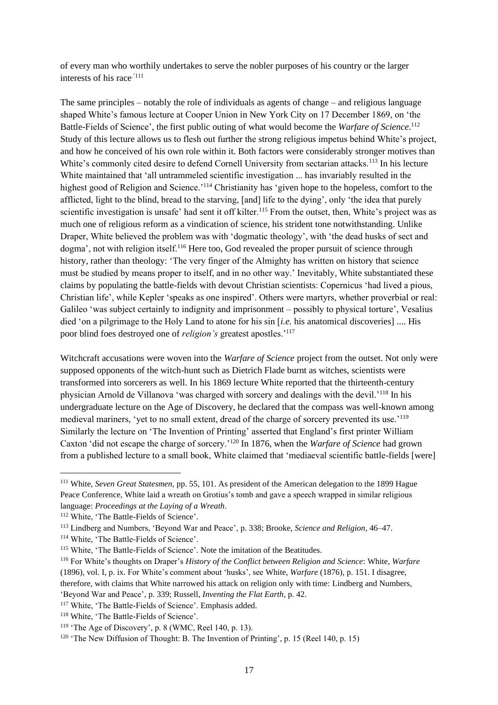of every man who worthily undertakes to serve the nobler purposes of his country or the larger interests of his race.'111

The same principles – notably the role of individuals as agents of change – and religious language shaped White's famous lecture at Cooper Union in New York City on 17 December 1869, on 'the Battle-Fields of Science', the first public outing of what would become the *Warfare of Science*. 112 Study of this lecture allows us to flesh out further the strong religious impetus behind White's project, and how he conceived of his own role within it. Both factors were considerably stronger motives than White's commonly cited desire to defend Cornell University from sectarian attacks.<sup>113</sup> In his lecture White maintained that 'all untrammeled scientific investigation ... has invariably resulted in the highest good of Religion and Science.'<sup>114</sup> Christianity has 'given hope to the hopeless, comfort to the afflicted, light to the blind, bread to the starving, [and] life to the dying', only 'the idea that purely scientific investigation is unsafe' had sent it off kilter.<sup>115</sup> From the outset, then, White's project was as much one of religious reform as a vindication of science, his strident tone notwithstanding. Unlike Draper, White believed the problem was with 'dogmatic theology', with 'the dead husks of sect and dogma', not with religion itself.<sup>116</sup> Here too, God revealed the proper pursuit of science through history, rather than theology: 'The very finger of the Almighty has written on history that science must be studied by means proper to itself, and in no other way.' Inevitably, White substantiated these claims by populating the battle-fields with devout Christian scientists: Copernicus 'had lived a pious, Christian life', while Kepler 'speaks as one inspired'. Others were martyrs, whether proverbial or real: Galileo 'was subject certainly to indignity and imprisonment – possibly to physical torture', Vesalius died 'on a pilgrimage to the Holy Land to atone for his sin [*i.e.* his anatomical discoveries] .... His poor blind foes destroyed one of *religion's* greatest apostles.'<sup>117</sup>

Witchcraft accusations were woven into the *Warfare of Science* project from the outset. Not only were supposed opponents of the witch-hunt such as Dietrich Flade burnt as witches, scientists were transformed into sorcerers as well. In his 1869 lecture White reported that the thirteenth-century physician Arnold de Villanova 'was charged with sorcery and dealings with the devil.'<sup>118</sup> In his undergraduate lecture on the Age of Discovery, he declared that the compass was well-known among medieval mariners, 'yet to no small extent, dread of the charge of sorcery prevented its use.'<sup>119</sup> Similarly the lecture on 'The Invention of Printing' asserted that England's first printer William Caxton 'did not escape the charge of sorcery.'<sup>120</sup> In 1876, when the *Warfare of Science* had grown from a published lecture to a small book, White claimed that 'mediaeval scientific battle-fields [were]

<sup>111</sup> White, *Seven Great Statesmen,* pp. 55, 101. As president of the American delegation to the 1899 Hague Peace Conference, White laid a wreath on Grotius's tomb and gave a speech wrapped in similar religious language: *Proceedings at the Laying of a Wreath*.

<sup>&</sup>lt;sup>112</sup> White, 'The Battle-Fields of Science'.

<sup>113</sup> Lindberg and Numbers, 'Beyond War and Peace', p. 338; Brooke, *Science and Religion*, 46–47.

<sup>114</sup> White, 'The Battle-Fields of Science'.

<sup>115</sup> White, 'The Battle-Fields of Science'. Note the imitation of the Beatitudes.

<sup>116</sup> For White's thoughts on Draper's *History of the Conflict between Religion and Science*: White, *Warfare* (1896), vol. I, p. ix. For White's comment about 'husks', see White, *Warfare* (1876), p. 151. I disagree, therefore, with claims that White narrowed his attack on religion only with time: Lindberg and Numbers,

<sup>&#</sup>x27;Beyond War and Peace', p. 339; Russell, *Inventing the Flat Earth*, p. 42.

<sup>&</sup>lt;sup>117</sup> White, 'The Battle-Fields of Science'. Emphasis added.

<sup>118</sup> White, 'The Battle-Fields of Science'.

 $119$  'The Age of Discovery', p. 8 (WMC, Reel 140, p. 13).

<sup>&</sup>lt;sup>120</sup> 'The New Diffusion of Thought: B. The Invention of Printing', p. 15 (Reel 140, p. 15)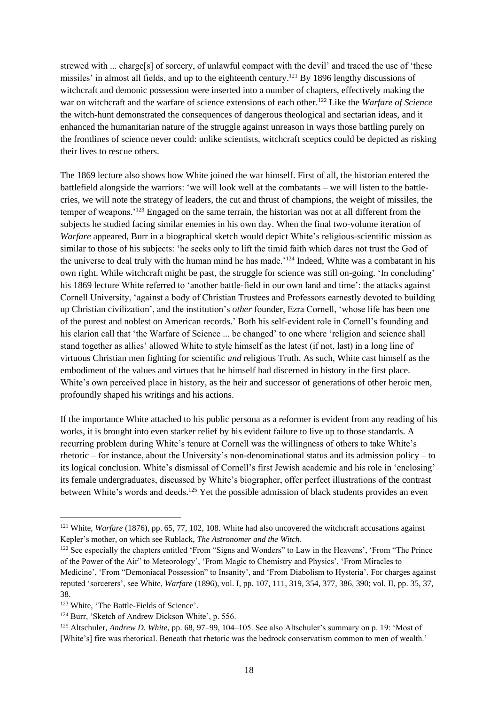strewed with ... charge[s] of sorcery, of unlawful compact with the devil' and traced the use of 'these missiles' in almost all fields, and up to the eighteenth century.<sup>121</sup> By 1896 lengthy discussions of witchcraft and demonic possession were inserted into a number of chapters, effectively making the war on witchcraft and the warfare of science extensions of each other.<sup>122</sup> Like the *Warfare of Science* the witch-hunt demonstrated the consequences of dangerous theological and sectarian ideas, and it enhanced the humanitarian nature of the struggle against unreason in ways those battling purely on the frontlines of science never could: unlike scientists, witchcraft sceptics could be depicted as risking their lives to rescue others.

The 1869 lecture also shows how White joined the war himself. First of all, the historian entered the battlefield alongside the warriors: 'we will look well at the combatants – we will listen to the battlecries, we will note the strategy of leaders, the cut and thrust of champions, the weight of missiles, the temper of weapons.'<sup>123</sup> Engaged on the same terrain, the historian was not at all different from the subjects he studied facing similar enemies in his own day. When the final two-volume iteration of *Warfare* appeared, Burr in a biographical sketch would depict White's religious-scientific mission as similar to those of his subjects: 'he seeks only to lift the timid faith which dares not trust the God of the universe to deal truly with the human mind he has made.'<sup>124</sup> Indeed, White was a combatant in his own right. While witchcraft might be past, the struggle for science was still on-going. 'In concluding' his 1869 lecture White referred to 'another battle-field in our own land and time': the attacks against Cornell University, 'against a body of Christian Trustees and Professors earnestly devoted to building up Christian civilization', and the institution's *other* founder, Ezra Cornell, 'whose life has been one of the purest and noblest on American records.' Both his self-evident role in Cornell's founding and his clarion call that 'the Warfare of Science ... be changed' to one where 'religion and science shall stand together as allies' allowed White to style himself as the latest (if not, last) in a long line of virtuous Christian men fighting for scientific *and* religious Truth. As such, White cast himself as the embodiment of the values and virtues that he himself had discerned in history in the first place. White's own perceived place in history, as the heir and successor of generations of other heroic men, profoundly shaped his writings and his actions.

If the importance White attached to his public persona as a reformer is evident from any reading of his works, it is brought into even starker relief by his evident failure to live up to those standards. A recurring problem during White's tenure at Cornell was the willingness of others to take White's rhetoric – for instance, about the University's non-denominational status and its admission policy – to its logical conclusion. White's dismissal of Cornell's first Jewish academic and his role in 'enclosing' its female undergraduates, discussed by White's biographer, offer perfect illustrations of the contrast between White's words and deeds.<sup>125</sup> Yet the possible admission of black students provides an even

<sup>&</sup>lt;sup>121</sup> White, *Warfare* (1876), pp. 65, 77, 102, 108. White had also uncovered the witchcraft accusations against Kepler's mother, on which see Rublack, *The Astronomer and the Witch*.

<sup>&</sup>lt;sup>122</sup> See especially the chapters entitled 'From "Signs and Wonders" to Law in the Heavens', 'From "The Prince of the Power of the Air" to Meteorology', 'From Magic to Chemistry and Physics', 'From Miracles to Medicine', 'From "Demoniacal Possession" to Insanity', and 'From Diabolism to Hysteria'. For charges against reputed 'sorcerers', see White, *Warfare* (1896), vol. I, pp. 107, 111, 319, 354, 377, 386, 390; vol. II, pp. 35, 37, 38.

<sup>&</sup>lt;sup>123</sup> White, 'The Battle-Fields of Science'.

<sup>124</sup> Burr, 'Sketch of Andrew Dickson White', p. 556.

<sup>125</sup> Altschuler, *Andrew D. White*, pp. 68, 97–99, 104–105. See also Altschuler's summary on p. 19: 'Most of [White's] fire was rhetorical. Beneath that rhetoric was the bedrock conservatism common to men of wealth.'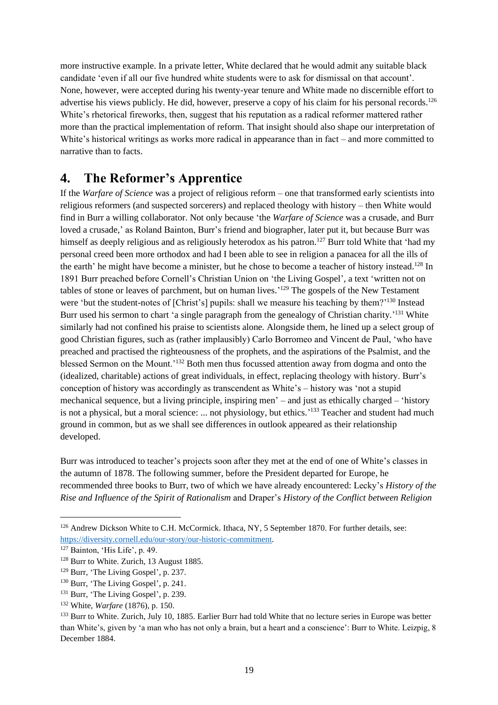more instructive example. In a private letter, White declared that he would admit any suitable black candidate 'even if all our five hundred white students were to ask for dismissal on that account'. None, however, were accepted during his twenty-year tenure and White made no discernible effort to advertise his views publicly. He did, however, preserve a copy of his claim for his personal records.<sup>126</sup> White's rhetorical fireworks, then, suggest that his reputation as a radical reformer mattered rather more than the practical implementation of reform. That insight should also shape our interpretation of White's historical writings as works more radical in appearance than in fact – and more committed to narrative than to facts.

### **4. The Reformer's Apprentice**

If the *Warfare of Science* was a project of religious reform – one that transformed early scientists into religious reformers (and suspected sorcerers) and replaced theology with history – then White would find in Burr a willing collaborator. Not only because 'the *Warfare of Science* was a crusade, and Burr loved a crusade,' as Roland Bainton, Burr's friend and biographer, later put it, but because Burr was himself as deeply religious and as religiously heterodox as his patron.<sup>127</sup> Burr told White that 'had my personal creed been more orthodox and had I been able to see in religion a panacea for all the ills of the earth' he might have become a minister, but he chose to become a teacher of history instead.<sup>128</sup> In 1891 Burr preached before Cornell's Christian Union on 'the Living Gospel', a text 'written not on tables of stone or leaves of parchment, but on human lives.<sup>'129</sup> The gospels of the New Testament were 'but the student-notes of [Christ's] pupils: shall we measure his teaching by them?'<sup>130</sup> Instead Burr used his sermon to chart 'a single paragraph from the genealogy of Christian charity.'<sup>131</sup> White similarly had not confined his praise to scientists alone. Alongside them, he lined up a select group of good Christian figures, such as (rather implausibly) Carlo Borromeo and Vincent de Paul, 'who have preached and practised the righteousness of the prophets, and the aspirations of the Psalmist, and the blessed Sermon on the Mount.'<sup>132</sup> Both men thus focussed attention away from dogma and onto the (idealized, charitable) actions of great individuals, in effect, replacing theology with history. Burr's conception of history was accordingly as transcendent as White's – history was 'not a stupid mechanical sequence, but a living principle, inspiring men' – and just as ethically charged – 'history is not a physical, but a moral science: ... not physiology, but ethics.<sup>'133</sup> Teacher and student had much ground in common, but as we shall see differences in outlook appeared as their relationship developed.

Burr was introduced to teacher's projects soon after they met at the end of one of White's classes in the autumn of 1878. The following summer, before the President departed for Europe, he recommended three books to Burr, two of which we have already encountered: Lecky's *History of the Rise and Influence of the Spirit of Rationalism* and Draper's *History of the Conflict between Religion* 

<sup>&</sup>lt;sup>126</sup> Andrew Dickson White to C.H. McCormick. Ithaca, NY, 5 September 1870. For further details, see: [https://diversity.cornell.edu/our-story/our-historic-commitment.](https://diversity.cornell.edu/our-story/our-historic-commitment)

<sup>127</sup> Bainton, 'His Life', p. 49.

<sup>&</sup>lt;sup>128</sup> Burr to White. Zurich, 13 August 1885.

<sup>129</sup> Burr, 'The Living Gospel', p. 237.

<sup>130</sup> Burr, 'The Living Gospel', p. 241.

<sup>&</sup>lt;sup>131</sup> Burr, 'The Living Gospel', p. 239.

<sup>132</sup> White, *Warfare* (1876), p. 150.

<sup>&</sup>lt;sup>133</sup> Burr to White. Zurich, July 10, 1885. Earlier Burr had told White that no lecture series in Europe was better than White's, given by 'a man who has not only a brain, but a heart and a conscience': Burr to White. Leizpig, 8 December 1884.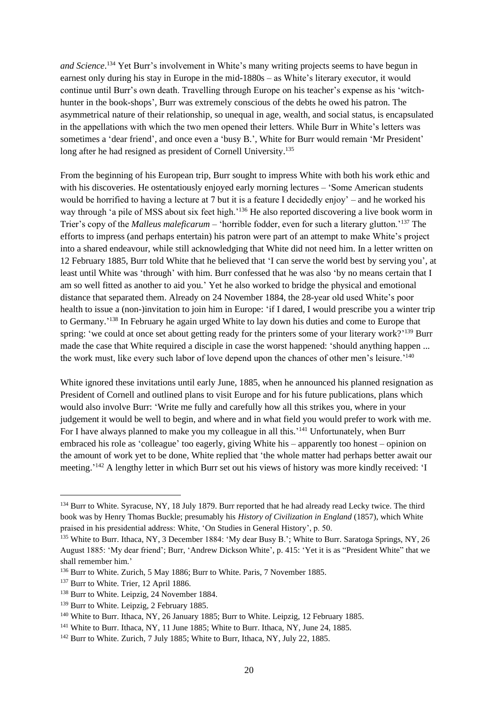*and Science*. <sup>134</sup> Yet Burr's involvement in White's many writing projects seems to have begun in earnest only during his stay in Europe in the mid-1880s – as White's literary executor, it would continue until Burr's own death. Travelling through Europe on his teacher's expense as his 'witchhunter in the book-shops', Burr was extremely conscious of the debts he owed his patron. The asymmetrical nature of their relationship, so unequal in age, wealth, and social status, is encapsulated in the appellations with which the two men opened their letters. While Burr in White's letters was sometimes a 'dear friend', and once even a 'busy B.', White for Burr would remain 'Mr President' long after he had resigned as president of Cornell University.<sup>135</sup>

From the beginning of his European trip, Burr sought to impress White with both his work ethic and with his discoveries. He ostentatiously enjoyed early morning lectures – 'Some American students would be horrified to having a lecture at 7 but it is a feature I decidedly enjoy' – and he worked his way through 'a pile of MSS about six feet high.'<sup>136</sup> He also reported discovering a live book worm in Trier's copy of the *Malleus maleficarum* – 'horrible fodder, even for such a literary glutton.'<sup>137</sup> The efforts to impress (and perhaps entertain) his patron were part of an attempt to make White's project into a shared endeavour, while still acknowledging that White did not need him. In a letter written on 12 February 1885, Burr told White that he believed that 'I can serve the world best by serving you', at least until White was 'through' with him. Burr confessed that he was also 'by no means certain that I am so well fitted as another to aid you.' Yet he also worked to bridge the physical and emotional distance that separated them. Already on 24 November 1884, the 28-year old used White's poor health to issue a (non-)invitation to join him in Europe: 'if I dared, I would prescribe you a winter trip to Germany.<sup>138</sup> In February he again urged White to lay down his duties and come to Europe that spring: 'we could at once set about getting ready for the printers some of your literary work?'<sup>139</sup> Burr made the case that White required a disciple in case the worst happened: 'should anything happen ... the work must, like every such labor of love depend upon the chances of other men's leisure.'<sup>140</sup>

White ignored these invitations until early June, 1885, when he announced his planned resignation as President of Cornell and outlined plans to visit Europe and for his future publications, plans which would also involve Burr: 'Write me fully and carefully how all this strikes you, where in your judgement it would be well to begin, and where and in what field you would prefer to work with me. For I have always planned to make you my colleague in all this.'<sup>141</sup> Unfortunately, when Burr embraced his role as 'colleague' too eagerly, giving White his – apparently too honest – opinion on the amount of work yet to be done, White replied that 'the whole matter had perhaps better await our meeting.<sup>'142</sup> A lengthy letter in which Burr set out his views of history was more kindly received: 'I

<sup>&</sup>lt;sup>134</sup> Burr to White. Syracuse, NY, 18 July 1879. Burr reported that he had already read Lecky twice. The third book was by Henry Thomas Buckle; presumably his *History of Civilization in England* (1857), which White praised in his presidential address: White, 'On Studies in General History', p. 50.

<sup>&</sup>lt;sup>135</sup> White to Burr. Ithaca, NY, 3 December 1884: 'My dear Busy B.'; White to Burr. Saratoga Springs, NY, 26 August 1885: 'My dear friend'; Burr, 'Andrew Dickson White', p. 415: 'Yet it is as "President White" that we shall remember him.'

<sup>136</sup> Burr to White. Zurich, 5 May 1886; Burr to White. Paris, 7 November 1885.

<sup>&</sup>lt;sup>137</sup> Burr to White. Trier, 12 April 1886.

<sup>138</sup> Burr to White. Leipzig, 24 November 1884.

<sup>&</sup>lt;sup>139</sup> Burr to White. Leipzig, 2 February 1885.

<sup>&</sup>lt;sup>140</sup> White to Burr. Ithaca, NY, 26 January 1885; Burr to White. Leipzig, 12 February 1885.

<sup>&</sup>lt;sup>141</sup> White to Burr. Ithaca, NY, 11 June 1885; White to Burr. Ithaca, NY, June 24, 1885.

<sup>142</sup> Burr to White. Zurich, 7 July 1885; White to Burr, Ithaca, NY, July 22, 1885.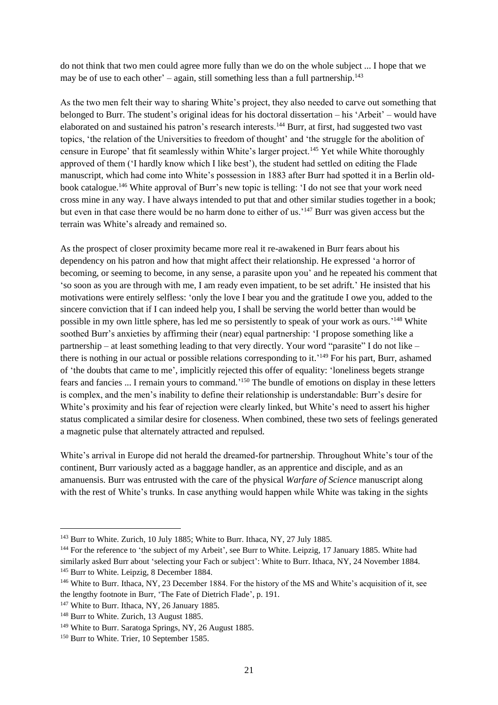do not think that two men could agree more fully than we do on the whole subject ... I hope that we may be of use to each other' – again, still something less than a full partnership. $^{143}$ 

As the two men felt their way to sharing White's project, they also needed to carve out something that belonged to Burr. The student's original ideas for his doctoral dissertation – his 'Arbeit' – would have elaborated on and sustained his patron's research interests.<sup>144</sup> Burr, at first, had suggested two vast topics, 'the relation of the Universities to freedom of thought' and 'the struggle for the abolition of censure in Europe' that fit seamlessly within White's larger project.<sup>145</sup> Yet while White thoroughly approved of them ('I hardly know which I like best'), the student had settled on editing the Flade manuscript, which had come into White's possession in 1883 after Burr had spotted it in a Berlin oldbook catalogue.<sup>146</sup> White approval of Burr's new topic is telling: 'I do not see that your work need cross mine in any way. I have always intended to put that and other similar studies together in a book; but even in that case there would be no harm done to either of us.'<sup>147</sup> Burr was given access but the terrain was White's already and remained so.

As the prospect of closer proximity became more real it re-awakened in Burr fears about his dependency on his patron and how that might affect their relationship. He expressed 'a horror of becoming, or seeming to become, in any sense, a parasite upon you' and he repeated his comment that 'so soon as you are through with me, I am ready even impatient, to be set adrift.' He insisted that his motivations were entirely selfless: 'only the love I bear you and the gratitude I owe you, added to the sincere conviction that if I can indeed help you, I shall be serving the world better than would be possible in my own little sphere, has led me so persistently to speak of your work as ours.<sup>'148</sup> White soothed Burr's anxieties by affirming their (near) equal partnership: 'I propose something like a partnership – at least something leading to that very directly. Your word "parasite" I do not like – there is nothing in our actual or possible relations corresponding to it.<sup>'149</sup> For his part, Burr, ashamed of 'the doubts that came to me', implicitly rejected this offer of equality: 'loneliness begets strange fears and fancies ... I remain yours to command.<sup>150</sup> The bundle of emotions on display in these letters is complex, and the men's inability to define their relationship is understandable: Burr's desire for White's proximity and his fear of rejection were clearly linked, but White's need to assert his higher status complicated a similar desire for closeness. When combined, these two sets of feelings generated a magnetic pulse that alternately attracted and repulsed.

White's arrival in Europe did not herald the dreamed-for partnership. Throughout White's tour of the continent, Burr variously acted as a baggage handler, as an apprentice and disciple, and as an amanuensis. Burr was entrusted with the care of the physical *Warfare of Science* manuscript along with the rest of White's trunks. In case anything would happen while White was taking in the sights

<sup>143</sup> Burr to White. Zurich, 10 July 1885; White to Burr. Ithaca, NY, 27 July 1885.

<sup>&</sup>lt;sup>144</sup> For the reference to 'the subject of my Arbeit', see Burr to White. Leipzig, 17 January 1885. White had similarly asked Burr about 'selecting your Fach or subject': White to Burr. Ithaca, NY, 24 November 1884. <sup>145</sup> Burr to White. Leipzig, 8 December 1884.

<sup>146</sup> White to Burr. Ithaca, NY, 23 December 1884. For the history of the MS and White's acquisition of it, see the lengthy footnote in Burr, 'The Fate of Dietrich Flade', p. 191.

<sup>&</sup>lt;sup>147</sup> White to Burr. Ithaca, NY, 26 January 1885.

<sup>&</sup>lt;sup>148</sup> Burr to White. Zurich, 13 August 1885.

<sup>149</sup> White to Burr. Saratoga Springs, NY, 26 August 1885.

<sup>&</sup>lt;sup>150</sup> Burr to White. Trier, 10 September 1585.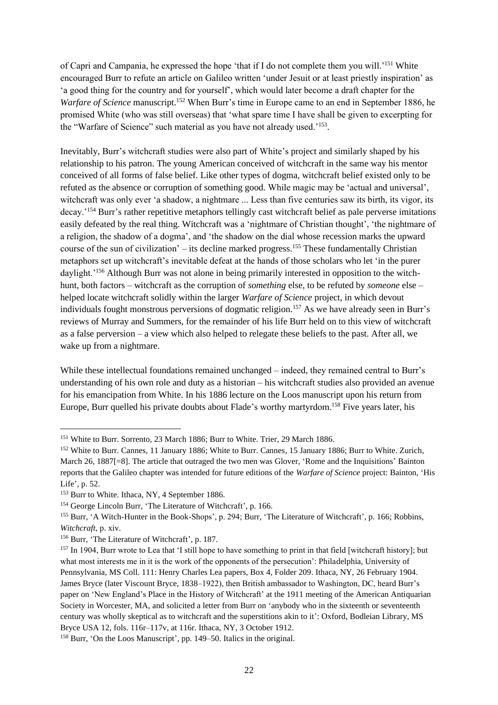of Capri and Campania, he expressed the hope 'that if I do not complete them you will.'<sup>151</sup> White encouraged Burr to refute an article on Galileo written 'under Jesuit or at least priestly inspiration' as 'a good thing for the country and for yourself', which would later become a draft chapter for the *Warfare of Science* manuscript.<sup>152</sup> When Burr's time in Europe came to an end in September 1886, he promised White (who was still overseas) that 'what spare time I have shall be given to excerpting for the "Warfare of Science" such material as you have not already used.'<sup>153</sup>.

Inevitably, Burr's witchcraft studies were also part of White's project and similarly shaped by his relationship to his patron. The young American conceived of witchcraft in the same way his mentor conceived of all forms of false belief. Like other types of dogma, witchcraft belief existed only to be refuted as the absence or corruption of something good. While magic may be 'actual and universal', witchcraft was only ever 'a shadow, a nightmare ... Less than five centuries saw its birth, its vigor, its decay.'<sup>154</sup> Burr's rather repetitive metaphors tellingly cast witchcraft belief as pale perverse imitations easily defeated by the real thing. Witchcraft was a 'nightmare of Christian thought', 'the nightmare of a religion, the shadow of a dogma', and 'the shadow on the dial whose recession marks the upward course of the sun of civilization' – its decline marked progress. <sup>155</sup> These fundamentally Christian metaphors set up witchcraft's inevitable defeat at the hands of those scholars who let 'in the purer daylight.'<sup>156</sup> Although Burr was not alone in being primarily interested in opposition to the witchhunt, both factors – witchcraft as the corruption of *something* else, to be refuted by *someone* else – helped locate witchcraft solidly within the larger *Warfare of Science* project, in which devout individuals fought monstrous perversions of dogmatic religion.<sup>157</sup> As we have already seen in Burr's reviews of Murray and Summers, for the remainder of his life Burr held on to this view of witchcraft as a false perversion – a view which also helped to relegate these beliefs to the past. After all, we wake up from a nightmare.

While these intellectual foundations remained unchanged – indeed, they remained central to Burr's understanding of his own role and duty as a historian – his witchcraft studies also provided an avenue for his emancipation from White. In his 1886 lecture on the Loos manuscript upon his return from Europe, Burr quelled his private doubts about Flade's worthy martyrdom.<sup>158</sup> Five years later, his

<sup>&</sup>lt;sup>151</sup> White to Burr. Sorrento, 23 March 1886; Burr to White. Trier, 29 March 1886.

<sup>&</sup>lt;sup>152</sup> White to Burr. Cannes, 11 January 1886; White to Burr. Cannes, 15 January 1886; Burr to White. Zurich, March 26, 1887[=8]. The article that outraged the two men was Glover, 'Rome and the Inquisitions' Bainton reports that the Galileo chapter was intended for future editions of the *Warfare of Science* project: Bainton, 'His Life', p. 52.

<sup>&</sup>lt;sup>153</sup> Burr to White. Ithaca, NY, 4 September 1886.

<sup>&</sup>lt;sup>154</sup> George Lincoln Burr, 'The Literature of Witchcraft', p. 166.

<sup>155</sup> Burr, 'A Witch-Hunter in the Book-Shops', p. 294; Burr, 'The Literature of Witchcraft', p. 166; Robbins, *Witchcraft*, p. xiv.

<sup>156</sup> Burr, 'The Literature of Witchcraft', p. 187.

 $157$  In 1904, Burr wrote to Lea that 'I still hope to have something to print in that field [witchcraft history]; but what most interests me in it is the work of the opponents of the persecution': Philadelphia, University of Pennsylvania, MS Coll. 111: Henry Charles Lea papers, Box 4, Folder 209. Ithaca, NY, 26 February 1904. James Bryce (later Viscount Bryce, 1838–1922), then British ambassador to Washington, DC, heard Burr's paper on 'New England's Place in the History of Witchcraft' at the 1911 meeting of the American Antiquarian Society in Worcester, MA, and solicited a letter from Burr on 'anybody who in the sixteenth or seventeenth century was wholly skeptical as to witchcraft and the superstitions akin to it': Oxford, Bodleian Library, MS Bryce USA 12, fols. 116r–117v, at 116r. Ithaca, NY, 3 October 1912.

<sup>158</sup> Burr, 'On the Loos Manuscript', pp. 149–50. Italics in the original.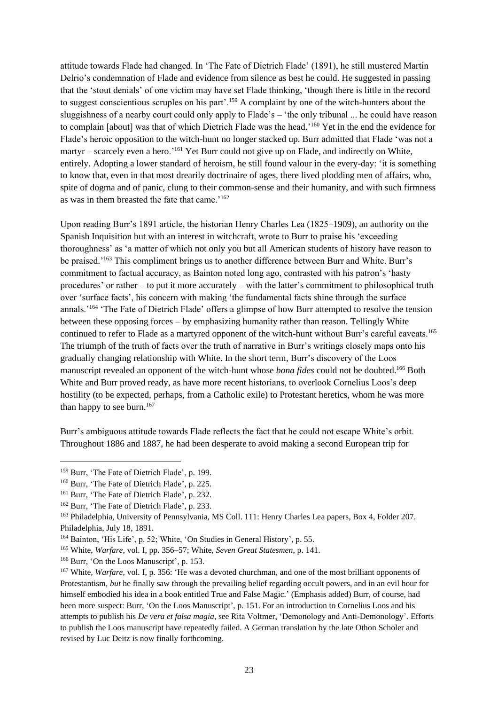attitude towards Flade had changed. In 'The Fate of Dietrich Flade' (1891), he still mustered Martin Delrio's condemnation of Flade and evidence from silence as best he could. He suggested in passing that the 'stout denials' of one victim may have set Flade thinking, 'though there is little in the record to suggest conscientious scruples on his part'.<sup>159</sup> A complaint by one of the witch-hunters about the sluggishness of a nearby court could only apply to Flade's – 'the only tribunal ... he could have reason to complain [about] was that of which Dietrich Flade was the head.'<sup>160</sup> Yet in the end the evidence for Flade's heroic opposition to the witch-hunt no longer stacked up. Burr admitted that Flade 'was not a martyr – scarcely even a hero.'<sup>161</sup> Yet Burr could not give up on Flade, and indirectly on White, entirely. Adopting a lower standard of heroism, he still found valour in the every-day: 'it is something to know that, even in that most drearily doctrinaire of ages, there lived plodding men of affairs, who, spite of dogma and of panic, clung to their common-sense and their humanity, and with such firmness as was in them breasted the fate that came.'<sup>162</sup>

Upon reading Burr's 1891 article, the historian Henry Charles Lea (1825–1909), an authority on the Spanish Inquisition but with an interest in witchcraft, wrote to Burr to praise his 'exceeding thoroughness' as 'a matter of which not only you but all American students of history have reason to be praised.<sup>'163</sup> This compliment brings us to another difference between Burr and White. Burr's commitment to factual accuracy, as Bainton noted long ago, contrasted with his patron's 'hasty procedures' or rather – to put it more accurately – with the latter's commitment to philosophical truth over 'surface facts', his concern with making 'the fundamental facts shine through the surface annals.'<sup>164</sup> 'The Fate of Dietrich Flade' offers a glimpse of how Burr attempted to resolve the tension between these opposing forces – by emphasizing humanity rather than reason. Tellingly White continued to refer to Flade as a martyred opponent of the witch-hunt without Burr's careful caveats.<sup>165</sup> The triumph of the truth of facts over the truth of narrative in Burr's writings closely maps onto his gradually changing relationship with White. In the short term, Burr's discovery of the Loos manuscript revealed an opponent of the witch-hunt whose *bona fides* could not be doubted.<sup>166</sup> Both White and Burr proved ready, as have more recent historians, to overlook Cornelius Loos's deep hostility (to be expected, perhaps, from a Catholic exile) to Protestant heretics, whom he was more than happy to see burn.<sup>167</sup>

Burr's ambiguous attitude towards Flade reflects the fact that he could not escape White's orbit. Throughout 1886 and 1887, he had been desperate to avoid making a second European trip for

<sup>159</sup> Burr, 'The Fate of Dietrich Flade', p. 199.

<sup>160</sup> Burr, 'The Fate of Dietrich Flade', p. 225.

<sup>161</sup> Burr, 'The Fate of Dietrich Flade', p. 232.

<sup>162</sup> Burr, 'The Fate of Dietrich Flade', p. 233.

<sup>&</sup>lt;sup>163</sup> Philadelphia, University of Pennsylvania, MS Coll. 111: Henry Charles Lea papers, Box 4, Folder 207. Philadelphia, July 18, 1891.

<sup>164</sup> Bainton, 'His Life', p. 52; White, 'On Studies in General History', p. 55.

<sup>165</sup> White, *Warfare*, vol. I, pp. 356–57; White, *Seven Great Statesmen*, p. 141.

<sup>166</sup> Burr, 'On the Loos Manuscript', p. 153.

<sup>&</sup>lt;sup>167</sup> White, *Warfare*, vol. I, p. 356: 'He was a devoted churchman, and one of the most brilliant opponents of Protestantism, *but* he finally saw through the prevailing belief regarding occult powers, and in an evil hour for himself embodied his idea in a book entitled True and False Magic.' (Emphasis added) Burr, of course, had been more suspect: Burr, 'On the Loos Manuscript', p. 151. For an introduction to Cornelius Loos and his attempts to publish his *De vera et falsa magia*, see Rita Voltmer, 'Demonology and Anti-Demonology'. Efforts to publish the Loos manuscript have repeatedly failed. A German translation by the late Othon Scholer and revised by Luc Deitz is now finally forthcoming.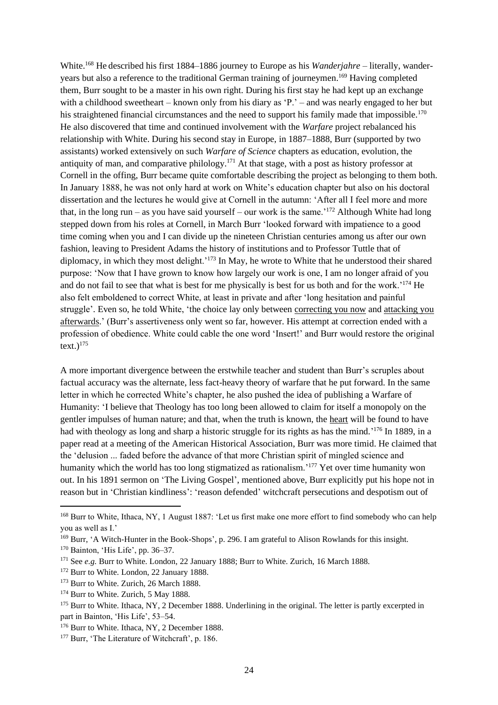White.<sup>168</sup> He described his first 1884–1886 journey to Europe as his *Wanderjahre* – literally, wanderyears but also a reference to the traditional German training of journeymen. <sup>169</sup> Having completed them, Burr sought to be a master in his own right. During his first stay he had kept up an exchange with a childhood sweetheart – known only from his diary as 'P.' – and was nearly engaged to her but his straightened financial circumstances and the need to support his family made that impossible.<sup>170</sup> He also discovered that time and continued involvement with the *Warfare* project rebalanced his relationship with White. During his second stay in Europe, in 1887–1888, Burr (supported by two assistants) worked extensively on such *Warfare of Science* chapters as education, evolution, the antiquity of man, and comparative philology.<sup>171</sup> At that stage, with a post as history professor at Cornell in the offing, Burr became quite comfortable describing the project as belonging to them both. In January 1888, he was not only hard at work on White's education chapter but also on his doctoral dissertation and the lectures he would give at Cornell in the autumn: 'After all I feel more and more that, in the long run – as you have said yourself – our work is the same.<sup>'172</sup> Although White had long stepped down from his roles at Cornell, in March Burr 'looked forward with impatience to a good time coming when you and I can divide up the nineteen Christian centuries among us after our own fashion, leaving to President Adams the history of institutions and to Professor Tuttle that of diplomacy, in which they most delight.<sup>'173</sup> In May, he wrote to White that he understood their shared purpose: 'Now that I have grown to know how largely our work is one, I am no longer afraid of you and do not fail to see that what is best for me physically is best for us both and for the work.'<sup>174</sup> He also felt emboldened to correct White, at least in private and after 'long hesitation and painful struggle'. Even so, he told White, 'the choice lay only between correcting you now and attacking you afterwards.' (Burr's assertiveness only went so far, however. His attempt at correction ended with a profession of obedience. White could cable the one word 'Insert!' and Burr would restore the original  $text.$ ) $175$ 

A more important divergence between the erstwhile teacher and student than Burr's scruples about factual accuracy was the alternate, less fact-heavy theory of warfare that he put forward. In the same letter in which he corrected White's chapter, he also pushed the idea of publishing a Warfare of Humanity: 'I believe that Theology has too long been allowed to claim for itself a monopoly on the gentler impulses of human nature; and that, when the truth is known, the heart will be found to have had with theology as long and sharp a historic struggle for its rights as has the mind.<sup>'176</sup> In 1889, in a paper read at a meeting of the American Historical Association, Burr was more timid. He claimed that the 'delusion ... faded before the advance of that more Christian spirit of mingled science and humanity which the world has too long stigmatized as rationalism.<sup>'177</sup> Yet over time humanity won out. In his 1891 sermon on 'The Living Gospel', mentioned above, Burr explicitly put his hope not in reason but in 'Christian kindliness': 'reason defended' witchcraft persecutions and despotism out of

<sup>&</sup>lt;sup>168</sup> Burr to White, Ithaca, NY, 1 August 1887: 'Let us first make one more effort to find somebody who can help you as well as I.'

<sup>169</sup> Burr, 'A Witch-Hunter in the Book-Shops', p. 296. I am grateful to Alison Rowlands for this insight.

<sup>170</sup> Bainton, 'His Life', pp. 36–37.

<sup>&</sup>lt;sup>171</sup> See *e.g.* Burr to White. London, 22 January 1888; Burr to White. Zurich, 16 March 1888.

<sup>&</sup>lt;sup>172</sup> Burr to White. London, 22 January 1888.

<sup>&</sup>lt;sup>173</sup> Burr to White. Zurich, 26 March 1888.

<sup>&</sup>lt;sup>174</sup> Burr to White. Zurich, 5 May 1888.

<sup>&</sup>lt;sup>175</sup> Burr to White. Ithaca, NY, 2 December 1888. Underlining in the original. The letter is partly excerpted in part in Bainton, 'His Life', 53–54.

<sup>&</sup>lt;sup>176</sup> Burr to White. Ithaca, NY, 2 December 1888.

<sup>&</sup>lt;sup>177</sup> Burr, 'The Literature of Witchcraft', p. 186.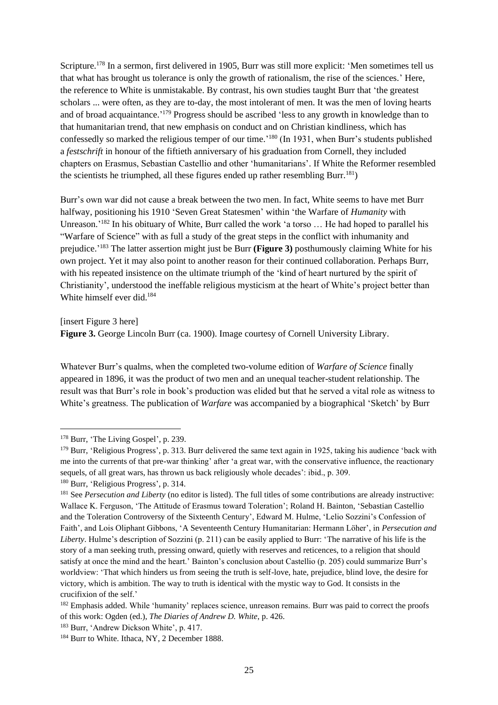Scripture.<sup>178</sup> In a sermon, first delivered in 1905, Burr was still more explicit: 'Men sometimes tell us that what has brought us tolerance is only the growth of rationalism, the rise of the sciences.' Here, the reference to White is unmistakable. By contrast, his own studies taught Burr that 'the greatest scholars ... were often, as they are to-day, the most intolerant of men. It was the men of loving hearts and of broad acquaintance.<sup>'179</sup> Progress should be ascribed 'less to any growth in knowledge than to that humanitarian trend, that new emphasis on conduct and on Christian kindliness, which has confessedly so marked the religious temper of our time.' <sup>180</sup> (In 1931, when Burr's students published a *festschrift* in honour of the fiftieth anniversary of his graduation from Cornell, they included chapters on Erasmus, Sebastian Castellio and other 'humanitarians'. If White the Reformer resembled the scientists he triumphed, all these figures ended up rather resembling Burr.<sup>181</sup>)

Burr's own war did not cause a break between the two men. In fact, White seems to have met Burr halfway, positioning his 1910 'Seven Great Statesmen' within 'the Warfare of *Humanity* with Unreason.<sup>'182</sup> In his obituary of White, Burr called the work 'a torso ... He had hoped to parallel his "Warfare of Science" with as full a study of the great steps in the conflict with inhumanity and prejudice.' <sup>183</sup> The latter assertion might just be Burr **(Figure 3)** posthumously claiming White for his own project. Yet it may also point to another reason for their continued collaboration. Perhaps Burr, with his repeated insistence on the ultimate triumph of the 'kind of heart nurtured by the spirit of Christianity', understood the ineffable religious mysticism at the heart of White's project better than White himself ever did.<sup>184</sup>

[insert Figure 3 here] **Figure 3.** George Lincoln Burr (ca. 1900). Image courtesy of Cornell University Library.

Whatever Burr's qualms, when the completed two-volume edition of *Warfare of Science* finally appeared in 1896, it was the product of two men and an unequal teacher-student relationship. The result was that Burr's role in book's production was elided but that he served a vital role as witness to White's greatness. The publication of *Warfare* was accompanied by a biographical 'Sketch' by Burr

<sup>&</sup>lt;sup>178</sup> Burr, 'The Living Gospel', p. 239.

<sup>&</sup>lt;sup>179</sup> Burr, 'Religious Progress', p. 313. Burr delivered the same text again in 1925, taking his audience 'back with me into the currents of that pre-war thinking' after 'a great war, with the conservative influence, the reactionary sequels, of all great wars, has thrown us back religiously whole decades': ibid., p. 309.

<sup>180</sup> Burr, 'Religious Progress', p. 314.

<sup>&</sup>lt;sup>181</sup> See *Persecution and Liberty* (no editor is listed). The full titles of some contributions are already instructive: Wallace K. Ferguson, 'The Attitude of Erasmus toward Toleration'; Roland H. Bainton, 'Sebastian Castellio and the Toleration Controversy of the Sixteenth Century', Edward M. Hulme, 'Lelio Sozzini's Confession of Faith', and Lois Oliphant Gibbons, 'A Seventeenth Century Humanitarian: Hermann Löher', in *Persecution and Liberty*. Hulme's description of Sozzini (p. 211) can be easily applied to Burr: 'The narrative of his life is the story of a man seeking truth, pressing onward, quietly with reserves and reticences, to a religion that should satisfy at once the mind and the heart.' Bainton's conclusion about Castellio (p. 205) could summarize Burr's worldview: 'That which hinders us from seeing the truth is self-love, hate, prejudice, blind love, the desire for victory, which is ambition. The way to truth is identical with the mystic way to God. It consists in the crucifixion of the self.'

<sup>&</sup>lt;sup>182</sup> Emphasis added. While 'humanity' replaces science, unreason remains. Burr was paid to correct the proofs of this work: Ogden (ed.), *The Diaries of Andrew D. White*, p. 426.

<sup>&</sup>lt;sup>183</sup> Burr, 'Andrew Dickson White', p. 417.

<sup>&</sup>lt;sup>184</sup> Burr to White. Ithaca, NY, 2 December 1888.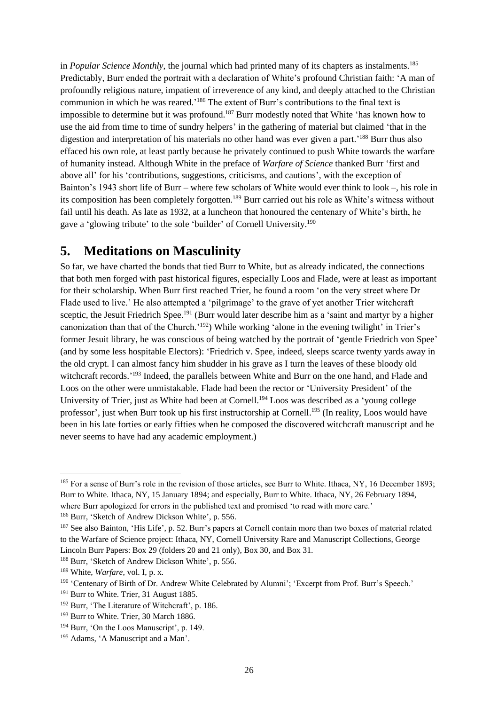in *Popular Science Monthly*, the journal which had printed many of its chapters as instalments.<sup>185</sup> Predictably, Burr ended the portrait with a declaration of White's profound Christian faith: 'A man of profoundly religious nature, impatient of irreverence of any kind, and deeply attached to the Christian communion in which he was reared.' <sup>186</sup> The extent of Burr's contributions to the final text is impossible to determine but it was profound. <sup>187</sup> Burr modestly noted that White 'has known how to use the aid from time to time of sundry helpers' in the gathering of material but claimed 'that in the digestion and interpretation of his materials no other hand was ever given a part.' <sup>188</sup> Burr thus also effaced his own role, at least partly because he privately continued to push White towards the warfare of humanity instead. Although White in the preface of *Warfare of Science* thanked Burr 'first and above all' for his 'contributions, suggestions, criticisms, and cautions', with the exception of Bainton's 1943 short life of Burr – where few scholars of White would ever think to look –, his role in its composition has been completely forgotten.<sup>189</sup> Burr carried out his role as White's witness without fail until his death. As late as 1932, at a luncheon that honoured the centenary of White's birth, he gave a 'glowing tribute' to the sole 'builder' of Cornell University.<sup>190</sup>

### **5. Meditations on Masculinity**

So far, we have charted the bonds that tied Burr to White, but as already indicated, the connections that both men forged with past historical figures, especially Loos and Flade, were at least as important for their scholarship. When Burr first reached Trier, he found a room 'on the very street where Dr Flade used to live.' He also attempted a 'pilgrimage' to the grave of yet another Trier witchcraft sceptic, the Jesuit Friedrich Spee.<sup>191</sup> (Burr would later describe him as a 'saint and martyr by a higher canonization than that of the Church.'<sup>192</sup>) While working 'alone in the evening twilight' in Trier's former Jesuit library, he was conscious of being watched by the portrait of 'gentle Friedrich von Spee' (and by some less hospitable Electors): 'Friedrich v. Spee, indeed, sleeps scarce twenty yards away in the old crypt. I can almost fancy him shudder in his grave as I turn the leaves of these bloody old witchcraft records.<sup>'193</sup> Indeed, the parallels between White and Burr on the one hand, and Flade and Loos on the other were unmistakable. Flade had been the rector or 'University President' of the University of Trier, just as White had been at Cornell.<sup>194</sup> Loos was described as a 'young college professor', just when Burr took up his first instructorship at Cornell.<sup>195</sup> (In reality, Loos would have been in his late forties or early fifties when he composed the discovered witchcraft manuscript and he never seems to have had any academic employment.)

<sup>185</sup> For a sense of Burr's role in the revision of those articles, see Burr to White. Ithaca, NY, 16 December 1893; Burr to White. Ithaca, NY, 15 January 1894; and especially, Burr to White. Ithaca, NY, 26 February 1894, where Burr apologized for errors in the published text and promised 'to read with more care.'

<sup>186</sup> Burr, 'Sketch of Andrew Dickson White', p. 556.

<sup>&</sup>lt;sup>187</sup> See also Bainton, 'His Life', p. 52. Burr's papers at Cornell contain more than two boxes of material related to the Warfare of Science project: Ithaca, NY, Cornell University Rare and Manuscript Collections, George Lincoln Burr Papers: Box 29 (folders 20 and 21 only), Box 30, and Box 31.

<sup>188</sup> Burr, 'Sketch of Andrew Dickson White', p. 556.

<sup>189</sup> White, *Warfare*, vol. I, p. x.

<sup>&</sup>lt;sup>190</sup> 'Centenary of Birth of Dr. Andrew White Celebrated by Alumni'; 'Excerpt from Prof. Burr's Speech.'

<sup>&</sup>lt;sup>191</sup> Burr to White. Trier, 31 August 1885.

<sup>192</sup> Burr, 'The Literature of Witchcraft', p. 186.

<sup>&</sup>lt;sup>193</sup> Burr to White. Trier, 30 March 1886.

<sup>&</sup>lt;sup>194</sup> Burr, 'On the Loos Manuscript', p. 149.

<sup>&</sup>lt;sup>195</sup> Adams, 'A Manuscript and a Man'.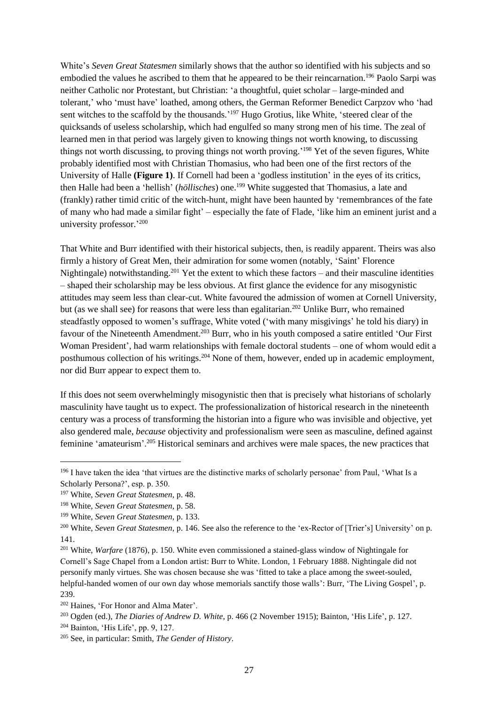White's *Seven Great Statesmen* similarly shows that the author so identified with his subjects and so embodied the values he ascribed to them that he appeared to be their reincarnation.<sup>196</sup> Paolo Sarpi was neither Catholic nor Protestant, but Christian: 'a thoughtful, quiet scholar – large-minded and tolerant,' who 'must have' loathed, among others, the German Reformer Benedict Carpzov who 'had sent witches to the scaffold by the thousands.<sup>'197</sup> Hugo Grotius, like White, 'steered clear of the quicksands of useless scholarship, which had engulfed so many strong men of his time. The zeal of learned men in that period was largely given to knowing things not worth knowing, to discussing things not worth discussing, to proving things not worth proving.' <sup>198</sup> Yet of the seven figures, White probably identified most with Christian Thomasius, who had been one of the first rectors of the University of Halle **(Figure 1)**. If Cornell had been a 'godless institution' in the eyes of its critics, then Halle had been a 'hellish' (*höllisches*) one.<sup>199</sup> White suggested that Thomasius, a late and (frankly) rather timid critic of the witch-hunt, might have been haunted by 'remembrances of the fate of many who had made a similar fight' – especially the fate of Flade, 'like him an eminent jurist and a university professor.' 200

That White and Burr identified with their historical subjects, then, is readily apparent. Theirs was also firmly a history of Great Men, their admiration for some women (notably, 'Saint' Florence Nightingale) notwithstanding.<sup>201</sup> Yet the extent to which these factors – and their masculine identities – shaped their scholarship may be less obvious. At first glance the evidence for any misogynistic attitudes may seem less than clear-cut. White favoured the admission of women at Cornell University, but (as we shall see) for reasons that were less than egalitarian.<sup>202</sup> Unlike Burr, who remained steadfastly opposed to women's suffrage, White voted ('with many misgivings' he told his diary) in favour of the Nineteenth Amendment.<sup>203</sup> Burr, who in his youth composed a satire entitled 'Our First Woman President', had warm relationships with female doctoral students – one of whom would edit a posthumous collection of his writings.<sup>204</sup> None of them, however, ended up in academic employment, nor did Burr appear to expect them to.

If this does not seem overwhelmingly misogynistic then that is precisely what historians of scholarly masculinity have taught us to expect. The professionalization of historical research in the nineteenth century was a process of transforming the historian into a figure who was invisible and objective, yet also gendered male, *because* objectivity and professionalism were seen as masculine, defined against feminine 'amateurism'.<sup>205</sup> Historical seminars and archives were male spaces, the new practices that

<sup>&</sup>lt;sup>196</sup> I have taken the idea 'that virtues are the distinctive marks of scholarly personae' from Paul, 'What Is a Scholarly Persona?', esp. p. 350.

<sup>197</sup> White, *Seven Great Statesmen*, p. 48.

<sup>198</sup> White, *Seven Great Statesmen*, p. 58.

<sup>199</sup> White, *Seven Great Statesmen*, p. 133.

<sup>200</sup> White, *Seven Great Statesmen*, p. 146. See also the reference to the 'ex-Rector of [Trier's] University' on p. 141.

<sup>201</sup> White, *Warfare* (1876), p. 150. White even commissioned a stained-glass window of Nightingale for Cornell's Sage Chapel from a London artist: Burr to White. London, 1 February 1888. Nightingale did not personify manly virtues. She was chosen because she was 'fitted to take a place among the sweet-souled, helpful-handed women of our own day whose memorials sanctify those walls': Burr, 'The Living Gospel', p. 239.

<sup>202</sup> Haines, 'For Honor and Alma Mater'.

<sup>203</sup> Ogden (ed.), *The Diaries of Andrew D. White*, p. 466 (2 November 1915); Bainton, 'His Life', p. 127.

<sup>&</sup>lt;sup>204</sup> Bainton, 'His Life', pp. 9, 127.

<sup>205</sup> See, in particular: Smith, *The Gender of History*.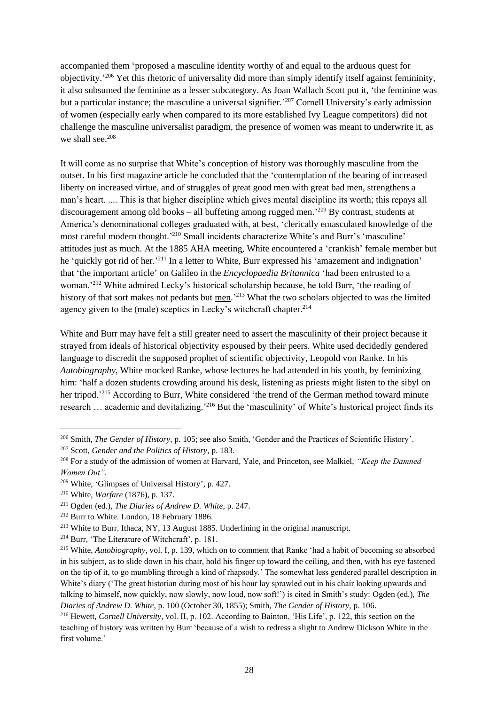accompanied them 'proposed a masculine identity worthy of and equal to the arduous quest for objectivity.' <sup>206</sup> Yet this rhetoric of universality did more than simply identify itself against femininity, it also subsumed the feminine as a lesser subcategory. As Joan Wallach Scott put it, 'the feminine was but a particular instance; the masculine a universal signifier.' <sup>207</sup> Cornell University's early admission of women (especially early when compared to its more established Ivy League competitors) did not challenge the masculine universalist paradigm, the presence of women was meant to underwrite it, as we shall see.<sup>208</sup>

It will come as no surprise that White's conception of history was thoroughly masculine from the outset. In his first magazine article he concluded that the 'contemplation of the bearing of increased liberty on increased virtue, and of struggles of great good men with great bad men, strengthens a man's heart. .... This is that higher discipline which gives mental discipline its worth; this repays all discouragement among old books – all buffeting among rugged men.' <sup>209</sup> By contrast, students at America's denominational colleges graduated with, at best, 'clerically emasculated knowledge of the most careful modern thought.<sup>'210</sup> Small incidents characterize White's and Burr's 'masculine' attitudes just as much. At the 1885 AHA meeting, White encountered a 'crankish' female member but he 'quickly got rid of her.<sup>'211</sup> In a letter to White, Burr expressed his 'amazement and indignation' that 'the important article' on Galileo in the *Encyclopaedia Britannica* 'had been entrusted to a woman.'<sup>212</sup> White admired Lecky's historical scholarship because, he told Burr, 'the reading of history of that sort makes not pedants but men.<sup>213</sup> What the two scholars objected to was the limited agency given to the (male) sceptics in Lecky's witchcraft chapter.<sup>214</sup>

White and Burr may have felt a still greater need to assert the masculinity of their project because it strayed from ideals of historical objectivity espoused by their peers. White used decidedly gendered language to discredit the supposed prophet of scientific objectivity, Leopold von Ranke. In his *Autobiography*, White mocked Ranke, whose lectures he had attended in his youth, by feminizing him: 'half a dozen students crowding around his desk, listening as priests might listen to the sibyl on her tripod.<sup>215</sup> According to Burr, White considered 'the trend of the German method toward minute research ... academic and devitalizing.<sup>216</sup> But the 'masculinity' of White's historical project finds its

<sup>206</sup> Smith, *The Gender of History*, p. 105; see also Smith, 'Gender and the Practices of Scientific History'.

<sup>207</sup> Scott, *Gender and the Politics of History*, p. 183.

<sup>208</sup> For a study of the admission of women at Harvard, Yale, and Princeton, see Malkiel, *"Keep the Damned Women Out"*.

<sup>209</sup> White, 'Glimpses of Universal History', p. 427.

<sup>210</sup> White, *Warfare* (1876), p. 137.

<sup>211</sup> Ogden (ed.), *The Diaries of Andrew D. White*, p. 247.

<sup>212</sup> Burr to White. London, 18 February 1886.

<sup>213</sup> White to Burr. Ithaca, NY, 13 August 1885. Underlining in the original manuscript.

<sup>214</sup> Burr, 'The Literature of Witchcraft', p. 181.

<sup>215</sup> White, *Autobiography*, vol. I, p. 139, which on to comment that Ranke 'had a habit of becoming so absorbed in his subject, as to slide down in his chair, hold his finger up toward the ceiling, and then, with his eye fastened on the tip of it, to go mumbling through a kind of rhapsody.' The somewhat less gendered parallel description in White's diary ('The great historian during most of his hour lay sprawled out in his chair looking upwards and talking to himself, now quickly, now slowly, now loud, now soft!') is cited in Smith's study: Ogden (ed.), *The Diaries of Andrew D. White*, p. 100 (October 30, 1855); Smith, *The Gender of History*, p. 106.

<sup>216</sup> Hewett, *Cornell University*, vol. II, p. 102. According to Bainton, 'His Life', p. 122, this section on the teaching of history was written by Burr 'because of a wish to redress a slight to Andrew Dickson White in the first volume.'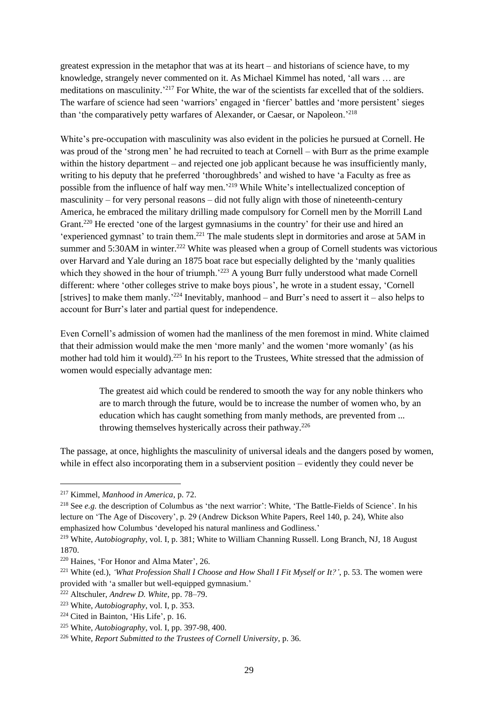greatest expression in the metaphor that was at its heart – and historians of science have, to my knowledge, strangely never commented on it. As Michael Kimmel has noted, 'all wars … are meditations on masculinity.' <sup>217</sup> For White, the war of the scientists far excelled that of the soldiers. The warfare of science had seen 'warriors' engaged in 'fiercer' battles and 'more persistent' sieges than 'the comparatively petty warfares of Alexander, or Caesar, or Napoleon.'<sup>218</sup>

White's pre-occupation with masculinity was also evident in the policies he pursued at Cornell. He was proud of the 'strong men' he had recruited to teach at Cornell – with Burr as the prime example within the history department – and rejected one job applicant because he was insufficiently manly, writing to his deputy that he preferred 'thoroughbreds' and wished to have 'a Faculty as free as possible from the influence of half way men.<sup>219</sup> While White's intellectualized conception of masculinity – for very personal reasons – did not fully align with those of nineteenth-century America, he embraced the military drilling made compulsory for Cornell men by the Morrill Land Grant.<sup>220</sup> He erected 'one of the largest gymnasiums in the country' for their use and hired an 'experienced gymnast' to train them.<sup>221</sup> The male students slept in dormitories and arose at 5AM in summer and 5:30AM in winter.<sup>222</sup> White was pleased when a group of Cornell students was victorious over Harvard and Yale during an 1875 boat race but especially delighted by the 'manly qualities which they showed in the hour of triumph.'223 A young Burr fully understood what made Cornell different: where 'other colleges strive to make boys pious', he wrote in a student essay, 'Cornell [strives] to make them manly.<sup>224</sup> Inevitably, manhood – and Burr's need to assert it – also helps to account for Burr's later and partial quest for independence.

Even Cornell's admission of women had the manliness of the men foremost in mind. White claimed that their admission would make the men 'more manly' and the women 'more womanly' (as his mother had told him it would).<sup>225</sup> In his report to the Trustees, White stressed that the admission of women would especially advantage men:

> The greatest aid which could be rendered to smooth the way for any noble thinkers who are to march through the future, would be to increase the number of women who, by an education which has caught something from manly methods, are prevented from ... throwing themselves hysterically across their pathway.<sup>226</sup>

The passage, at once, highlights the masculinity of universal ideals and the dangers posed by women, while in effect also incorporating them in a subservient position – evidently they could never be

<sup>217</sup> Kimmel, *Manhood in America*, p. 72.

<sup>&</sup>lt;sup>218</sup> See *e.g.* the description of Columbus as 'the next warrior': White, 'The Battle-Fields of Science'. In his lecture on 'The Age of Discovery', p. 29 (Andrew Dickson White Papers, Reel 140, p. 24), White also emphasized how Columbus 'developed his natural manliness and Godliness.'

<sup>219</sup> White, *Autobiography*, vol. I, p. 381; White to William Channing Russell. Long Branch, NJ, 18 August 1870.

<sup>220</sup> Haines, 'For Honor and Alma Mater', 26.

<sup>221</sup> White (ed.), *'What Profession Shall I Choose and How Shall I Fit Myself or It?'*, p. 53. The women were provided with 'a smaller but well-equipped gymnasium.'

<sup>222</sup> Altschuler, *Andrew D. White*, pp. 78–79.

<sup>223</sup> White, *Autobiography*, vol. I, p. 353.

<sup>224</sup> Cited in Bainton, 'His Life', p. 16.

<sup>225</sup> White, *Autobiography*, vol. I, pp. 397-98, 400.

<sup>226</sup> White, *Report Submitted to the Trustees of Cornell University*, p. 36.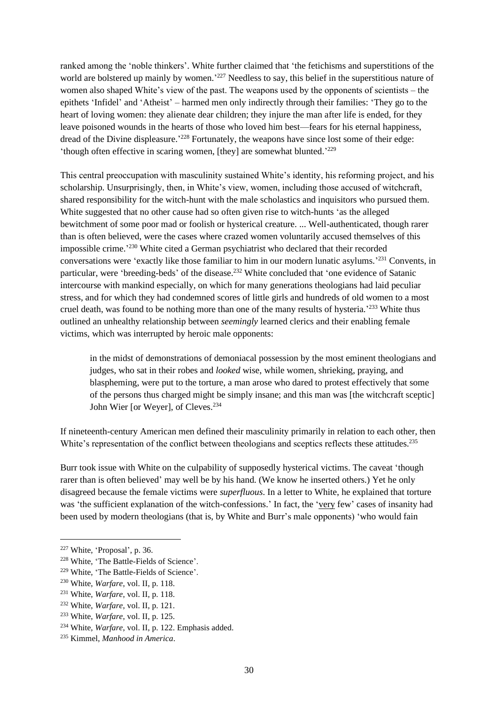ranked among the 'noble thinkers'. White further claimed that 'the fetichisms and superstitions of the world are bolstered up mainly by women.<sup>227</sup> Needless to say, this belief in the superstitious nature of women also shaped White's view of the past. The weapons used by the opponents of scientists – the epithets 'Infidel' and 'Atheist' – harmed men only indirectly through their families: 'They go to the heart of loving women: they alienate dear children; they injure the man after life is ended, for they leave poisoned wounds in the hearts of those who loved him best—fears for his eternal happiness, dread of the Divine displeasure.<sup>'228</sup> Fortunately, the weapons have since lost some of their edge: 'though often effective in scaring women, [they] are somewhat blunted.'229

This central preoccupation with masculinity sustained White's identity, his reforming project, and his scholarship. Unsurprisingly, then, in White's view, women, including those accused of witchcraft, shared responsibility for the witch-hunt with the male scholastics and inquisitors who pursued them. White suggested that no other cause had so often given rise to witch-hunts 'as the alleged bewitchment of some poor mad or foolish or hysterical creature. ... Well-authenticated, though rarer than is often believed, were the cases where crazed women voluntarily accused themselves of this impossible crime.' <sup>230</sup> White cited a German psychiatrist who declared that their recorded conversations were 'exactly like those familiar to him in our modern lunatic asylums.' <sup>231</sup> Convents, in particular, were 'breeding-beds' of the disease.<sup>232</sup> White concluded that 'one evidence of Satanic intercourse with mankind especially, on which for many generations theologians had laid peculiar stress, and for which they had condemned scores of little girls and hundreds of old women to a most cruel death, was found to be nothing more than one of the many results of hysteria.<sup>233</sup> White thus outlined an unhealthy relationship between *seemingly* learned clerics and their enabling female victims, which was interrupted by heroic male opponents:

in the midst of demonstrations of demoniacal possession by the most eminent theologians and judges, who sat in their robes and *looked* wise, while women, shrieking, praying, and blaspheming, were put to the torture, a man arose who dared to protest effectively that some of the persons thus charged might be simply insane; and this man was [the witchcraft sceptic] John Wier [or Weyer], of Cleves.<sup>234</sup>

If nineteenth-century American men defined their masculinity primarily in relation to each other, then White's representation of the conflict between theologians and sceptics reflects these attitudes.<sup>235</sup>

Burr took issue with White on the culpability of supposedly hysterical victims. The caveat 'though rarer than is often believed' may well be by his hand. (We know he inserted others.) Yet he only disagreed because the female victims were *superfluous*. In a letter to White, he explained that torture was 'the sufficient explanation of the witch-confessions.' In fact, the 'very few' cases of insanity had been used by modern theologians (that is, by White and Burr's male opponents) 'who would fain

<sup>227</sup> White, 'Proposal', p. 36.

<sup>228</sup> White, 'The Battle-Fields of Science'.

<sup>229</sup> White, 'The Battle-Fields of Science'.

<sup>230</sup> White, *Warfare*, vol. II, p. 118.

<sup>231</sup> White, *Warfare*, vol. II, p. 118.

<sup>232</sup> White, *Warfare*, vol. II, p. 121.

<sup>233</sup> White, *Warfare*, vol. II, p. 125.

<sup>234</sup> White, *Warfare*, vol. II, p. 122. Emphasis added.

<sup>235</sup> Kimmel, *Manhood in America*.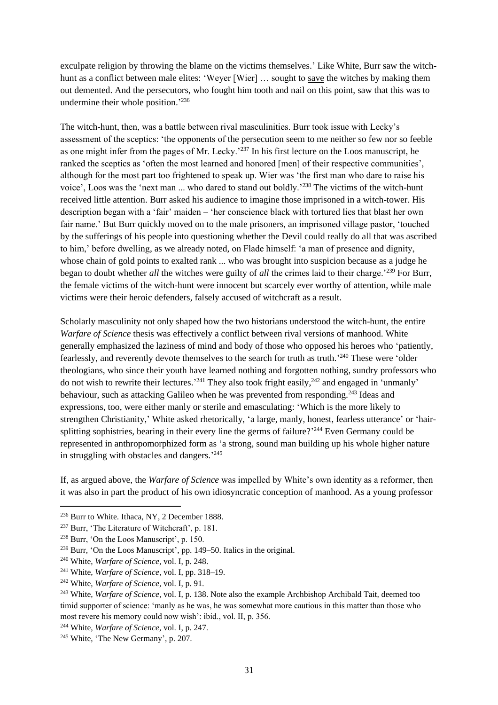exculpate religion by throwing the blame on the victims themselves.' Like White, Burr saw the witchhunt as a conflict between male elites: 'Weyer [Wier] ... sought to save the witches by making them out demented. And the persecutors, who fought him tooth and nail on this point, saw that this was to undermine their whole position.' 236

The witch-hunt, then, was a battle between rival masculinities. Burr took issue with Lecky's assessment of the sceptics: 'the opponents of the persecution seem to me neither so few nor so feeble as one might infer from the pages of Mr. Lecky.'<sup>237</sup> In his first lecture on the Loos manuscript, he ranked the sceptics as 'often the most learned and honored [men] of their respective communities', although for the most part too frightened to speak up. Wier was 'the first man who dare to raise his voice', Loos was the 'next man ... who dared to stand out boldly.<sup>238</sup> The victims of the witch-hunt received little attention. Burr asked his audience to imagine those imprisoned in a witch-tower. His description began with a 'fair' maiden – 'her conscience black with tortured lies that blast her own fair name.' But Burr quickly moved on to the male prisoners, an imprisoned village pastor, 'touched by the sufferings of his people into questioning whether the Devil could really do all that was ascribed to him,' before dwelling, as we already noted, on Flade himself: 'a man of presence and dignity, whose chain of gold points to exalted rank ... who was brought into suspicion because as a judge he began to doubt whether *all* the witches were guilty of *all* the crimes laid to their charge.'<sup>239</sup> For Burr, the female victims of the witch-hunt were innocent but scarcely ever worthy of attention, while male victims were their heroic defenders, falsely accused of witchcraft as a result.

Scholarly masculinity not only shaped how the two historians understood the witch-hunt, the entire *Warfare of Science* thesis was effectively a conflict between rival versions of manhood. White generally emphasized the laziness of mind and body of those who opposed his heroes who 'patiently, fearlessly, and reverently devote themselves to the search for truth as truth.<sup>'240</sup> These were 'older theologians, who since their youth have learned nothing and forgotten nothing, sundry professors who do not wish to rewrite their lectures.<sup>241</sup> They also took fright easily,<sup>242</sup> and engaged in 'unmanly' behaviour, such as attacking Galileo when he was prevented from responding.<sup>243</sup> Ideas and expressions, too, were either manly or sterile and emasculating: 'Which is the more likely to strengthen Christianity,' White asked rhetorically, 'a large, manly, honest, fearless utterance' or 'hairsplitting sophistries, bearing in their every line the germs of failure?<sup>244</sup> Even Germany could be represented in anthropomorphized form as 'a strong, sound man building up his whole higher nature in struggling with obstacles and dangers.<sup>'245</sup>

If, as argued above, the *Warfare of Science* was impelled by White's own identity as a reformer, then it was also in part the product of his own idiosyncratic conception of manhood. As a young professor

<sup>236</sup> Burr to White. Ithaca, NY, 2 December 1888.

<sup>&</sup>lt;sup>237</sup> Burr, 'The Literature of Witchcraft', p. 181.

<sup>238</sup> Burr, 'On the Loos Manuscript', p. 150.

<sup>239</sup> Burr, 'On the Loos Manuscript', pp. 149–50. Italics in the original.

<sup>240</sup> White, *Warfare of Science*, vol. I, p. 248.

<sup>241</sup> White, *Warfare of Science*, vol. I, pp. 318–19.

<sup>242</sup> White, *Warfare of Science*, vol. I, p. 91.

<sup>243</sup> White, *Warfare of Science*, vol. I, p. 138. Note also the example Archbishop Archibald Tait, deemed too timid supporter of science: 'manly as he was, he was somewhat more cautious in this matter than those who most revere his memory could now wish': ibid., vol. II, p. 356.

<sup>244</sup> White, *Warfare of Science*, vol. I, p. 247.

<sup>&</sup>lt;sup>245</sup> White, 'The New Germany', p. 207.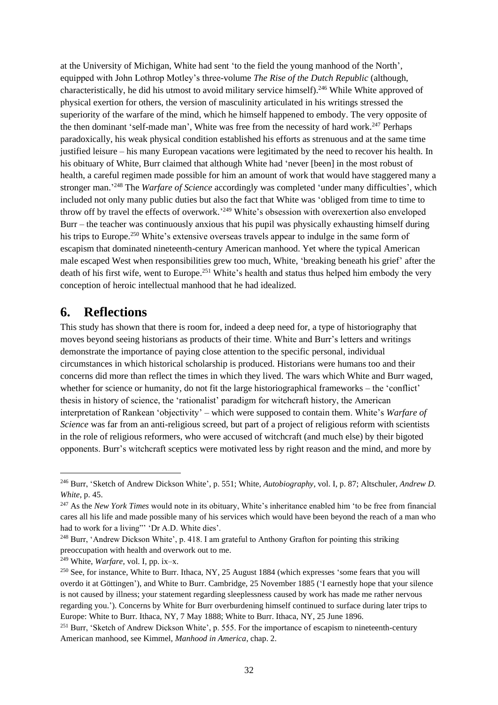at the University of Michigan, White had sent 'to the field the young manhood of the North', equipped with John Lothrop Motley's three-volume *The Rise of the Dutch Republic* (although, characteristically, he did his utmost to avoid military service himself). <sup>246</sup> While White approved of physical exertion for others, the version of masculinity articulated in his writings stressed the superiority of the warfare of the mind, which he himself happened to embody. The very opposite of the then dominant 'self-made man', White was free from the necessity of hard work.<sup>247</sup> Perhaps paradoxically, his weak physical condition established his efforts as strenuous and at the same time justified leisure – his many European vacations were legitimated by the need to recover his health. In his obituary of White, Burr claimed that although White had 'never [been] in the most robust of health, a careful regimen made possible for him an amount of work that would have staggered many a stronger man.' <sup>248</sup> The *Warfare of Science* accordingly was completed 'under many difficulties', which included not only many public duties but also the fact that White was 'obliged from time to time to throw off by travel the effects of overwork.<sup>249</sup> White's obsession with overexertion also enveloped Burr – the teacher was continuously anxious that his pupil was physically exhausting himself during his trips to Europe.<sup>250</sup> White's extensive overseas travels appear to indulge in the same form of escapism that dominated nineteenth-century American manhood. Yet where the typical American male escaped West when responsibilities grew too much, White, 'breaking beneath his grief' after the death of his first wife, went to Europe.<sup>251</sup> White's health and status thus helped him embody the very conception of heroic intellectual manhood that he had idealized.

### **6. Reflections**

This study has shown that there is room for, indeed a deep need for, a type of historiography that moves beyond seeing historians as products of their time. White and Burr's letters and writings demonstrate the importance of paying close attention to the specific personal, individual circumstances in which historical scholarship is produced. Historians were humans too and their concerns did more than reflect the times in which they lived. The wars which White and Burr waged, whether for science or humanity, do not fit the large historiographical frameworks – the 'conflict' thesis in history of science, the 'rationalist' paradigm for witchcraft history, the American interpretation of Rankean 'objectivity' – which were supposed to contain them. White's *Warfare of Science* was far from an anti-religious screed, but part of a project of religious reform with scientists in the role of religious reformers, who were accused of witchcraft (and much else) by their bigoted opponents. Burr's witchcraft sceptics were motivated less by right reason and the mind, and more by

<sup>246</sup> Burr, 'Sketch of Andrew Dickson White', p. 551; White, *Autobiography*, vol. I, p. 87; Altschuler, *Andrew D. White*, p. 45.

<sup>247</sup> As the *New York Times* would note in its obituary, White's inheritance enabled him 'to be free from financial cares all his life and made possible many of his services which would have been beyond the reach of a man who had to work for a living" 'Dr A.D. White dies'.

<sup>248</sup> Burr, 'Andrew Dickson White', p. 418. I am grateful to Anthony Grafton for pointing this striking preoccupation with health and overwork out to me.

<sup>249</sup> White, *Warfare*, vol. I, pp. ix–x.

<sup>&</sup>lt;sup>250</sup> See, for instance, White to Burr. Ithaca, NY, 25 August 1884 (which expresses 'some fears that you will overdo it at Göttingen'), and White to Burr. Cambridge, 25 November 1885 ('I earnestly hope that your silence is not caused by illness; your statement regarding sleeplessness caused by work has made me rather nervous regarding you.'). Concerns by White for Burr overburdening himself continued to surface during later trips to Europe: White to Burr. Ithaca, NY, 7 May 1888; White to Burr. Ithaca, NY, 25 June 1896.

<sup>&</sup>lt;sup>251</sup> Burr, 'Sketch of Andrew Dickson White', p. 555. For the importance of escapism to nineteenth-century American manhood, see Kimmel, *Manhood in America*, chap. 2.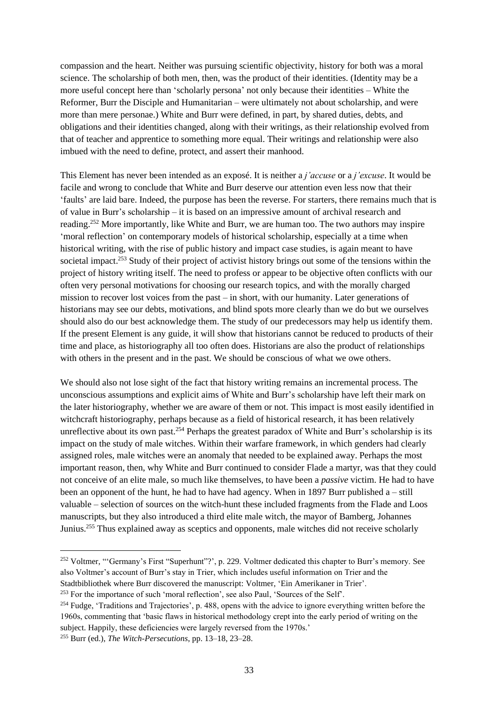compassion and the heart. Neither was pursuing scientific objectivity, history for both was a moral science. The scholarship of both men, then, was the product of their identities. (Identity may be a more useful concept here than 'scholarly persona' not only because their identities – White the Reformer, Burr the Disciple and Humanitarian – were ultimately not about scholarship, and were more than mere personae.) White and Burr were defined, in part, by shared duties, debts, and obligations and their identities changed, along with their writings, as their relationship evolved from that of teacher and apprentice to something more equal. Their writings and relationship were also imbued with the need to define, protect, and assert their manhood.

This Element has never been intended as an exposé. It is neither a *j'accuse* or a *j'excuse*. It would be facile and wrong to conclude that White and Burr deserve our attention even less now that their 'faults' are laid bare. Indeed, the purpose has been the reverse. For starters, there remains much that is of value in Burr's scholarship – it is based on an impressive amount of archival research and reading.<sup>252</sup> More importantly, like White and Burr, we are human too. The two authors may inspire 'moral reflection' on contemporary models of historical scholarship, especially at a time when historical writing, with the rise of public history and impact case studies, is again meant to have societal impact.<sup>253</sup> Study of their project of activist history brings out some of the tensions within the project of history writing itself. The need to profess or appear to be objective often conflicts with our often very personal motivations for choosing our research topics, and with the morally charged mission to recover lost voices from the past – in short, with our humanity. Later generations of historians may see our debts, motivations, and blind spots more clearly than we do but we ourselves should also do our best acknowledge them. The study of our predecessors may help us identify them. If the present Element is any guide, it will show that historians cannot be reduced to products of their time and place, as historiography all too often does. Historians are also the product of relationships with others in the present and in the past. We should be conscious of what we owe others.

We should also not lose sight of the fact that history writing remains an incremental process. The unconscious assumptions and explicit aims of White and Burr's scholarship have left their mark on the later historiography, whether we are aware of them or not. This impact is most easily identified in witchcraft historiography, perhaps because as a field of historical research, it has been relatively unreflective about its own past.<sup>254</sup> Perhaps the greatest paradox of White and Burr's scholarship is its impact on the study of male witches. Within their warfare framework, in which genders had clearly assigned roles, male witches were an anomaly that needed to be explained away. Perhaps the most important reason, then, why White and Burr continued to consider Flade a martyr, was that they could not conceive of an elite male, so much like themselves, to have been a *passive* victim. He had to have been an opponent of the hunt, he had to have had agency. When in 1897 Burr published  $a - \text{still}$ valuable – selection of sources on the witch-hunt these included fragments from the Flade and Loos manuscripts, but they also introduced a third elite male witch, the mayor of Bamberg, Johannes Junius.<sup>255</sup> Thus explained away as sceptics and opponents, male witches did not receive scholarly

<sup>252</sup> Voltmer, "'Germany's First "Superhunt"?', p. 229. Voltmer dedicated this chapter to Burr's memory. See also Voltmer's account of Burr's stay in Trier, which includes useful information on Trier and the Stadtbibliothek where Burr discovered the manuscript: Voltmer, 'Ein Amerikaner in Trier'.

<sup>253</sup> For the importance of such 'moral reflection', see also Paul, 'Sources of the Self'.

<sup>&</sup>lt;sup>254</sup> Fudge, 'Traditions and Trajectories', p. 488, opens with the advice to ignore everything written before the 1960s, commenting that 'basic flaws in historical methodology crept into the early period of writing on the subject. Happily, these deficiencies were largely reversed from the 1970s.'

<sup>255</sup> Burr (ed.), *The Witch-Persecutions*, pp. 13–18, 23–28.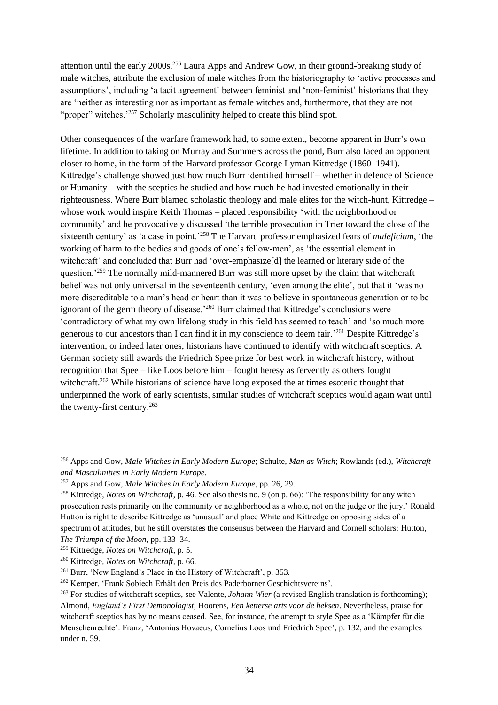attention until the early 2000s.<sup>256</sup> Laura Apps and Andrew Gow, in their ground-breaking study of male witches, attribute the exclusion of male witches from the historiography to 'active processes and assumptions', including 'a tacit agreement' between feminist and 'non-feminist' historians that they are 'neither as interesting nor as important as female witches and, furthermore, that they are not "proper" witches.<sup>257</sup> Scholarly masculinity helped to create this blind spot.

Other consequences of the warfare framework had, to some extent, become apparent in Burr's own lifetime. In addition to taking on Murray and Summers across the pond, Burr also faced an opponent closer to home, in the form of the Harvard professor George Lyman Kittredge (1860–1941). Kittredge's challenge showed just how much Burr identified himself – whether in defence of Science or Humanity – with the sceptics he studied and how much he had invested emotionally in their righteousness. Where Burr blamed scholastic theology and male elites for the witch-hunt, Kittredge – whose work would inspire Keith Thomas – placed responsibility 'with the neighborhood or community' and he provocatively discussed 'the terrible prosecution in Trier toward the close of the sixteenth century' as 'a case in point.<sup>'258</sup> The Harvard professor emphasized fears of *maleficium*, 'the working of harm to the bodies and goods of one's fellow-men', as 'the essential element in witchcraft' and concluded that Burr had 'over-emphasize[d] the learned or literary side of the question.<sup>259</sup> The normally mild-mannered Burr was still more upset by the claim that witchcraft belief was not only universal in the seventeenth century, 'even among the elite', but that it 'was no more discreditable to a man's head or heart than it was to believe in spontaneous generation or to be ignorant of the germ theory of disease.<sup>260</sup> Burr claimed that Kittredge's conclusions were 'contradictory of what my own lifelong study in this field has seemed to teach' and 'so much more generous to our ancestors than I can find it in my conscience to deem fair.' <sup>261</sup> Despite Kittredge's intervention, or indeed later ones, historians have continued to identify with witchcraft sceptics. A German society still awards the Friedrich Spee prize for best work in witchcraft history, without recognition that Spee – like Loos before him – fought heresy as fervently as others fought witchcraft.<sup>262</sup> While historians of science have long exposed the at times esoteric thought that underpinned the work of early scientists, similar studies of witchcraft sceptics would again wait until the twenty-first century. 263

<sup>256</sup> Apps and Gow, *Male Witches in Early Modern Europe*; Schulte, *Man as Witch*; Rowlands (ed.), *Witchcraft and Masculinities in Early Modern Europe*.

<sup>257</sup> Apps and Gow, *Male Witches in Early Modern Europe*, pp. 26, 29.

<sup>258</sup> Kittredge, *Notes on Witchcraft*, p. 46. See also thesis no. 9 (on p. 66): 'The responsibility for any witch prosecution rests primarily on the community or neighborhood as a whole, not on the judge or the jury.' Ronald Hutton is right to describe Kittredge as 'unusual' and place White and Kittredge on opposing sides of a spectrum of attitudes, but he still overstates the consensus between the Harvard and Cornell scholars: Hutton, *The Triumph of the Moon*, pp. 133–34.

<sup>259</sup> Kittredge, *Notes on Witchcraft*, p. 5.

<sup>260</sup> Kittredge, *Notes on Witchcraft*, p. 66.

<sup>&</sup>lt;sup>261</sup> Burr, 'New England's Place in the History of Witchcraft', p. 353.

<sup>262</sup> Kemper, 'Frank Sobiech Erhält den Preis des Paderborner Geschichtsvereins'.

<sup>263</sup> For studies of witchcraft sceptics, see Valente, *Johann Wier* (a revised English translation is forthcoming); Almond, *England's First Demonologist*; Hoorens, *Een ketterse arts voor de heksen*. Nevertheless, praise for witchcraft sceptics has by no means ceased. See, for instance, the attempt to style Spee as a 'Kämpfer für die Menschenrechte': Franz, 'Antonius Hovaeus, Cornelius Loos und Friedrich Spee', p. 132, and the examples under n. 59.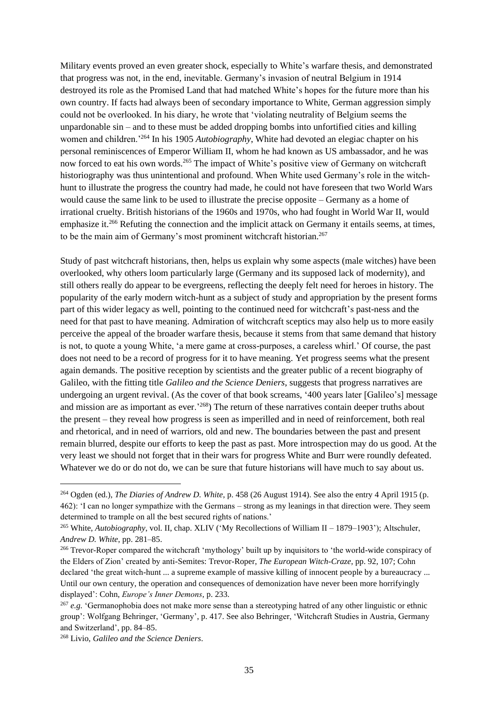Military events proved an even greater shock, especially to White's warfare thesis, and demonstrated that progress was not, in the end, inevitable. Germany's invasion of neutral Belgium in 1914 destroyed its role as the Promised Land that had matched White's hopes for the future more than his own country. If facts had always been of secondary importance to White, German aggression simply could not be overlooked. In his diary, he wrote that 'violating neutrality of Belgium seems the unpardonable sin – and to these must be added dropping bombs into unfortified cities and killing women and children.'<sup>264</sup> In his 1905 *Autobiography*, White had devoted an elegiac chapter on his personal reminiscences of Emperor William II, whom he had known as US ambassador, and he was now forced to eat his own words.<sup>265</sup> The impact of White's positive view of Germany on witchcraft historiography was thus unintentional and profound. When White used Germany's role in the witchhunt to illustrate the progress the country had made, he could not have foreseen that two World Wars would cause the same link to be used to illustrate the precise opposite – Germany as a home of irrational cruelty. British historians of the 1960s and 1970s, who had fought in World War II, would emphasize it.<sup>266</sup> Refuting the connection and the implicit attack on Germany it entails seems, at times, to be the main aim of Germany's most prominent witchcraft historian.<sup>267</sup>

Study of past witchcraft historians, then, helps us explain why some aspects (male witches) have been overlooked, why others loom particularly large (Germany and its supposed lack of modernity), and still others really do appear to be evergreens, reflecting the deeply felt need for heroes in history. The popularity of the early modern witch-hunt as a subject of study and appropriation by the present forms part of this wider legacy as well, pointing to the continued need for witchcraft's past-ness and the need for that past to have meaning. Admiration of witchcraft sceptics may also help us to more easily perceive the appeal of the broader warfare thesis, because it stems from that same demand that history is not, to quote a young White, 'a mere game at cross-purposes, a careless whirl.' Of course, the past does not need to be a record of progress for it to have meaning. Yet progress seems what the present again demands. The positive reception by scientists and the greater public of a recent biography of Galileo, with the fitting title *Galileo and the Science Deniers*, suggests that progress narratives are undergoing an urgent revival. (As the cover of that book screams, '400 years later [Galileo's] message and mission are as important as ever.<sup>268</sup>) The return of these narratives contain deeper truths about the present – they reveal how progress is seen as imperilled and in need of reinforcement, both real and rhetorical, and in need of warriors, old and new. The boundaries between the past and present remain blurred, despite our efforts to keep the past as past. More introspection may do us good. At the very least we should not forget that in their wars for progress White and Burr were roundly defeated. Whatever we do or do not do, we can be sure that future historians will have much to say about us.

<sup>264</sup> Ogden (ed.), *The Diaries of Andrew D. White*, p. 458 (26 August 1914). See also the entry 4 April 1915 (p. 462): 'I can no longer sympathize with the Germans – strong as my leanings in that direction were. They seem determined to trample on all the best secured rights of nations.'

<sup>265</sup> White, *Autobiography*, vol. II, chap. XLIV ('My Recollections of William II – 1879–1903'); Altschuler, *Andrew D. White*, pp. 281–85.

<sup>&</sup>lt;sup>266</sup> Trevor-Roper compared the witchcraft 'mythology' built up by inquisitors to 'the world-wide conspiracy of the Elders of Zion' created by anti-Semites: Trevor-Roper, *The European Witch-Craze*, pp. 92, 107; Cohn declared 'the great witch-hunt ... a supreme example of massive killing of innocent people by a bureaucracy ... Until our own century, the operation and consequences of demonization have never been more horrifyingly displayed': Cohn, *Europe's Inner Demons*, p. 233.

<sup>&</sup>lt;sup>267</sup> *e.g.* 'Germanophobia does not make more sense than a stereotyping hatred of any other linguistic or ethnic group': Wolfgang Behringer, 'Germany', p. 417. See also Behringer, 'Witchcraft Studies in Austria, Germany and Switzerland', pp. 84–85.

<sup>268</sup> Livio, *Galileo and the Science Deniers*.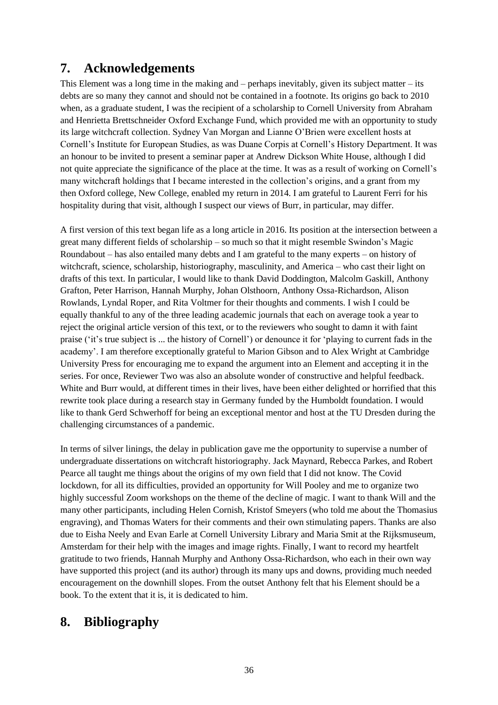# **7. Acknowledgements**

This Element was a long time in the making and – perhaps inevitably, given its subject matter – its debts are so many they cannot and should not be contained in a footnote. Its origins go back to 2010 when, as a graduate student, I was the recipient of a scholarship to Cornell University from Abraham and Henrietta Brettschneider Oxford Exchange Fund, which provided me with an opportunity to study its large witchcraft collection. Sydney Van Morgan and Lianne O'Brien were excellent hosts at Cornell's Institute for European Studies, as was Duane Corpis at Cornell's History Department. It was an honour to be invited to present a seminar paper at Andrew Dickson White House, although I did not quite appreciate the significance of the place at the time. It was as a result of working on Cornell's many witchcraft holdings that I became interested in the collection's origins, and a grant from my then Oxford college, New College, enabled my return in 2014. I am grateful to Laurent Ferri for his hospitality during that visit, although I suspect our views of Burr, in particular, may differ.

A first version of this text began life as a long article in 2016. Its position at the intersection between a great many different fields of scholarship – so much so that it might resemble Swindon's Magic Roundabout – has also entailed many debts and I am grateful to the many experts – on history of witchcraft, science, scholarship, historiography, masculinity, and America – who cast their light on drafts of this text. In particular, I would like to thank David Doddington, Malcolm Gaskill, Anthony Grafton, Peter Harrison, Hannah Murphy, Johan Olsthoorn, Anthony Ossa-Richardson, Alison Rowlands, Lyndal Roper, and Rita Voltmer for their thoughts and comments. I wish I could be equally thankful to any of the three leading academic journals that each on average took a year to reject the original article version of this text, or to the reviewers who sought to damn it with faint praise ('it's true subject is ... the history of Cornell') or denounce it for 'playing to current fads in the academy'. I am therefore exceptionally grateful to Marion Gibson and to Alex Wright at Cambridge University Press for encouraging me to expand the argument into an Element and accepting it in the series. For once, Reviewer Two was also an absolute wonder of constructive and helpful feedback. White and Burr would, at different times in their lives, have been either delighted or horrified that this rewrite took place during a research stay in Germany funded by the Humboldt foundation. I would like to thank Gerd Schwerhoff for being an exceptional mentor and host at the TU Dresden during the challenging circumstances of a pandemic.

In terms of silver linings, the delay in publication gave me the opportunity to supervise a number of undergraduate dissertations on witchcraft historiography. Jack Maynard, Rebecca Parkes, and Robert Pearce all taught me things about the origins of my own field that I did not know. The Covid lockdown, for all its difficulties, provided an opportunity for Will Pooley and me to organize two highly successful Zoom workshops on the theme of the decline of magic. I want to thank Will and the many other participants, including Helen Cornish, Kristof Smeyers (who told me about the Thomasius engraving), and Thomas Waters for their comments and their own stimulating papers. Thanks are also due to Eisha Neely and Evan Earle at Cornell University Library and Maria Smit at the Rijksmuseum, Amsterdam for their help with the images and image rights. Finally, I want to record my heartfelt gratitude to two friends, Hannah Murphy and Anthony Ossa-Richardson, who each in their own way have supported this project (and its author) through its many ups and downs, providing much needed encouragement on the downhill slopes. From the outset Anthony felt that his Element should be a book. To the extent that it is, it is dedicated to him.

# **8. Bibliography**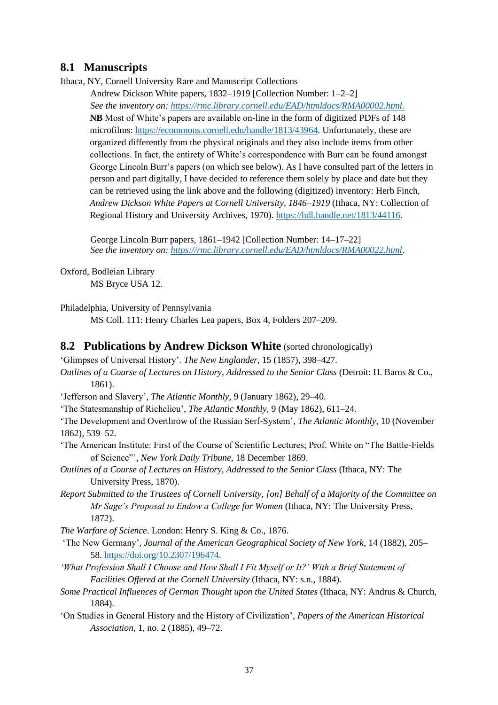#### **8.1 Manuscripts**

Ithaca, NY, Cornell University Rare and Manuscript Collections

Andrew Dickson White papers, 1832–1919 [Collection Number: 1–2–2] *See the inventory on:<https://rmc.library.cornell.edu/EAD/htmldocs/RMA00002.html.>* **NB** Most of White's papers are available on-line in the form of digitized PDFs of 148 microfilms: [https://ecommons.cornell.edu/handle/1813/43964.](https://ecommons.cornell.edu/handle/1813/43964) Unfortunately, these are organized differently from the physical originals and they also include items from other collections. In fact, the entirety of White's correspondence with Burr can be found amongst George Lincoln Burr's papers (on which see below). As I have consulted part of the letters in person and part digitally, I have decided to reference them solely by place and date but they can be retrieved using the link above and the following (digitized) inventory: Herb Finch, *Andrew Dickson White Papers at Cornell University, 1846–1919* (Ithaca, NY: Collection of Regional History and University Archives, 1970). [https://hdl.handle.net/1813/44116.](https://hdl.handle.net/1813/44116)

George Lincoln Burr papers, 1861–1942 [Collection Number: 14–17–22] *See the inventory on: [https://rmc.library.cornell.edu/EAD/htmldocs/RMA00022.html.](https://rmc.library.cornell.edu/EAD/htmldocs/RMA00022.html)*

Oxford, Bodleian Library

MS Bryce USA 12.

Philadelphia, University of Pennsylvania

MS Coll. 111: Henry Charles Lea papers, Box 4, Folders 207–209.

#### **8.2 Publications by Andrew Dickson White** (sorted chronologically)

'Glimpses of Universal History'. *The New Englander*, 15 (1857), 398–427.

*Outlines of a Course of Lectures on History, Addressed to the Senior Class* (Detroit: H. Barns & Co., 1861).

'Jefferson and Slavery', *The Atlantic Monthly*, 9 (January 1862), 29–40.

'The Statesmanship of Richelieu', *The Atlantic Monthly*, 9 (May 1862), 611–24.

'The Development and Overthrow of the Russian Serf-System', *The Atlantic Monthly*, 10 (November 1862), 539–52.

'The American Institute: First of the Course of Scientific Lectures; Prof. White on "The Battle-Fields of Science"', *New York Daily Tribune*, 18 December 1869.

*Outlines of a Course of Lectures on History, Addressed to the Senior Class* (Ithaca, NY: The University Press, 1870).

*Report Submitted to the Trustees of Cornell University, [on] Behalf of a Majority of the Committee on Mr Sage's Proposal to Endow a College for Women* (Ithaca, NY: The University Press, 1872).

*The Warfare of Science*. London: Henry S. King & Co., 1876.

'The New Germany', *Journal of the American Geographical Society of New York*, 14 (1882), 205– 58. [https://doi.org/10.2307/196474.](https://doi.org/10.2307/196474)

*'What Profession Shall I Choose and How Shall I Fit Myself or It?' With a Brief Statement of Facilities Offered at the Cornell University* (Ithaca, NY: s.n., 1884).

*Some Practical Influences of German Thought upon the United States* (Ithaca, NY: Andrus & Church, 1884).

'On Studies in General History and the History of Civilization', *Papers of the American Historical Association*, 1, no. 2 (1885), 49–72.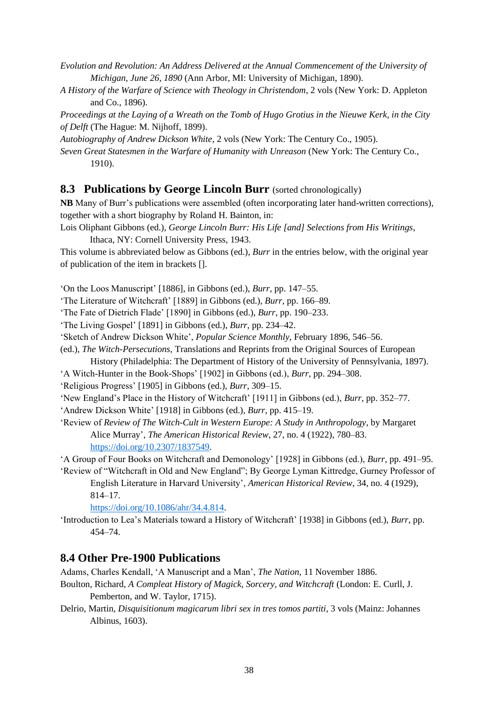*Evolution and Revolution: An Address Delivered at the Annual Commencement of the University of Michigan, June 26, 1890* (Ann Arbor, MI: University of Michigan, 1890).

*A History of the Warfare of Science with Theology in Christendom*, 2 vols (New York: D. Appleton and Co., 1896).

*Proceedings at the Laying of a Wreath on the Tomb of Hugo Grotius in the Nieuwe Kerk, in the City of Delft* (The Hague: M. Nijhoff, 1899).

*Autobiography of Andrew Dickson White*, 2 vols (New York: The Century Co., 1905).

*Seven Great Statesmen in the Warfare of Humanity with Unreason* (New York: The Century Co., 1910).

#### **8.3 Publications by George Lincoln Burr** (sorted chronologically)

**NB** Many of Burr's publications were assembled (often incorporating later hand-written corrections), together with a short biography by Roland H. Bainton, in:

Lois Oliphant Gibbons (ed.), *George Lincoln Burr: His Life [and] Selections from His Writings*, Ithaca, NY: Cornell University Press, 1943.

This volume is abbreviated below as Gibbons (ed.), *Burr* in the entries below, with the original year of publication of the item in brackets [].

'On the Loos Manuscript' [1886], in Gibbons (ed.), *Burr*, pp. 147–55.

'The Literature of Witchcraft' [1889] in Gibbons (ed.), *Burr*, pp. 166–89.

'The Fate of Dietrich Flade' [1890] in Gibbons (ed.), *Burr*, pp. 190–233.

'The Living Gospel' [1891] in Gibbons (ed.), *Burr*, pp. 234–42.

'Sketch of Andrew Dickson White', *Popular Science Monthly*, February 1896, 546–56.

(ed.), *The Witch-Persecutions*, Translations and Reprints from the Original Sources of European

History (Philadelphia: The Department of History of the University of Pennsylvania, 1897).

'A Witch-Hunter in the Book-Shops' [1902] in Gibbons (ed.), *Burr*, pp. 294–308.

'Religious Progress' [1905] in Gibbons (ed.), *Burr*, 309–15.

'New England's Place in the History of Witchcraft' [1911] in Gibbons (ed.), *Burr*, pp. 352–77.

'Andrew Dickson White' [1918] in Gibbons (ed.), *Burr*, pp. 415–19.

'Review of *Review of The Witch-Cult in Western Europe: A Study in Anthropology*, by Margaret Alice Murray', *The American Historical Review*, 27, no. 4 (1922), 780–83. [https://doi.org/10.2307/1837549.](https://doi.org/10.2307/1837549)

'A Group of Four Books on Witchcraft and Demonology' [1928] in Gibbons (ed.), *Burr*, pp. 491–95.

'Review of "Witchcraft in Old and New England"; By George Lyman Kittredge, Gurney Professor of English Literature in Harvard University', *American Historical Review*, 34, no. 4 (1929), 814–17.

[https://doi.org/10.1086/ahr/34.4.814.](https://doi.org/10.1086/ahr/34.4.814)

'Introduction to Lea's Materials toward a History of Witchcraft' [1938] in Gibbons (ed.), *Burr*, pp. 454–74.

#### **8.4 Other Pre-1900 Publications**

Adams, Charles Kendall, 'A Manuscript and a Man', *The Nation*, 11 November 1886.

- Boulton, Richard, *A Compleat History of Magick, Sorcery, and Witchcraft* (London: E. Curll, J. Pemberton, and W. Taylor, 1715).
- Delrio, Martin, *Disquisitionum magicarum libri sex in tres tomos partiti*, 3 vols (Mainz: Johannes Albinus, 1603).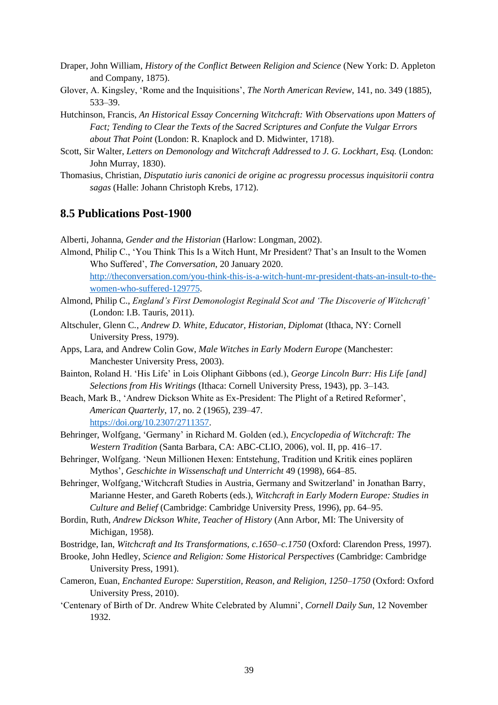- Draper, John William, *History of the Conflict Between Religion and Science* (New York: D. Appleton and Company, 1875).
- Glover, A. Kingsley, 'Rome and the Inquisitions', *The North American Review*, 141, no. 349 (1885), 533–39.
- Hutchinson, Francis, *An Historical Essay Concerning Witchcraft: With Observations upon Matters of Fact; Tending to Clear the Texts of the Sacred Scriptures and Confute the Vulgar Errors about That Point* (London: R. Knaplock and D. Midwinter, 1718).
- Scott, Sir Walter, *Letters on Demonology and Witchcraft Addressed to J. G. Lockhart, Esq.* (London: John Murray, 1830).
- Thomasius, Christian, *Disputatio iuris canonici de origine ac progressu processus inquisitorii contra sagas* (Halle: Johann Christoph Krebs, 1712).

#### **8.5 Publications Post-1900**

Alberti, Johanna, *Gender and the Historian* (Harlow: Longman, 2002).

- Almond, Philip C., 'You Think This Is a Witch Hunt, Mr President? That's an Insult to the Women Who Suffered', *The Conversation*, 20 January 2020. [http://theconversation.com/you-think-this-is-a-witch-hunt-mr-president-thats-an-insult-to-the](http://theconversation.com/you-think-this-is-a-witch-hunt-mr-president-thats-an-insult-to-the-women-who-suffered-129775)[women-who-suffered-129775.](http://theconversation.com/you-think-this-is-a-witch-hunt-mr-president-thats-an-insult-to-the-women-who-suffered-129775)
- Almond, Philip C., *England's First Demonologist Reginald Scot and 'The Discoverie of Witchcraft'* (London: I.B. Tauris, 2011).
- Altschuler, Glenn C*.*, *Andrew D. White, Educator, Historian, Diplomat* (Ithaca, NY: Cornell University Press, 1979).
- Apps, Lara, and Andrew Colin Gow, *Male Witches in Early Modern Europe* (Manchester: Manchester University Press, 2003).
- Bainton, Roland H. 'His Life' in Lois Oliphant Gibbons (ed.), *George Lincoln Burr: His Life [and] Selections from His Writings* (Ithaca: Cornell University Press, 1943), pp. 3–143.
- Beach, Mark B., 'Andrew Dickson White as Ex-President: The Plight of a Retired Reformer', *American Quarterly*, 17, no. 2 (1965), 239–47.

[https://doi.org/10.2307/2711357.](https://doi.org/10.2307/2711357)

- Behringer, Wolfgang, 'Germany' in Richard M. Golden (ed.), *Encyclopedia of Witchcraft: The Western Tradition* (Santa Barbara, CA: ABC-CLIO, 2006), vol. II, pp. 416–17.
- Behringer, Wolfgang. 'Neun Millionen Hexen: Entstehung, Tradition und Kritik eines poplären Mythos', *Geschichte in Wissenschaft und Unterricht* 49 (1998), 664–85.
- Behringer, Wolfgang,'Witchcraft Studies in Austria, Germany and Switzerland' in Jonathan Barry, Marianne Hester, and Gareth Roberts (eds.), *Witchcraft in Early Modern Europe: Studies in Culture and Belief* (Cambridge: Cambridge University Press, 1996), pp. 64–95.
- Bordin, Ruth, *Andrew Dickson White, Teacher of History* (Ann Arbor, MI: The University of Michigan, 1958).
- Bostridge, Ian, *Witchcraft and Its Transformations, c.1650–c.1750* (Oxford: Clarendon Press, 1997).
- Brooke, John Hedley, *Science and Religion: Some Historical Perspectives* (Cambridge: Cambridge University Press, 1991).
- Cameron, Euan, *Enchanted Europe: Superstition, Reason, and Religion, 1250–1750* (Oxford: Oxford University Press, 2010).
- 'Centenary of Birth of Dr. Andrew White Celebrated by Alumni', *Cornell Daily Sun*, 12 November 1932.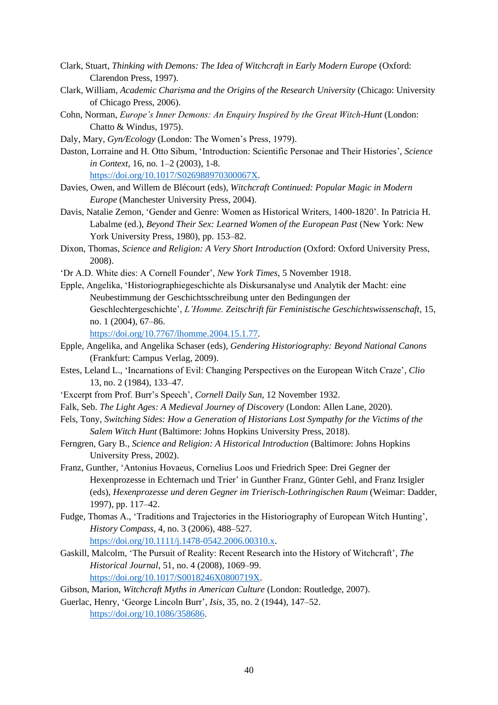- Clark, Stuart, *Thinking with Demons: The Idea of Witchcraft in Early Modern Europe* (Oxford: Clarendon Press, 1997).
- Clark, William, *Academic Charisma and the Origins of the Research University* (Chicago: University of Chicago Press, 2006).
- Cohn, Norman, *Europe's Inner Demons: An Enquiry Inspired by the Great Witch-Hunt* (London: Chatto & Windus, 1975).
- Daly, Mary, *Gyn/Ecology* (London: The Women's Press, 1979).
- Daston, Lorraine and H. Otto Sibum, 'Introduction: Scientific Personae and Their Histories', *Science in Context*, 16, no. 1–2 (2003), 1-8. [https://doi.org/10.1017/S026988970300067X.](https://doi.org/10.1017/S026988970300067X)
- Davies, Owen, and Willem de Blécourt (eds), *Witchcraft Continued: Popular Magic in Modern Europe* (Manchester University Press, 2004).
- Davis, Natalie Zemon, 'Gender and Genre: Women as Historical Writers, 1400-1820'. In Patricia H. Labalme (ed.), *Beyond Their Sex: Learned Women of the European Past* (New York: New York University Press, 1980), pp. 153–82.
- Dixon, Thomas, *Science and Religion: A Very Short Introduction* (Oxford: Oxford University Press, 2008).
- 'Dr A.D. White dies: A Cornell Founder', *New York Times*, 5 November 1918.
- Epple, Angelika, 'Historiographiegeschichte als Diskursanalyse und Analytik der Macht: eine Neubestimmung der Geschichtsschreibung unter den Bedingungen der Geschlechtergeschichte', *L'Homme. Zeitschrift für Feministische Geschichtswissenschaft*, 15, no. 1 (2004), 67–86.
	- [https://doi.org/10.7767/lhomme.2004.15.1.77.](https://doi.org/10.7767/lhomme.2004.15.1.77)
- Epple, Angelika, and Angelika Schaser (eds), *Gendering Historiography: Beyond National Canons* (Frankfurt: Campus Verlag, 2009).
- Estes, Leland L., 'Incarnations of Evil: Changing Perspectives on the European Witch Craze', *Clio* 13, no. 2 (1984), 133–47.
- 'Excerpt from Prof. Burr's Speech', *Cornell Daily Sun*, 12 November 1932.
- Falk, Seb. *The Light Ages: A Medieval Journey of Discovery* (London: Allen Lane, 2020).
- Fels, Tony, *Switching Sides: How a Generation of Historians Lost Sympathy for the Victims of the Salem Witch Hunt* (Baltimore: Johns Hopkins University Press, 2018).
- Ferngren, Gary B., *Science and Religion: A Historical Introduction* (Baltimore: Johns Hopkins University Press, 2002).
- Franz, Gunther, 'Antonius Hovaeus, Cornelius Loos und Friedrich Spee: Drei Gegner der Hexenprozesse in Echternach und Trier' in Gunther Franz, Günter Gehl, and Franz Irsigler (eds), *Hexenprozesse und deren Gegner im Trierisch-Lothringischen Raum* (Weimar: Dadder, 1997), pp. 117–42.
- Fudge, Thomas A., 'Traditions and Trajectories in the Historiography of European Witch Hunting', *History Compass*, 4, no. 3 (2006), 488–527. [https://doi.org/10.1111/j.1478-0542.2006.00310.x.](https://doi.org/10.1111/j.1478-0542.2006.00310.x)
- Gaskill, Malcolm, 'The Pursuit of Reality: Recent Research into the History of Witchcraft', *The Historical Journal*, 51, no. 4 (2008), 1069–99. [https://doi.org/10.1017/S0018246X0800719X.](https://doi.org/10.1017/S0018246X0800719X)
- Gibson, Marion, *Witchcraft Myths in American Culture* (London: Routledge, 2007).
- Guerlac, Henry, 'George Lincoln Burr', *Isis*, 35, no. 2 (1944), 147–52. [https://doi.org/10.1086/358686.](https://doi.org/10.1086/358686)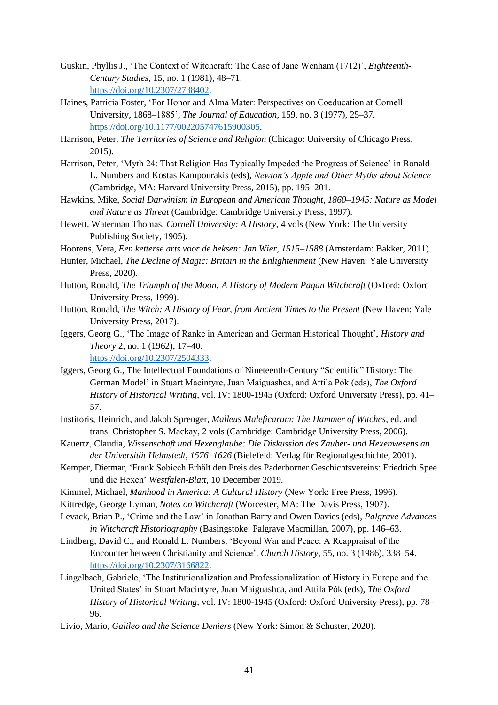- Guskin, Phyllis J., 'The Context of Witchcraft: The Case of Jane Wenham (1712)', *Eighteenth-Century Studies*, 15, no. 1 (1981), 48–71. [https://doi.org/10.2307/2738402.](https://doi.org/10.2307/2738402)
- Haines, Patricia Foster, 'For Honor and Alma Mater: Perspectives on Coeducation at Cornell University, 1868–1885', *The Journal of Education*, 159, no. 3 (1977), 25–37. [https://doi.org/10.1177/002205747615900305.](https://doi.org/10.1177/002205747615900305)
- Harrison, Peter, *The Territories of Science and Religion* (Chicago: University of Chicago Press, 2015).
- Harrison, Peter, 'Myth 24: That Religion Has Typically Impeded the Progress of Science' in Ronald L. Numbers and Kostas Kampourakis (eds), *Newton's Apple and Other Myths about Science* (Cambridge, MA: Harvard University Press, 2015), pp. 195–201.
- Hawkins, Mike, *Social Darwinism in European and American Thought, 1860–1945: Nature as Model and Nature as Threat* (Cambridge: Cambridge University Press, 1997).
- Hewett, Waterman Thomas, *Cornell University: A History*, 4 vols (New York: The University Publishing Society, 1905).
- Hoorens, Vera, *Een ketterse arts voor de heksen: Jan Wier, 1515–1588* (Amsterdam: Bakker, 2011).
- Hunter, Michael, *The Decline of Magic: Britain in the Enlightenment* (New Haven: Yale University Press, 2020).
- Hutton, Ronald, *The Triumph of the Moon: A History of Modern Pagan Witchcraft* (Oxford: Oxford University Press, 1999).
- Hutton, Ronald, *The Witch: A History of Fear, from Ancient Times to the Present* (New Haven: Yale University Press, 2017).
- Iggers, Georg G., 'The Image of Ranke in American and German Historical Thought', *History and Theory* 2, no. 1 (1962), 17–40. [https://doi.org/10.2307/2504333.](https://doi.org/10.2307/2504333)
- Iggers, Georg G., The Intellectual Foundations of Nineteenth-Century "Scientific" History: The German Model' in Stuart Macintyre, Juan Maiguashca, and Attila Pók (eds), *The Oxford History of Historical Writing*, vol. IV: 1800-1945 (Oxford: Oxford University Press), pp. 41– 57.
- Institoris, Heinrich, and Jakob Sprenger, *Malleus Maleficarum: The Hammer of Witches*, ed. and trans. Christopher S. Mackay, 2 vols (Cambridge: Cambridge University Press, 2006).
- Kauertz, Claudia, *Wissenschaft und Hexenglaube: Die Diskussion des Zauber- und Hexenwesens an der Universität Helmstedt, 1576–1626* (Bielefeld: Verlag für Regionalgeschichte, 2001).
- Kemper, Dietmar, 'Frank Sobiech Erhält den Preis des Paderborner Geschichtsvereins: Friedrich Spee und die Hexen' *Westfalen-Blatt*, 10 December 2019.
- Kimmel, Michael, *Manhood in America: A Cultural History* (New York: Free Press, 1996).
- Kittredge, George Lyman, *Notes on Witchcraft* (Worcester, MA: The Davis Press, 1907).
- Levack, Brian P., 'Crime and the Law' in Jonathan Barry and Owen Davies (eds), *Palgrave Advances in Witchcraft Historiography* (Basingstoke: Palgrave Macmillan, 2007), pp. 146–63.
- Lindberg, David C., and Ronald L. Numbers, 'Beyond War and Peace: A Reappraisal of the Encounter between Christianity and Science', *Church History*, 55, no. 3 (1986), 338–54. [https://doi.org/10.2307/3166822.](https://doi.org/10.2307/3166822)
- Lingelbach, Gabriele, 'The Institutionalization and Professionalization of History in Europe and the United States' in Stuart Macintyre, Juan Maiguashca, and Attila Pók (eds), *The Oxford History of Historical Writing*, vol. IV: 1800-1945 (Oxford: Oxford University Press), pp. 78– 96.
- Livio, Mario, *Galileo and the Science Deniers* (New York: Simon & Schuster, 2020).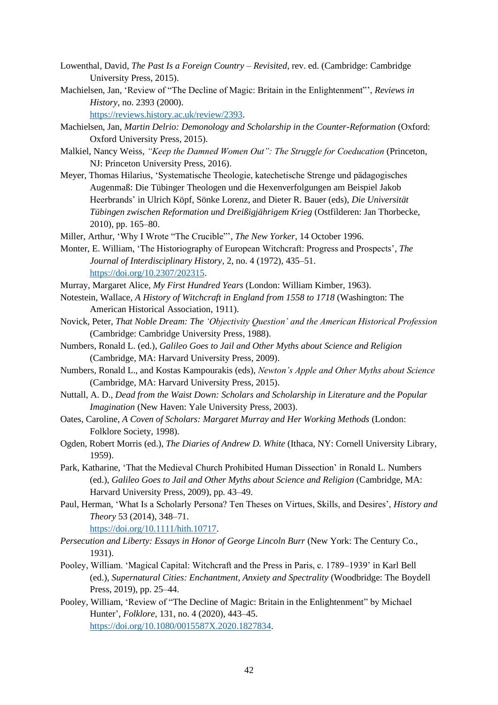- Lowenthal, David, *The Past Is a Foreign Country – Revisited*, rev. ed. (Cambridge: Cambridge University Press, 2015).
- Machielsen, Jan, 'Review of "The Decline of Magic: Britain in the Enlightenment"', *Reviews in History,* no. 2393 (2000).

[https://reviews.history.ac.uk/review/2393.](https://reviews.history.ac.uk/review/2393)

- Machielsen, Jan, *Martin Delrio: Demonology and Scholarship in the Counter-Reformation* (Oxford: Oxford University Press, 2015).
- Malkiel, Nancy Weiss, *"Keep the Damned Women Out": The Struggle for Coeducation* (Princeton, NJ: Princeton University Press, 2016).
- Meyer, Thomas Hilarius, 'Systematische Theologie, katechetische Strenge und pädagogisches Augenmaß: Die Tübinger Theologen und die Hexenverfolgungen am Beispiel Jakob Heerbrands' in Ulrich Köpf, Sönke Lorenz, and Dieter R. Bauer (eds), *Die Universität Tübingen zwischen Reformation und Dreißigjährigem Krieg* (Ostfilderen: Jan Thorbecke, 2010), pp. 165–80.
- Miller, Arthur, 'Why I Wrote "The Crucible"', *The New Yorker*, 14 October 1996.
- Monter, E. William, 'The Historiography of European Witchcraft: Progress and Prospects', *The Journal of Interdisciplinary History*, 2, no. 4 (1972), 435–51. [https://doi.org/10.2307/202315.](https://doi.org/10.2307/202315)
- Murray, Margaret Alice, *My First Hundred Years* (London: William Kimber, 1963).
- Notestein, Wallace, *A History of Witchcraft in England from 1558 to 1718* (Washington: The American Historical Association, 1911).
- Novick, Peter, *That Noble Dream: The 'Objectivity Question' and the American Historical Profession* (Cambridge: Cambridge University Press, 1988).
- Numbers, Ronald L. (ed.), *Galileo Goes to Jail and Other Myths about Science and Religion* (Cambridge, MA: Harvard University Press, 2009).
- Numbers, Ronald L., and Kostas Kampourakis (eds), *Newton's Apple and Other Myths about Science* (Cambridge, MA: Harvard University Press, 2015).
- Nuttall, A. D., *Dead from the Waist Down: Scholars and Scholarship in Literature and the Popular Imagination* (New Haven: Yale University Press, 2003).
- Oates, Caroline, *A Coven of Scholars: Margaret Murray and Her Working Methods* (London: Folklore Society, 1998).
- Ogden, Robert Morris (ed.), *The Diaries of Andrew D. White* (Ithaca, NY: Cornell University Library, 1959).
- Park, Katharine, 'That the Medieval Church Prohibited Human Dissection' in Ronald L. Numbers (ed.), *Galileo Goes to Jail and Other Myths about Science and Religion* (Cambridge, MA: Harvard University Press, 2009), pp. 43–49.
- Paul, Herman, 'What Is a Scholarly Persona? Ten Theses on Virtues, Skills, and Desires', *History and Theory* 53 (2014), 348–71. [https://doi.org/10.1111/hith.10717.](https://doi.org/10.1111/hith.10717)
- *Persecution and Liberty: Essays in Honor of George Lincoln Burr* (New York: The Century Co., 1931).
- Pooley, William. 'Magical Capital: Witchcraft and the Press in Paris, c. 1789–1939' in Karl Bell (ed.), *Supernatural Cities: Enchantment, Anxiety and Spectrality* (Woodbridge: The Boydell Press, 2019), pp. 25–44.
- Pooley, William, 'Review of "The Decline of Magic: Britain in the Enlightenment" by Michael Hunter', *Folklore*, 131, no. 4 (2020), 443–45. [https://doi.org/10.1080/0015587X.2020.1827834.](https://doi.org/10.1080/0015587X.2020.1827834)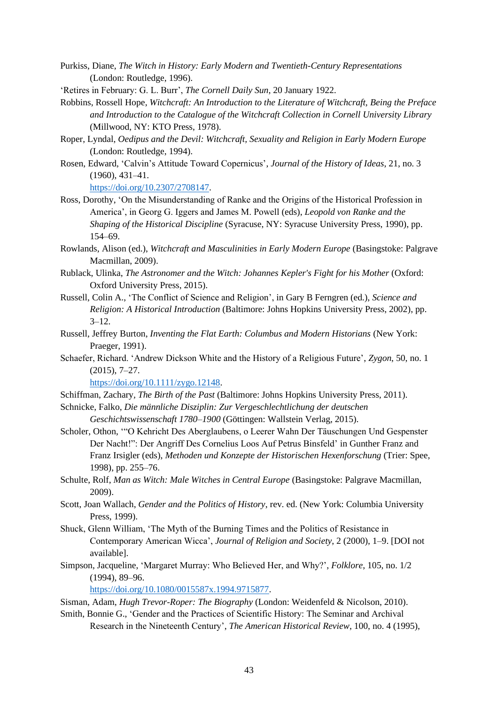- Purkiss, Diane, *The Witch in History: Early Modern and Twentieth-Century Representations* (London: Routledge, 1996).
- 'Retires in February: G. L. Burr', *The Cornell Daily Sun*, 20 January 1922.
- Robbins, Rossell Hope, *Witchcraft: An Introduction to the Literature of Witchcraft, Being the Preface and Introduction to the Catalogue of the Witchcraft Collection in Cornell University Library* (Millwood, NY: KTO Press, 1978).
- Roper, Lyndal, *Oedipus and the Devil: Witchcraft, Sexuality and Religion in Early Modern Europe* (London: Routledge, 1994).
- Rosen, Edward, 'Calvin's Attitude Toward Copernicus', *Journal of the History of Ideas*, 21, no. 3 (1960), 431–41.

[https://doi.org/10.2307/2708147.](https://doi.org/10.2307/2708147)

- Ross, Dorothy, 'On the Misunderstanding of Ranke and the Origins of the Historical Profession in America', in Georg G. Iggers and James M. Powell (eds), *Leopold von Ranke and the Shaping of the Historical Discipline* (Syracuse, NY: Syracuse University Press, 1990), pp. 154–69.
- Rowlands, Alison (ed.), *Witchcraft and Masculinities in Early Modern Europe* (Basingstoke: Palgrave Macmillan, 2009).
- Rublack, Ulinka, *The Astronomer and the Witch: Johannes Kepler's Fight for his Mother* (Oxford: Oxford University Press, 2015).
- Russell, Colin A., 'The Conflict of Science and Religion', in Gary B Ferngren (ed.), *Science and Religion: A Historical Introduction* (Baltimore: Johns Hopkins University Press, 2002), pp.  $3 - 12$ .
- Russell, Jeffrey Burton, *Inventing the Flat Earth: Columbus and Modern Historians* (New York: Praeger, 1991).
- Schaefer, Richard. 'Andrew Dickson White and the History of a Religious Future', *Zygon*, 50, no. 1 (2015), 7–27.

[https://doi.org/10.1111/zygo.12148.](https://doi.org/10.1111/zygo.12148)

- Schiffman, Zachary*, The Birth of the Past* (Baltimore: Johns Hopkins University Press, 2011).
- Schnicke, Falko, *Die männliche Disziplin: Zur Vergeschlechtlichung der deutschen Geschichtswissenschaft 1780–1900* (Göttingen: Wallstein Verlag, 2015).
- Scholer, Othon, '"O Kehricht Des Aberglaubens, o Leerer Wahn Der Täuschungen Und Gespenster Der Nacht!": Der Angriff Des Cornelius Loos Auf Petrus Binsfeld' in Gunther Franz and Franz Irsigler (eds), *Methoden und Konzepte der Historischen Hexenforschung* (Trier: Spee, 1998), pp. 255–76.
- Schulte, Rolf, *Man as Witch: Male Witches in Central Europe* (Basingstoke: Palgrave Macmillan, 2009).
- Scott, Joan Wallach, *Gender and the Politics of History*, rev. ed. (New York: Columbia University Press, 1999).
- Shuck, Glenn William, 'The Myth of the Burning Times and the Politics of Resistance in Contemporary American Wicca', *Journal of Religion and Society*, 2 (2000), 1–9. [DOI not available].
- Simpson, Jacqueline, 'Margaret Murray: Who Believed Her, and Why?', *Folklore*, 105, no. 1/2 (1994), 89–96.

[https://doi.org/10.1080/0015587x.1994.9715877.](https://doi.org/10.1080/0015587x.1994.9715877)

Sisman, Adam, *Hugh Trevor-Roper: The Biography* (London: Weidenfeld & Nicolson, 2010).

Smith, Bonnie G., 'Gender and the Practices of Scientific History: The Seminar and Archival Research in the Nineteenth Century', *The American Historical Review*, 100, no. 4 (1995),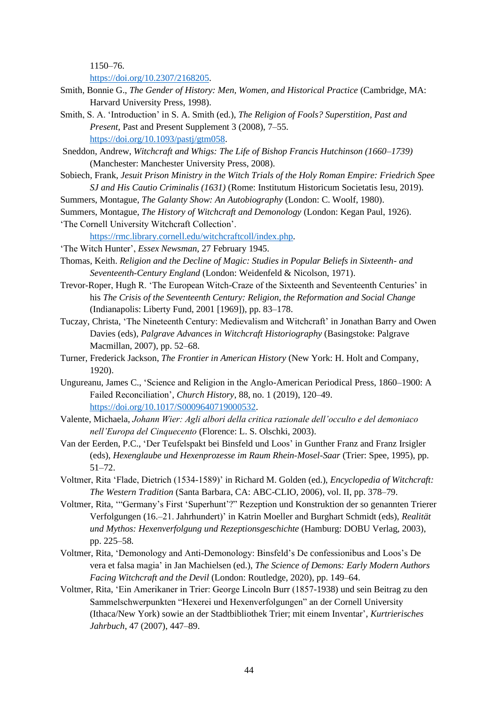1150–76.

[https://doi.org/10.2307/2168205.](https://doi.org/10.2307/2168205)

- Smith, Bonnie G., *The Gender of History: Men, Women, and Historical Practice* (Cambridge, MA: Harvard University Press, 1998).
- Smith, S. A. 'Introduction' in S. A. Smith (ed.), *The Religion of Fools? Superstition, Past and Present*, Past and Present Supplement 3 (2008), 7–55. [https://doi.org/10.1093/pastj/gtm058.](https://doi.org/10.1093/pastj/gtm058)
- Sneddon, Andrew, *Witchcraft and Whigs: The Life of Bishop Francis Hutchinson (1660–1739)* (Manchester: Manchester University Press, 2008).
- Sobiech, Frank, *Jesuit Prison Ministry in the Witch Trials of the Holy Roman Empire: Friedrich Spee SJ and His Cautio Criminalis (1631)* (Rome: Institutum Historicum Societatis Iesu, 2019).
- Summers, Montague, *The Galanty Show: An Autobiography* (London: C. Woolf, 1980).
- Summers, Montague, *The History of Witchcraft and Demonology* (London: Kegan Paul, 1926).
- 'The Cornell University Witchcraft Collection'.

[https://rmc.library.cornell.edu/witchcraftcoll/index.php.](https://rmc.library.cornell.edu/witchcraftcoll/index.php)

- 'The Witch Hunter', *Essex Newsman*, 27 February 1945.
- Thomas, Keith. *Religion and the Decline of Magic: Studies in Popular Beliefs in Sixteenth- and Seventeenth-Century England* (London: Weidenfeld & Nicolson, 1971).
- Trevor-Roper, Hugh R. 'The European Witch-Craze of the Sixteenth and Seventeenth Centuries' in his *The Crisis of the Seventeenth Century: Religion, the Reformation and Social Change* (Indianapolis: Liberty Fund, 2001 [1969]), pp. 83–178.
- Tuczay, Christa, 'The Nineteenth Century: Medievalism and Witchcraft' in Jonathan Barry and Owen Davies (eds), *Palgrave Advances in Witchcraft Historiography* (Basingstoke: Palgrave Macmillan, 2007), pp. 52–68.
- Turner, Frederick Jackson, *The Frontier in American History* (New York: H. Holt and Company, 1920).
- Ungureanu, James C., 'Science and Religion in the Anglo-American Periodical Press, 1860–1900: A Failed Reconciliation', *Church History*, 88, no. 1 (2019), 120–49. [https://doi.org/10.1017/S0009640719000532.](https://doi.org/10.1017/S0009640719000532)
- Valente, Michaela, *Johann Wier: Agli albori della critica razionale dell'occulto e del demoniaco nell'Europa del Cinquecento* (Florence: L. S. Olschki, 2003).
- Van der Eerden, P.C., 'Der Teufelspakt bei Binsfeld und Loos' in Gunther Franz and Franz Irsigler (eds), *Hexenglaube und Hexenprozesse im Raum Rhein-Mosel-Saar* (Trier: Spee, 1995), pp. 51–72.
- Voltmer, Rita 'Flade, Dietrich (1534-1589)' in Richard M. Golden (ed.), *Encyclopedia of Witchcraft: The Western Tradition* (Santa Barbara, CA: ABC-CLIO, 2006), vol. II, pp. 378–79.
- Voltmer, Rita, '"Germany's First 'Superhunt'?" Rezeption und Konstruktion der so genannten Trierer Verfolgungen (16.–21. Jahrhundert)' in Katrin Moeller and Burghart Schmidt (eds), *Realität und Mythos: Hexenverfolgung und Rezeptionsgeschichte* (Hamburg: DOBU Verlag, 2003), pp. 225–58.
- Voltmer, Rita, 'Demonology and Anti-Demonology: Binsfeld's De confessionibus and Loos's De vera et falsa magia' in Jan Machielsen (ed.), *The Science of Demons: Early Modern Authors Facing Witchcraft and the Devil* (London: Routledge, 2020), pp. 149–64.
- Voltmer, Rita, 'Ein Amerikaner in Trier: George Lincoln Burr (1857-1938) und sein Beitrag zu den Sammelschwerpunkten "Hexerei und Hexenverfolgungen" an der Cornell University (Ithaca/New York) sowie an der Stadtbibliothek Trier; mit einem Inventar', *Kurtrierisches Jahrbuch*, 47 (2007), 447–89.